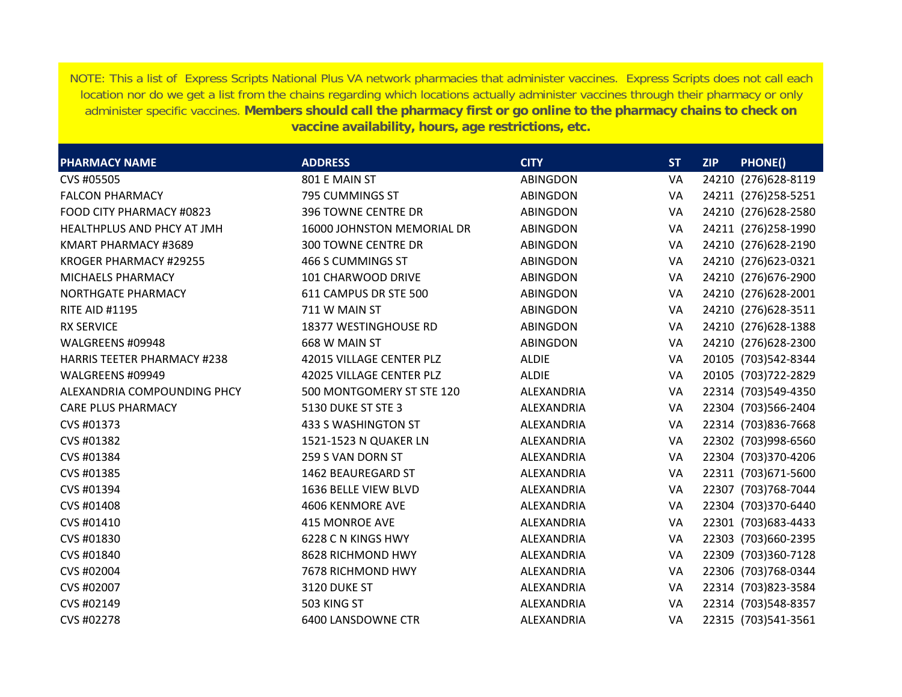NOTE: This a list of Express Scripts National Plus VA network pharmacies that administer vaccines. Express Scripts does not call each location nor do we get a list from the chains regarding which locations actually administer vaccines through their pharmacy or only administer specific vaccines. **Members should call the pharmacy first or go online to the pharmacy chains to check on vaccine availability, hours, age restrictions, etc.**

| <b>PHARMACY NAME</b>               | <b>ADDRESS</b>             | <b>CITY</b>     | <b>ST</b> | <b>ZIP</b> | <b>PHONE()</b>       |
|------------------------------------|----------------------------|-----------------|-----------|------------|----------------------|
| CVS #05505                         | 801 E MAIN ST              | <b>ABINGDON</b> | VA        |            | 24210 (276) 628-8119 |
| <b>FALCON PHARMACY</b>             | 795 CUMMINGS ST            | <b>ABINGDON</b> | VA        |            | 24211 (276)258-5251  |
| FOOD CITY PHARMACY #0823           | 396 TOWNE CENTRE DR        | <b>ABINGDON</b> | VA        |            | 24210 (276) 628-2580 |
| HEALTHPLUS AND PHCY AT JMH         | 16000 JOHNSTON MEMORIAL DR | <b>ABINGDON</b> | VA        |            | 24211 (276)258-1990  |
| KMART PHARMACY #3689               | <b>300 TOWNE CENTRE DR</b> | ABINGDON        | VA        |            | 24210 (276) 628-2190 |
| KROGER PHARMACY #29255             | 466 S CUMMINGS ST          | <b>ABINGDON</b> | VA        |            | 24210 (276) 623-0321 |
| <b>MICHAELS PHARMACY</b>           | 101 CHARWOOD DRIVE         | <b>ABINGDON</b> | VA        |            | 24210 (276) 676-2900 |
| NORTHGATE PHARMACY                 | 611 CAMPUS DR STE 500      | <b>ABINGDON</b> | VA        |            | 24210 (276) 628-2001 |
| <b>RITE AID #1195</b>              | 711 W MAIN ST              | <b>ABINGDON</b> | VA        |            | 24210 (276) 628-3511 |
| <b>RX SERVICE</b>                  | 18377 WESTINGHOUSE RD      | <b>ABINGDON</b> | VA        |            | 24210 (276) 628-1388 |
| WALGREENS #09948                   | 668 W MAIN ST              | <b>ABINGDON</b> | VA        |            | 24210 (276) 628-2300 |
| <b>HARRIS TEETER PHARMACY #238</b> | 42015 VILLAGE CENTER PLZ   | <b>ALDIE</b>    | VA        |            | 20105 (703)542-8344  |
| WALGREENS #09949                   | 42025 VILLAGE CENTER PLZ   | <b>ALDIE</b>    | VA        |            | 20105 (703) 722-2829 |
| ALEXANDRIA COMPOUNDING PHCY        | 500 MONTGOMERY ST STE 120  | ALEXANDRIA      | VA        |            | 22314 (703)549-4350  |
| <b>CARE PLUS PHARMACY</b>          | 5130 DUKE ST STE 3         | ALEXANDRIA      | VA        |            | 22304 (703)566-2404  |
| CVS #01373                         | 433 S WASHINGTON ST        | ALEXANDRIA      | VA        |            | 22314 (703)836-7668  |
| CVS #01382                         | 1521-1523 N QUAKER LN      | ALEXANDRIA      | VA        |            | 22302 (703)998-6560  |
| CVS #01384                         | 259 S VAN DORN ST          | ALEXANDRIA      | VA        |            | 22304 (703)370-4206  |
| CVS #01385                         | <b>1462 BEAUREGARD ST</b>  | ALEXANDRIA      | VA        |            | 22311 (703) 671-5600 |
| CVS #01394                         | 1636 BELLE VIEW BLVD       | ALEXANDRIA      | VA        |            | 22307 (703) 768-7044 |
| CVS #01408                         | 4606 KENMORE AVE           | ALEXANDRIA      | VA        |            | 22304 (703)370-6440  |
| CVS #01410                         | <b>415 MONROE AVE</b>      | ALEXANDRIA      | VA        |            | 22301 (703) 683-4433 |
| CVS #01830                         | 6228 C N KINGS HWY         | ALEXANDRIA      | VA        |            | 22303 (703)660-2395  |
| CVS #01840                         | 8628 RICHMOND HWY          | ALEXANDRIA      | VA        |            | 22309 (703)360-7128  |
| CVS #02004                         | 7678 RICHMOND HWY          | ALEXANDRIA      | VA        |            | 22306 (703)768-0344  |
| CVS #02007                         | 3120 DUKE ST               | ALEXANDRIA      | VA        |            | 22314 (703)823-3584  |
| CVS #02149                         | 503 KING ST                | ALEXANDRIA      | VA        |            | 22314 (703)548-8357  |
| CVS #02278                         | 6400 LANSDOWNE CTR         | ALEXANDRIA      | VA        |            | 22315 (703)541-3561  |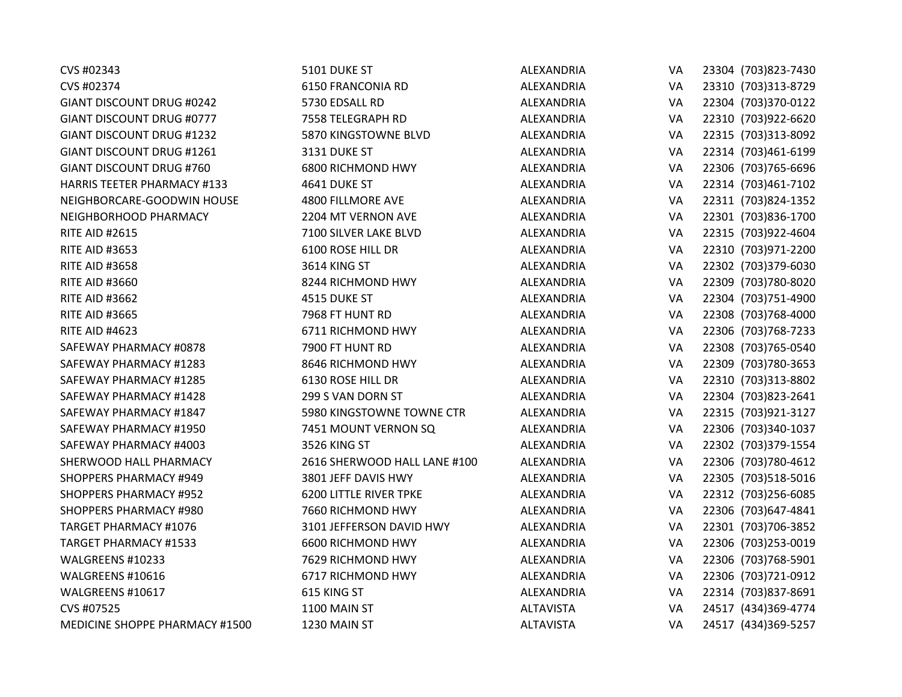| CVS #02343                         | 5101 DUKE ST                  | ALEXANDRIA       | VA | 23304 (703) 823-7430 |
|------------------------------------|-------------------------------|------------------|----|----------------------|
| CVS #02374                         | 6150 FRANCONIA RD             | ALEXANDRIA       | VA | 23310 (703)313-8729  |
| <b>GIANT DISCOUNT DRUG #0242</b>   | 5730 EDSALL RD                | ALEXANDRIA       | VA | 22304 (703)370-0122  |
| <b>GIANT DISCOUNT DRUG #0777</b>   | 7558 TELEGRAPH RD             | ALEXANDRIA       | VA | 22310 (703)922-6620  |
| <b>GIANT DISCOUNT DRUG #1232</b>   | 5870 KINGSTOWNE BLVD          | ALEXANDRIA       | VA | 22315 (703)313-8092  |
| <b>GIANT DISCOUNT DRUG #1261</b>   | 3131 DUKE ST                  | ALEXANDRIA       | VA | 22314 (703)461-6199  |
| <b>GIANT DISCOUNT DRUG #760</b>    | 6800 RICHMOND HWY             | ALEXANDRIA       | VA | 22306 (703)765-6696  |
| <b>HARRIS TEETER PHARMACY #133</b> | 4641 DUKE ST                  | ALEXANDRIA       | VA | 22314 (703)461-7102  |
| NEIGHBORCARE-GOODWIN HOUSE         | 4800 FILLMORE AVE             | ALEXANDRIA       | VA | 22311 (703)824-1352  |
| NEIGHBORHOOD PHARMACY              | 2204 MT VERNON AVE            | ALEXANDRIA       | VA | 22301 (703)836-1700  |
| <b>RITE AID #2615</b>              | 7100 SILVER LAKE BLVD         | ALEXANDRIA       | VA | 22315 (703)922-4604  |
| <b>RITE AID #3653</b>              | 6100 ROSE HILL DR             | ALEXANDRIA       | VA | 22310 (703)971-2200  |
| <b>RITE AID #3658</b>              | 3614 KING ST                  | ALEXANDRIA       | VA | 22302 (703)379-6030  |
| <b>RITE AID #3660</b>              | 8244 RICHMOND HWY             | ALEXANDRIA       | VA | 22309 (703)780-8020  |
| <b>RITE AID #3662</b>              | 4515 DUKE ST                  | ALEXANDRIA       | VA | 22304 (703)751-4900  |
| <b>RITE AID #3665</b>              | 7968 FT HUNT RD               | ALEXANDRIA       | VA | 22308 (703)768-4000  |
| <b>RITE AID #4623</b>              | 6711 RICHMOND HWY             | ALEXANDRIA       | VA | 22306 (703) 768-7233 |
| SAFEWAY PHARMACY #0878             | 7900 FT HUNT RD               | ALEXANDRIA       | VA | 22308 (703) 765-0540 |
| SAFEWAY PHARMACY #1283             | 8646 RICHMOND HWY             | ALEXANDRIA       | VA | 22309 (703)780-3653  |
| SAFEWAY PHARMACY #1285             | 6130 ROSE HILL DR             | ALEXANDRIA       | VA | 22310 (703)313-8802  |
| SAFEWAY PHARMACY #1428             | 299 S VAN DORN ST             | ALEXANDRIA       | VA | 22304 (703)823-2641  |
| SAFEWAY PHARMACY #1847             | 5980 KINGSTOWNE TOWNE CTR     | ALEXANDRIA       | VA | 22315 (703)921-3127  |
| SAFEWAY PHARMACY #1950             | 7451 MOUNT VERNON SQ          | ALEXANDRIA       | VA | 22306 (703)340-1037  |
| SAFEWAY PHARMACY #4003             | 3526 KING ST                  | ALEXANDRIA       | VA | 22302 (703)379-1554  |
| SHERWOOD HALL PHARMACY             | 2616 SHERWOOD HALL LANE #100  | ALEXANDRIA       | VA | 22306 (703)780-4612  |
| <b>SHOPPERS PHARMACY #949</b>      | 3801 JEFF DAVIS HWY           | ALEXANDRIA       | VA | 22305 (703)518-5016  |
| <b>SHOPPERS PHARMACY #952</b>      | <b>6200 LITTLE RIVER TPKE</b> | ALEXANDRIA       | VA | 22312 (703)256-6085  |
| SHOPPERS PHARMACY #980             | 7660 RICHMOND HWY             | ALEXANDRIA       | VA | 22306 (703) 647-4841 |
| <b>TARGET PHARMACY #1076</b>       | 3101 JEFFERSON DAVID HWY      | ALEXANDRIA       | VA | 22301 (703)706-3852  |
| <b>TARGET PHARMACY #1533</b>       | 6600 RICHMOND HWY             | ALEXANDRIA       | VA | 22306 (703)253-0019  |
| WALGREENS #10233                   | 7629 RICHMOND HWY             | ALEXANDRIA       | VA | 22306 (703)768-5901  |
| WALGREENS #10616                   | 6717 RICHMOND HWY             | ALEXANDRIA       | VA | 22306 (703)721-0912  |
| WALGREENS #10617                   | 615 KING ST                   | ALEXANDRIA       | VA | 22314 (703)837-8691  |
| CVS #07525                         | 1100 MAIN ST                  | <b>ALTAVISTA</b> | VA | 24517 (434)369-4774  |
| MEDICINE SHOPPE PHARMACY #1500     | 1230 MAIN ST                  | <b>ALTAVISTA</b> | VA | 24517 (434)369-5257  |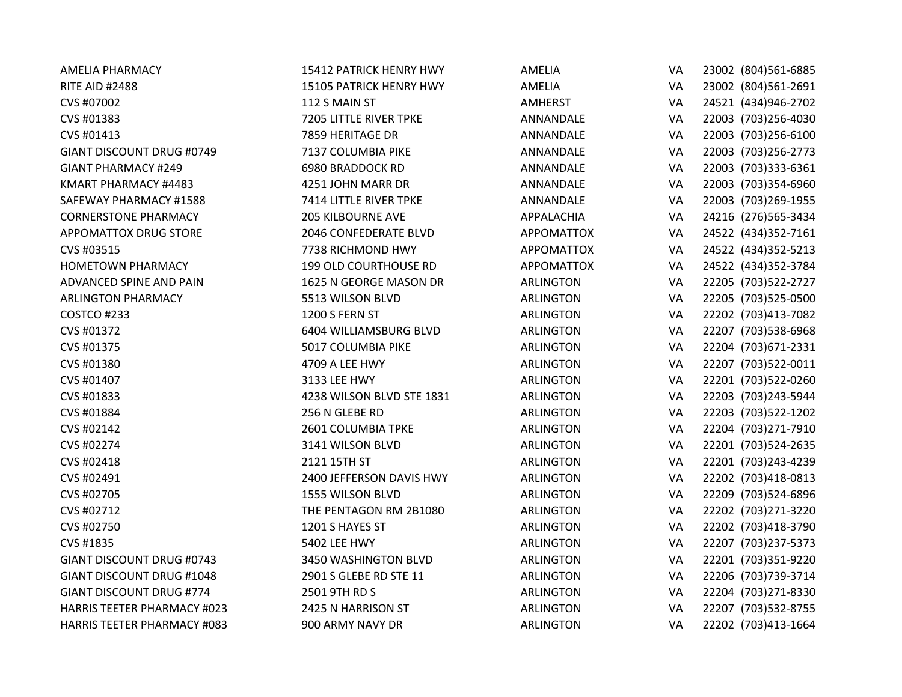| <b>AMELIA PHARMACY</b>             | 15412 PATRICK HENRY HWY      | <b>AMELIA</b>     | VA | 23002 (804)561-6885  |
|------------------------------------|------------------------------|-------------------|----|----------------------|
| <b>RITE AID #2488</b>              | 15105 PATRICK HENRY HWY      | AMELIA            | VA | 23002 (804)561-2691  |
| CVS #07002                         | 112 S MAIN ST                | <b>AMHERST</b>    | VA | 24521 (434)946-2702  |
| CVS #01383                         | 7205 LITTLE RIVER TPKE       | ANNANDALE         | VA | 22003 (703)256-4030  |
| CVS #01413                         | 7859 HERITAGE DR             | ANNANDALE         | VA | 22003 (703)256-6100  |
| <b>GIANT DISCOUNT DRUG #0749</b>   | 7137 COLUMBIA PIKE           | ANNANDALE         | VA | 22003 (703) 256-2773 |
| <b>GIANT PHARMACY #249</b>         | 6980 BRADDOCK RD             | ANNANDALE         | VA | 22003 (703)333-6361  |
| KMART PHARMACY #4483               | 4251 JOHN MARR DR            | ANNANDALE         | VA | 22003 (703)354-6960  |
| SAFEWAY PHARMACY #1588             | 7414 LITTLE RIVER TPKE       | ANNANDALE         | VA | 22003 (703)269-1955  |
| <b>CORNERSTONE PHARMACY</b>        | <b>205 KILBOURNE AVE</b>     | APPALACHIA        | VA | 24216 (276)565-3434  |
| <b>APPOMATTOX DRUG STORE</b>       | 2046 CONFEDERATE BLVD        | <b>APPOMATTOX</b> | VA | 24522 (434)352-7161  |
| CVS #03515                         | 7738 RICHMOND HWY            | <b>APPOMATTOX</b> | VA | 24522 (434)352-5213  |
| <b>HOMETOWN PHARMACY</b>           | <b>199 OLD COURTHOUSE RD</b> | <b>APPOMATTOX</b> | VA | 24522 (434)352-3784  |
| ADVANCED SPINE AND PAIN            | 1625 N GEORGE MASON DR       | <b>ARLINGTON</b>  | VA | 22205 (703) 522-2727 |
| <b>ARLINGTON PHARMACY</b>          | 5513 WILSON BLVD             | <b>ARLINGTON</b>  | VA | 22205 (703)525-0500  |
| COSTCO #233                        | 1200 S FERN ST               | <b>ARLINGTON</b>  | VA | 22202 (703)413-7082  |
| CVS #01372                         | 6404 WILLIAMSBURG BLVD       | <b>ARLINGTON</b>  | VA | 22207 (703)538-6968  |
| CVS #01375                         | 5017 COLUMBIA PIKE           | <b>ARLINGTON</b>  | VA | 22204 (703) 671-2331 |
| CVS #01380                         | 4709 A LEE HWY               | <b>ARLINGTON</b>  | VA | 22207 (703)522-0011  |
| CVS #01407                         | 3133 LEE HWY                 | <b>ARLINGTON</b>  | VA | 22201 (703)522-0260  |
| CVS #01833                         | 4238 WILSON BLVD STE 1831    | <b>ARLINGTON</b>  | VA | 22203 (703)243-5944  |
| CVS #01884                         | 256 N GLEBE RD               | <b>ARLINGTON</b>  | VA | 22203 (703)522-1202  |
| CVS #02142                         | 2601 COLUMBIA TPKE           | <b>ARLINGTON</b>  | VA | 22204 (703)271-7910  |
| CVS #02274                         | 3141 WILSON BLVD             | <b>ARLINGTON</b>  | VA | 22201 (703)524-2635  |
| CVS #02418                         | 2121 15TH ST                 | <b>ARLINGTON</b>  | VA | 22201 (703)243-4239  |
| CVS #02491                         | 2400 JEFFERSON DAVIS HWY     | <b>ARLINGTON</b>  | VA | 22202 (703)418-0813  |
| CVS #02705                         | 1555 WILSON BLVD             | <b>ARLINGTON</b>  | VA | 22209 (703)524-6896  |
| CVS #02712                         | THE PENTAGON RM 2B1080       | <b>ARLINGTON</b>  | VA | 22202 (703)271-3220  |
| CVS #02750                         | 1201 S HAYES ST              | <b>ARLINGTON</b>  | VA | 22202 (703)418-3790  |
| CVS #1835                          | <b>5402 LEE HWY</b>          | <b>ARLINGTON</b>  | VA | 22207 (703)237-5373  |
| <b>GIANT DISCOUNT DRUG #0743</b>   | 3450 WASHINGTON BLVD         | <b>ARLINGTON</b>  | VA | 22201 (703)351-9220  |
| <b>GIANT DISCOUNT DRUG #1048</b>   | 2901 S GLEBE RD STE 11       | <b>ARLINGTON</b>  | VA | 22206 (703)739-3714  |
| <b>GIANT DISCOUNT DRUG #774</b>    | 2501 9TH RD S                | <b>ARLINGTON</b>  | VA | 22204 (703)271-8330  |
| <b>HARRIS TEETER PHARMACY #023</b> | 2425 N HARRISON ST           | <b>ARLINGTON</b>  | VA | 22207 (703)532-8755  |
| <b>HARRIS TEETER PHARMACY #083</b> | 900 ARMY NAVY DR             | <b>ARLINGTON</b>  | VA | 22202 (703)413-1664  |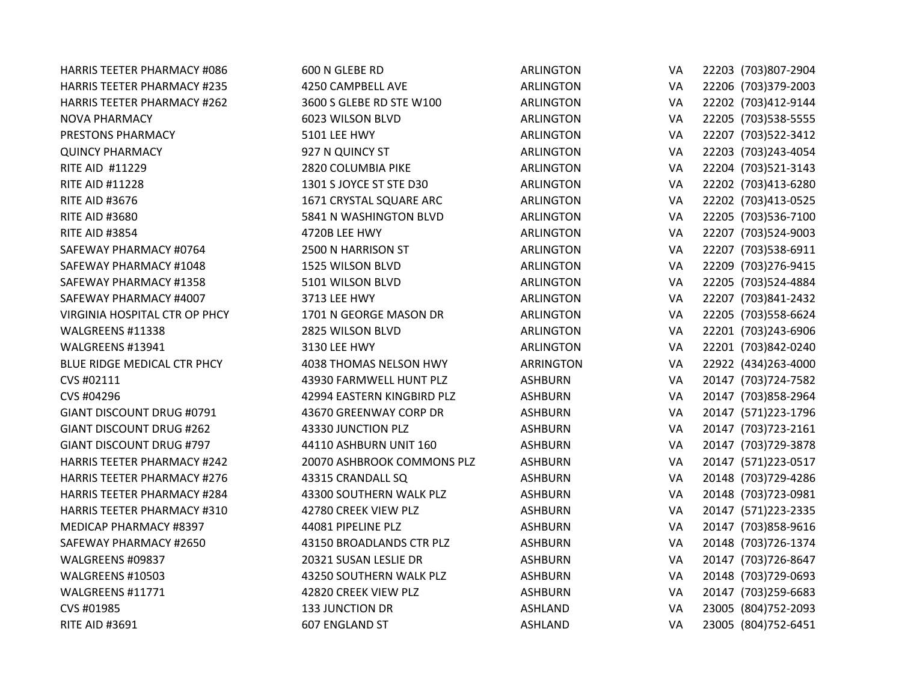| <b>HARRIS TEETER PHARMACY #086</b> | 600 N GLEBE RD             | <b>ARLINGTON</b> | VA | 22203 (703)807-2904  |
|------------------------------------|----------------------------|------------------|----|----------------------|
| <b>HARRIS TEETER PHARMACY #235</b> | 4250 CAMPBELL AVE          | <b>ARLINGTON</b> | VA | 22206 (703)379-2003  |
| <b>HARRIS TEETER PHARMACY #262</b> | 3600 S GLEBE RD STE W100   | <b>ARLINGTON</b> | VA | 22202 (703)412-9144  |
| <b>NOVA PHARMACY</b>               | 6023 WILSON BLVD           | <b>ARLINGTON</b> | VA | 22205 (703) 538-5555 |
| PRESTONS PHARMACY                  | <b>5101 LEE HWY</b>        | <b>ARLINGTON</b> | VA | 22207 (703) 522-3412 |
| <b>QUINCY PHARMACY</b>             | 927 N QUINCY ST            | <b>ARLINGTON</b> | VA | 22203 (703)243-4054  |
| RITE AID #11229                    | 2820 COLUMBIA PIKE         | <b>ARLINGTON</b> | VA | 22204 (703)521-3143  |
| <b>RITE AID #11228</b>             | 1301 S JOYCE ST STE D30    | <b>ARLINGTON</b> | VA | 22202 (703)413-6280  |
| <b>RITE AID #3676</b>              | 1671 CRYSTAL SQUARE ARC    | <b>ARLINGTON</b> | VA | 22202 (703)413-0525  |
| <b>RITE AID #3680</b>              | 5841 N WASHINGTON BLVD     | <b>ARLINGTON</b> | VA | 22205 (703)536-7100  |
| <b>RITE AID #3854</b>              | 4720B LEE HWY              | <b>ARLINGTON</b> | VA | 22207 (703)524-9003  |
| SAFEWAY PHARMACY #0764             | 2500 N HARRISON ST         | <b>ARLINGTON</b> | VA | 22207 (703)538-6911  |
| SAFEWAY PHARMACY #1048             | 1525 WILSON BLVD           | <b>ARLINGTON</b> | VA | 22209 (703) 276-9415 |
| SAFEWAY PHARMACY #1358             | 5101 WILSON BLVD           | <b>ARLINGTON</b> | VA | 22205 (703)524-4884  |
| SAFEWAY PHARMACY #4007             | 3713 LEE HWY               | <b>ARLINGTON</b> | VA | 22207 (703)841-2432  |
| VIRGINIA HOSPITAL CTR OP PHCY      | 1701 N GEORGE MASON DR     | <b>ARLINGTON</b> | VA | 22205 (703) 558-6624 |
| WALGREENS #11338                   | 2825 WILSON BLVD           | <b>ARLINGTON</b> | VA | 22201 (703)243-6906  |
| WALGREENS #13941                   | 3130 LEE HWY               | <b>ARLINGTON</b> | VA | 22201 (703)842-0240  |
| BLUE RIDGE MEDICAL CTR PHCY        | 4038 THOMAS NELSON HWY     | <b>ARRINGTON</b> | VA | 22922 (434)263-4000  |
| CVS #02111                         | 43930 FARMWELL HUNT PLZ    | <b>ASHBURN</b>   | VA | 20147 (703)724-7582  |
| CVS #04296                         | 42994 EASTERN KINGBIRD PLZ | <b>ASHBURN</b>   | VA | 20147 (703)858-2964  |
| GIANT DISCOUNT DRUG #0791          | 43670 GREENWAY CORP DR     | <b>ASHBURN</b>   | VA | 20147 (571)223-1796  |
| <b>GIANT DISCOUNT DRUG #262</b>    | 43330 JUNCTION PLZ         | <b>ASHBURN</b>   | VA | 20147 (703) 723-2161 |
| <b>GIANT DISCOUNT DRUG #797</b>    | 44110 ASHBURN UNIT 160     | <b>ASHBURN</b>   | VA | 20147 (703) 729-3878 |
| <b>HARRIS TEETER PHARMACY #242</b> | 20070 ASHBROOK COMMONS PLZ | <b>ASHBURN</b>   | VA | 20147 (571)223-0517  |
| <b>HARRIS TEETER PHARMACY #276</b> | 43315 CRANDALL SQ          | <b>ASHBURN</b>   | VA | 20148 (703)729-4286  |
| <b>HARRIS TEETER PHARMACY #284</b> | 43300 SOUTHERN WALK PLZ    | <b>ASHBURN</b>   | VA | 20148 (703)723-0981  |
| <b>HARRIS TEETER PHARMACY #310</b> | 42780 CREEK VIEW PLZ       | <b>ASHBURN</b>   | VA | 20147 (571)223-2335  |
| MEDICAP PHARMACY #8397             | 44081 PIPELINE PLZ         | <b>ASHBURN</b>   | VA | 20147 (703)858-9616  |
| SAFEWAY PHARMACY #2650             | 43150 BROADLANDS CTR PLZ   | <b>ASHBURN</b>   | VA | 20148 (703) 726-1374 |
| WALGREENS #09837                   | 20321 SUSAN LESLIE DR      | <b>ASHBURN</b>   | VA | 20147 (703) 726-8647 |
| WALGREENS #10503                   | 43250 SOUTHERN WALK PLZ    | <b>ASHBURN</b>   | VA | 20148 (703)729-0693  |
| WALGREENS #11771                   | 42820 CREEK VIEW PLZ       | <b>ASHBURN</b>   | VA | 20147 (703)259-6683  |
| CVS #01985                         | <b>133 JUNCTION DR</b>     | <b>ASHLAND</b>   | VA | 23005 (804) 752-2093 |
| <b>RITE AID #3691</b>              | 607 ENGLAND ST             | <b>ASHLAND</b>   | VA | 23005 (804) 752-6451 |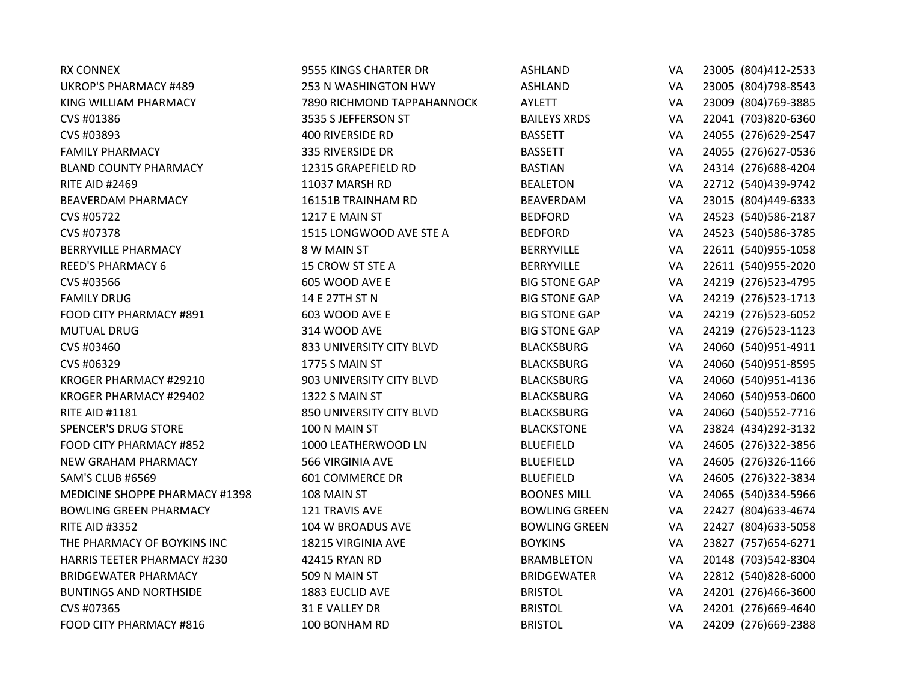| <b>RX CONNEX</b>                   | 9555 KINGS CHARTER DR      | <b>ASHLAND</b>       | VA | 23005 (804)412-2533  |
|------------------------------------|----------------------------|----------------------|----|----------------------|
| <b>UKROP'S PHARMACY #489</b>       | 253 N WASHINGTON HWY       | <b>ASHLAND</b>       | VA | 23005 (804) 798-8543 |
| KING WILLIAM PHARMACY              | 7890 RICHMOND TAPPAHANNOCK | AYLETT               | VA | 23009 (804) 769-3885 |
| CVS #01386                         | 3535 S JEFFERSON ST        | <b>BAILEYS XRDS</b>  | VA | 22041 (703)820-6360  |
| CVS #03893                         | <b>400 RIVERSIDE RD</b>    | <b>BASSETT</b>       | VA | 24055 (276) 629-2547 |
| <b>FAMILY PHARMACY</b>             | 335 RIVERSIDE DR           | <b>BASSETT</b>       | VA | 24055 (276) 627-0536 |
| <b>BLAND COUNTY PHARMACY</b>       | 12315 GRAPEFIELD RD        | <b>BASTIAN</b>       | VA | 24314 (276) 688-4204 |
| <b>RITE AID #2469</b>              | 11037 MARSH RD             | <b>BEALETON</b>      | VA | 22712 (540)439-9742  |
| <b>BEAVERDAM PHARMACY</b>          | 16151B TRAINHAM RD         | BEAVERDAM            | VA | 23015 (804)449-6333  |
| CVS #05722                         | 1217 E MAIN ST             | <b>BEDFORD</b>       | VA | 24523 (540) 586-2187 |
| CVS #07378                         | 1515 LONGWOOD AVE STE A    | <b>BEDFORD</b>       | VA | 24523 (540) 586-3785 |
| <b>BERRYVILLE PHARMACY</b>         | 8 W MAIN ST                | <b>BERRYVILLE</b>    | VA | 22611 (540)955-1058  |
| <b>REED'S PHARMACY 6</b>           | 15 CROW ST STE A           | <b>BERRYVILLE</b>    | VA | 22611 (540)955-2020  |
| CVS #03566                         | 605 WOOD AVE E             | <b>BIG STONE GAP</b> | VA | 24219 (276) 523-4795 |
| <b>FAMILY DRUG</b>                 | 14 E 27TH ST N             | <b>BIG STONE GAP</b> | VA | 24219 (276)523-1713  |
| FOOD CITY PHARMACY #891            | 603 WOOD AVE E             | <b>BIG STONE GAP</b> | VA | 24219 (276)523-6052  |
| <b>MUTUAL DRUG</b>                 | 314 WOOD AVE               | <b>BIG STONE GAP</b> | VA | 24219 (276)523-1123  |
| CVS #03460                         | 833 UNIVERSITY CITY BLVD   | <b>BLACKSBURG</b>    | VA | 24060 (540)951-4911  |
| CVS #06329                         | 1775 S MAIN ST             | <b>BLACKSBURG</b>    | VA | 24060 (540)951-8595  |
| KROGER PHARMACY #29210             | 903 UNIVERSITY CITY BLVD   | <b>BLACKSBURG</b>    | VA | 24060 (540)951-4136  |
| KROGER PHARMACY #29402             | 1322 S MAIN ST             | <b>BLACKSBURG</b>    | VA | 24060 (540)953-0600  |
| <b>RITE AID #1181</b>              | 850 UNIVERSITY CITY BLVD   | <b>BLACKSBURG</b>    | VA | 24060 (540) 552-7716 |
| <b>SPENCER'S DRUG STORE</b>        | 100 N MAIN ST              | <b>BLACKSTONE</b>    | VA | 23824 (434) 292-3132 |
| FOOD CITY PHARMACY #852            | 1000 LEATHERWOOD LN        | <b>BLUEFIELD</b>     | VA | 24605 (276)322-3856  |
| <b>NEW GRAHAM PHARMACY</b>         | 566 VIRGINIA AVE           | <b>BLUEFIELD</b>     | VA | 24605 (276)326-1166  |
| SAM'S CLUB #6569                   | <b>601 COMMERCE DR</b>     | <b>BLUEFIELD</b>     | VA | 24605 (276)322-3834  |
| MEDICINE SHOPPE PHARMACY #1398     | 108 MAIN ST                | <b>BOONES MILL</b>   | VA | 24065 (540)334-5966  |
| <b>BOWLING GREEN PHARMACY</b>      | 121 TRAVIS AVE             | <b>BOWLING GREEN</b> | VA | 22427 (804) 633-4674 |
| <b>RITE AID #3352</b>              | 104 W BROADUS AVE          | <b>BOWLING GREEN</b> | VA | 22427 (804) 633-5058 |
| THE PHARMACY OF BOYKINS INC        | 18215 VIRGINIA AVE         | <b>BOYKINS</b>       | VA | 23827 (757) 654-6271 |
| <b>HARRIS TEETER PHARMACY #230</b> | 42415 RYAN RD              | <b>BRAMBLETON</b>    | VA | 20148 (703)542-8304  |
| <b>BRIDGEWATER PHARMACY</b>        | 509 N MAIN ST              | <b>BRIDGEWATER</b>   | VA | 22812 (540)828-6000  |
| <b>BUNTINGS AND NORTHSIDE</b>      | 1883 EUCLID AVE            | <b>BRISTOL</b>       | VA | 24201 (276)466-3600  |
| CVS #07365                         | 31 E VALLEY DR             | <b>BRISTOL</b>       | VA | 24201 (276)669-4640  |
| FOOD CITY PHARMACY #816            | 100 BONHAM RD              | <b>BRISTOL</b>       | VA | 24209 (276)669-2388  |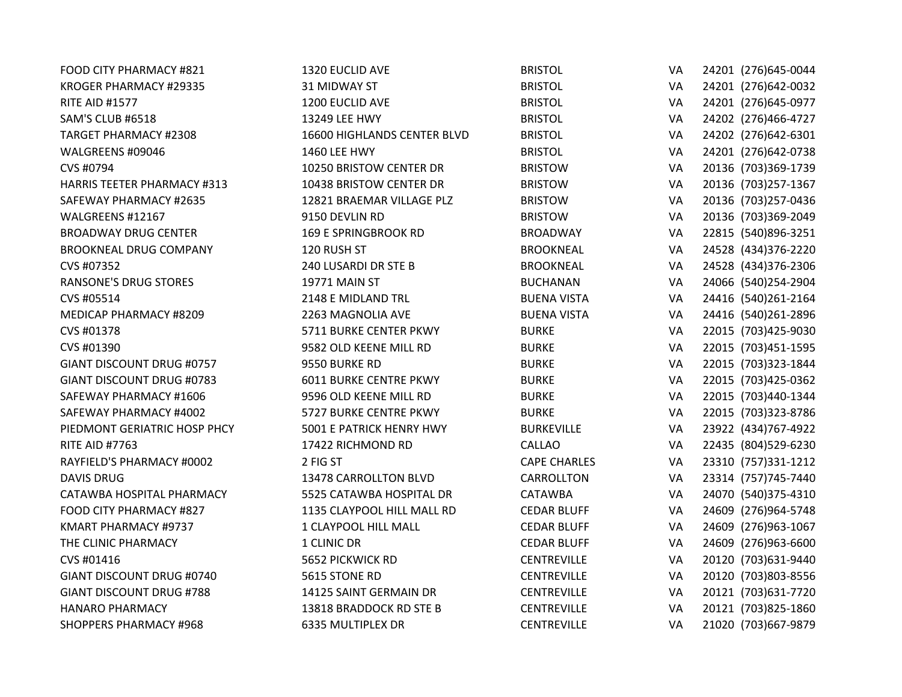| FOOD CITY PHARMACY #821            | 1320 EUCLID AVE               | <b>BRISTOL</b>      | VA | 24201 (276) 645-0044 |
|------------------------------------|-------------------------------|---------------------|----|----------------------|
| KROGER PHARMACY #29335             | <b>31 MIDWAY ST</b>           | <b>BRISTOL</b>      | VA | 24201 (276)642-0032  |
| <b>RITE AID #1577</b>              | 1200 EUCLID AVE               | <b>BRISTOL</b>      | VA | 24201 (276)645-0977  |
| SAM'S CLUB #6518                   | 13249 LEE HWY                 | <b>BRISTOL</b>      | VA | 24202 (276)466-4727  |
| <b>TARGET PHARMACY #2308</b>       | 16600 HIGHLANDS CENTER BLVD   | <b>BRISTOL</b>      | VA | 24202 (276)642-6301  |
| WALGREENS #09046                   | <b>1460 LEE HWY</b>           | <b>BRISTOL</b>      | VA | 24201 (276)642-0738  |
| CVS #0794                          | 10250 BRISTOW CENTER DR       | <b>BRISTOW</b>      | VA | 20136 (703)369-1739  |
| <b>HARRIS TEETER PHARMACY #313</b> | 10438 BRISTOW CENTER DR       | <b>BRISTOW</b>      | VA | 20136 (703)257-1367  |
| SAFEWAY PHARMACY #2635             | 12821 BRAEMAR VILLAGE PLZ     | <b>BRISTOW</b>      | VA | 20136 (703)257-0436  |
| WALGREENS #12167                   | 9150 DEVLIN RD                | <b>BRISTOW</b>      | VA | 20136 (703)369-2049  |
| <b>BROADWAY DRUG CENTER</b>        | <b>169 E SPRINGBROOK RD</b>   | <b>BROADWAY</b>     | VA | 22815 (540)896-3251  |
| <b>BROOKNEAL DRUG COMPANY</b>      | 120 RUSH ST                   | <b>BROOKNEAL</b>    | VA | 24528 (434)376-2220  |
| CVS #07352                         | 240 LUSARDI DR STE B          | <b>BROOKNEAL</b>    | VA | 24528 (434)376-2306  |
| <b>RANSONE'S DRUG STORES</b>       | 19771 MAIN ST                 | <b>BUCHANAN</b>     | VA | 24066 (540)254-2904  |
| CVS #05514                         | 2148 E MIDLAND TRL            | <b>BUENA VISTA</b>  | VA | 24416 (540)261-2164  |
| MEDICAP PHARMACY #8209             | 2263 MAGNOLIA AVE             | <b>BUENA VISTA</b>  | VA | 24416 (540)261-2896  |
| CVS #01378                         | 5711 BURKE CENTER PKWY        | <b>BURKE</b>        | VA | 22015 (703)425-9030  |
| CVS #01390                         | 9582 OLD KEENE MILL RD        | <b>BURKE</b>        | VA | 22015 (703)451-1595  |
| <b>GIANT DISCOUNT DRUG #0757</b>   | 9550 BURKE RD                 | <b>BURKE</b>        | VA | 22015 (703)323-1844  |
| <b>GIANT DISCOUNT DRUG #0783</b>   | <b>6011 BURKE CENTRE PKWY</b> | <b>BURKE</b>        | VA | 22015 (703)425-0362  |
| SAFEWAY PHARMACY #1606             | 9596 OLD KEENE MILL RD        | <b>BURKE</b>        | VA | 22015 (703)440-1344  |
| SAFEWAY PHARMACY #4002             | 5727 BURKE CENTRE PKWY        | <b>BURKE</b>        | VA | 22015 (703)323-8786  |
| PIEDMONT GERIATRIC HOSP PHCY       | 5001 E PATRICK HENRY HWY      | <b>BURKEVILLE</b>   | VA | 23922 (434)767-4922  |
| <b>RITE AID #7763</b>              | 17422 RICHMOND RD             | <b>CALLAO</b>       | VA | 22435 (804) 529-6230 |
| RAYFIELD'S PHARMACY #0002          | 2 FIG ST                      | <b>CAPE CHARLES</b> | VA | 23310 (757)331-1212  |
| <b>DAVIS DRUG</b>                  | 13478 CARROLLTON BLVD         | CARROLLTON          | VA | 23314 (757) 745-7440 |
| CATAWBA HOSPITAL PHARMACY          | 5525 CATAWBA HOSPITAL DR      | <b>CATAWBA</b>      | VA | 24070 (540)375-4310  |
| FOOD CITY PHARMACY #827            | 1135 CLAYPOOL HILL MALL RD    | <b>CEDAR BLUFF</b>  | VA | 24609 (276)964-5748  |
| KMART PHARMACY #9737               | 1 CLAYPOOL HILL MALL          | <b>CEDAR BLUFF</b>  | VA | 24609 (276)963-1067  |
| THE CLINIC PHARMACY                | 1 CLINIC DR                   | <b>CEDAR BLUFF</b>  | VA | 24609 (276)963-6600  |
| CVS #01416                         | 5652 PICKWICK RD              | <b>CENTREVILLE</b>  | VA | 20120 (703) 631-9440 |
| GIANT DISCOUNT DRUG #0740          | 5615 STONE RD                 | <b>CENTREVILLE</b>  | VA | 20120 (703)803-8556  |
| <b>GIANT DISCOUNT DRUG #788</b>    | 14125 SAINT GERMAIN DR        | <b>CENTREVILLE</b>  | VA | 20121 (703) 631-7720 |
| <b>HANARO PHARMACY</b>             | 13818 BRADDOCK RD STE B       | <b>CENTREVILLE</b>  | VA | 20121 (703)825-1860  |
| <b>SHOPPERS PHARMACY #968</b>      | <b>6335 MULTIPLEX DR</b>      | <b>CENTREVILLE</b>  | VA | 21020 (703) 667-9879 |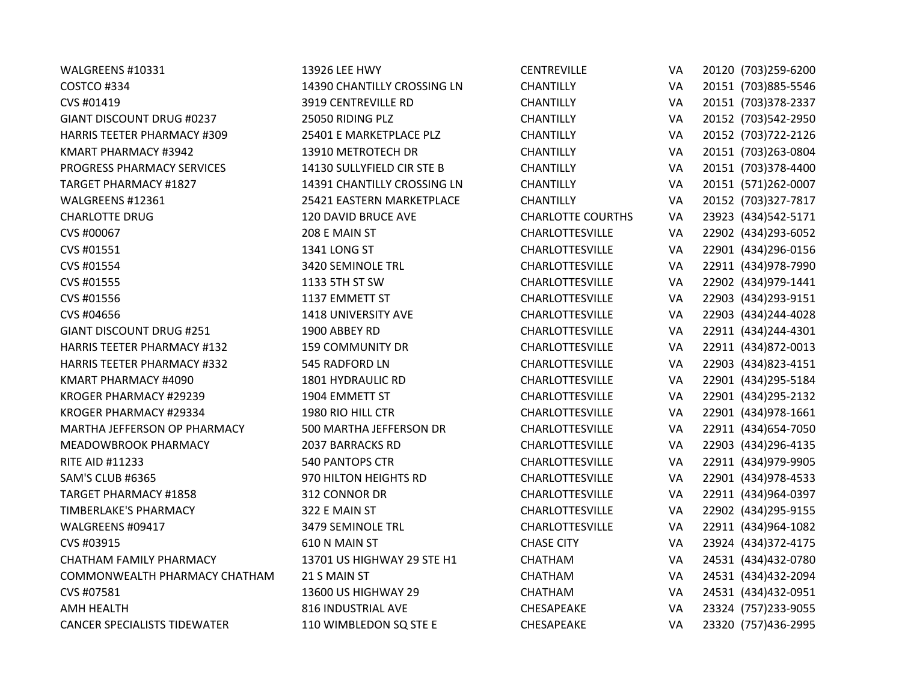| WALGREENS #10331                    | 13926 LEE HWY               | <b>CENTREVILLE</b>       | VA | 20120 (703)259-6200  |
|-------------------------------------|-----------------------------|--------------------------|----|----------------------|
| COSTCO #334                         | 14390 CHANTILLY CROSSING LN | <b>CHANTILLY</b>         | VA | 20151 (703)885-5546  |
| CVS #01419                          | <b>3919 CENTREVILLE RD</b>  | <b>CHANTILLY</b>         | VA | 20151 (703)378-2337  |
| GIANT DISCOUNT DRUG #0237           | 25050 RIDING PLZ            | <b>CHANTILLY</b>         | VA | 20152 (703)542-2950  |
| <b>HARRIS TEETER PHARMACY #309</b>  | 25401 E MARKETPLACE PLZ     | <b>CHANTILLY</b>         | VA | 20152 (703) 722-2126 |
| KMART PHARMACY #3942                | 13910 METROTECH DR          | <b>CHANTILLY</b>         | VA | 20151 (703)263-0804  |
| PROGRESS PHARMACY SERVICES          | 14130 SULLYFIELD CIR STE B  | <b>CHANTILLY</b>         | VA | 20151 (703)378-4400  |
| <b>TARGET PHARMACY #1827</b>        | 14391 CHANTILLY CROSSING LN | <b>CHANTILLY</b>         | VA | 20151 (571)262-0007  |
| WALGREENS #12361                    | 25421 EASTERN MARKETPLACE   | <b>CHANTILLY</b>         | VA | 20152 (703)327-7817  |
| <b>CHARLOTTE DRUG</b>               | 120 DAVID BRUCE AVE         | <b>CHARLOTTE COURTHS</b> | VA | 23923 (434)542-5171  |
| CVS #00067                          | 208 E MAIN ST               | CHARLOTTESVILLE          | VA | 22902 (434) 293-6052 |
| CVS #01551                          | 1341 LONG ST                | CHARLOTTESVILLE          | VA | 22901 (434)296-0156  |
| CVS #01554                          | 3420 SEMINOLE TRL           | <b>CHARLOTTESVILLE</b>   | VA | 22911 (434) 978-7990 |
| CVS #01555                          | 1133 5TH ST SW              | <b>CHARLOTTESVILLE</b>   | VA | 22902 (434) 979-1441 |
| CVS #01556                          | 1137 EMMETT ST              | CHARLOTTESVILLE          | VA | 22903 (434) 293-9151 |
| CVS #04656                          | 1418 UNIVERSITY AVE         | <b>CHARLOTTESVILLE</b>   | VA | 22903 (434) 244-4028 |
| <b>GIANT DISCOUNT DRUG #251</b>     | 1900 ABBEY RD               | CHARLOTTESVILLE          | VA | 22911 (434) 244-4301 |
| <b>HARRIS TEETER PHARMACY #132</b>  | <b>159 COMMUNITY DR</b>     | CHARLOTTESVILLE          | VA | 22911 (434)872-0013  |
| <b>HARRIS TEETER PHARMACY #332</b>  | 545 RADFORD LN              | <b>CHARLOTTESVILLE</b>   | VA | 22903 (434) 823-4151 |
| KMART PHARMACY #4090                | 1801 HYDRAULIC RD           | CHARLOTTESVILLE          | VA | 22901 (434) 295-5184 |
| KROGER PHARMACY #29239              | 1904 EMMETT ST              | <b>CHARLOTTESVILLE</b>   | VA | 22901 (434) 295-2132 |
| KROGER PHARMACY #29334              | 1980 RIO HILL CTR           | CHARLOTTESVILLE          | VA | 22901 (434) 978-1661 |
| MARTHA JEFFERSON OP PHARMACY        | 500 MARTHA JEFFERSON DR     | <b>CHARLOTTESVILLE</b>   | VA | 22911 (434) 654-7050 |
| MEADOWBROOK PHARMACY                | 2037 BARRACKS RD            | CHARLOTTESVILLE          | VA | 22903 (434) 296-4135 |
| <b>RITE AID #11233</b>              | <b>540 PANTOPS CTR</b>      | CHARLOTTESVILLE          | VA | 22911 (434) 979-9905 |
| SAM'S CLUB #6365                    | 970 HILTON HEIGHTS RD       | <b>CHARLOTTESVILLE</b>   | VA | 22901 (434) 978-4533 |
| <b>TARGET PHARMACY #1858</b>        | 312 CONNOR DR               | CHARLOTTESVILLE          | VA | 22911 (434)964-0397  |
| <b>TIMBERLAKE'S PHARMACY</b>        | 322 E MAIN ST               | <b>CHARLOTTESVILLE</b>   | VA | 22902 (434) 295-9155 |
| WALGREENS #09417                    | 3479 SEMINOLE TRL           | CHARLOTTESVILLE          | VA | 22911 (434)964-1082  |
| CVS #03915                          | 610 N MAIN ST               | <b>CHASE CITY</b>        | VA | 23924 (434) 372-4175 |
| <b>CHATHAM FAMILY PHARMACY</b>      | 13701 US HIGHWAY 29 STE H1  | <b>CHATHAM</b>           | VA | 24531 (434)432-0780  |
| COMMONWEALTH PHARMACY CHATHAM       | 21 S MAIN ST                | CHATHAM                  | VA | 24531 (434)432-2094  |
| CVS #07581                          | 13600 US HIGHWAY 29         | CHATHAM                  | VA | 24531 (434)432-0951  |
| <b>AMH HEALTH</b>                   | 816 INDUSTRIAL AVE          | CHESAPEAKE               | VA | 23324 (757)233-9055  |
| <b>CANCER SPECIALISTS TIDEWATER</b> | 110 WIMBLEDON SQ STE E      | CHESAPEAKE               | VA | 23320 (757)436-2995  |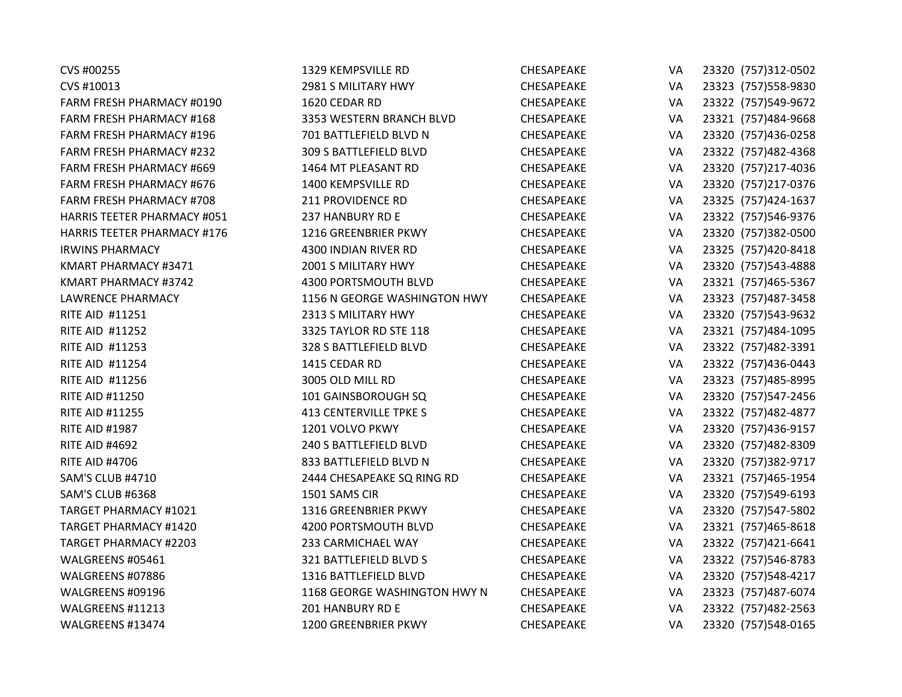| CVS #00255                         | 1329 KEMPSVILLE RD            | <b>CHESAPEAKE</b> | VA | 23320 (757)312-0502  |
|------------------------------------|-------------------------------|-------------------|----|----------------------|
| CVS #10013                         | 2981 S MILITARY HWY           | CHESAPEAKE        | VA | 23323 (757) 558-9830 |
| <b>FARM FRESH PHARMACY #0190</b>   | 1620 CEDAR RD                 | CHESAPEAKE        | VA | 23322 (757)549-9672  |
| FARM FRESH PHARMACY #168           | 3353 WESTERN BRANCH BLVD      | CHESAPEAKE        | VA | 23321 (757)484-9668  |
| <b>FARM FRESH PHARMACY #196</b>    | 701 BATTLEFIELD BLVD N        | CHESAPEAKE        | VA | 23320 (757)436-0258  |
| FARM FRESH PHARMACY #232           | 309 S BATTLEFIELD BLVD        | CHESAPEAKE        | VA | 23322 (757)482-4368  |
| FARM FRESH PHARMACY #669           | 1464 MT PLEASANT RD           | CHESAPEAKE        | VA | 23320 (757)217-4036  |
| <b>FARM FRESH PHARMACY #676</b>    | 1400 KEMPSVILLE RD            | CHESAPEAKE        | VA | 23320 (757)217-0376  |
| <b>FARM FRESH PHARMACY #708</b>    | 211 PROVIDENCE RD             | CHESAPEAKE        | VA | 23325 (757)424-1637  |
| <b>HARRIS TEETER PHARMACY #051</b> | 237 HANBURY RD E              | CHESAPEAKE        | VA | 23322 (757)546-9376  |
| <b>HARRIS TEETER PHARMACY #176</b> | 1216 GREENBRIER PKWY          | CHESAPEAKE        | VA | 23320 (757)382-0500  |
| <b>IRWINS PHARMACY</b>             | 4300 INDIAN RIVER RD          | CHESAPEAKE        | VA | 23325 (757)420-8418  |
| KMART PHARMACY #3471               | 2001 S MILITARY HWY           | CHESAPEAKE        | VA | 23320 (757)543-4888  |
| KMART PHARMACY #3742               | 4300 PORTSMOUTH BLVD          | CHESAPEAKE        | VA | 23321 (757)465-5367  |
| <b>LAWRENCE PHARMACY</b>           | 1156 N GEORGE WASHINGTON HWY  | CHESAPEAKE        | VA | 23323 (757) 487-3458 |
| RITE AID #11251                    | 2313 S MILITARY HWY           | CHESAPEAKE        | VA | 23320 (757)543-9632  |
| <b>RITE AID #11252</b>             | 3325 TAYLOR RD STE 118        | CHESAPEAKE        | VA | 23321 (757)484-1095  |
| RITE AID #11253                    | 328 S BATTLEFIELD BLVD        | CHESAPEAKE        | VA | 23322 (757)482-3391  |
| <b>RITE AID #11254</b>             | 1415 CEDAR RD                 | CHESAPEAKE        | VA | 23322 (757)436-0443  |
| RITE AID #11256                    | 3005 OLD MILL RD              | CHESAPEAKE        | VA | 23323 (757) 485-8995 |
| <b>RITE AID #11250</b>             | 101 GAINSBOROUGH SQ           | CHESAPEAKE        | VA | 23320 (757)547-2456  |
| <b>RITE AID #11255</b>             | <b>413 CENTERVILLE TPKE S</b> | CHESAPEAKE        | VA | 23322 (757)482-4877  |
| <b>RITE AID #1987</b>              | 1201 VOLVO PKWY               | CHESAPEAKE        | VA | 23320 (757)436-9157  |
| <b>RITE AID #4692</b>              | 240 S BATTLEFIELD BLVD        | CHESAPEAKE        | VA | 23320 (757)482-8309  |
| <b>RITE AID #4706</b>              | 833 BATTLEFIELD BLVD N        | CHESAPEAKE        | VA | 23320 (757)382-9717  |
| SAM'S CLUB #4710                   | 2444 CHESAPEAKE SQ RING RD    | CHESAPEAKE        | VA | 23321 (757)465-1954  |
| SAM'S CLUB #6368                   | 1501 SAMS CIR                 | CHESAPEAKE        | VA | 23320 (757)549-6193  |
| <b>TARGET PHARMACY #1021</b>       | 1316 GREENBRIER PKWY          | CHESAPEAKE        | VA | 23320 (757)547-5802  |
| <b>TARGET PHARMACY #1420</b>       | 4200 PORTSMOUTH BLVD          | CHESAPEAKE        | VA | 23321 (757)465-8618  |
| <b>TARGET PHARMACY #2203</b>       | 233 CARMICHAEL WAY            | CHESAPEAKE        | VA | 23322 (757)421-6641  |
| WALGREENS #05461                   | 321 BATTLEFIELD BLVD S        | CHESAPEAKE        | VA | 23322 (757)546-8783  |
| WALGREENS #07886                   | 1316 BATTLEFIELD BLVD         | CHESAPEAKE        | VA | 23320 (757)548-4217  |
| WALGREENS #09196                   | 1168 GEORGE WASHINGTON HWY N  | CHESAPEAKE        | VA | 23323 (757)487-6074  |
| WALGREENS #11213                   | 201 HANBURY RD E              | CHESAPEAKE        | VA | 23322 (757)482-2563  |
| WALGREENS #13474                   | 1200 GREENBRIER PKWY          | <b>CHESAPEAKE</b> | VA | 23320 (757)548-0165  |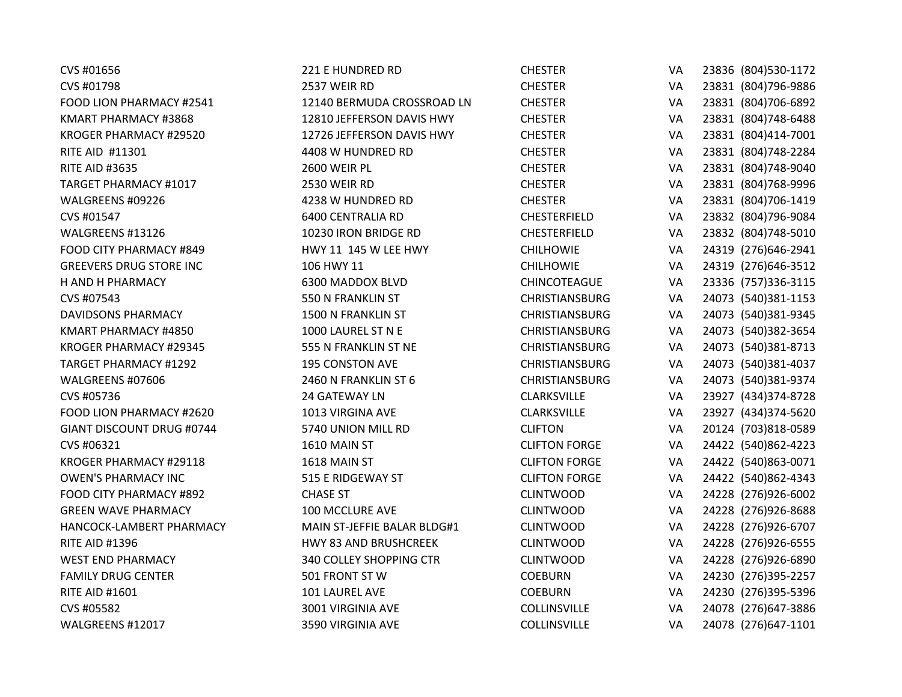| CVS #01656                     | 221 E HUNDRED RD             | <b>CHESTER</b>        | VA | 23836 (804)530-1172  |
|--------------------------------|------------------------------|-----------------------|----|----------------------|
| CVS #01798                     | 2537 WEIR RD                 | <b>CHESTER</b>        | VA | 23831 (804)796-9886  |
| FOOD LION PHARMACY #2541       | 12140 BERMUDA CROSSROAD LN   | <b>CHESTER</b>        | VA | 23831 (804)706-6892  |
| KMART PHARMACY #3868           | 12810 JEFFERSON DAVIS HWY    | <b>CHESTER</b>        | VA | 23831 (804) 748-6488 |
| KROGER PHARMACY #29520         | 12726 JEFFERSON DAVIS HWY    | <b>CHESTER</b>        | VA | 23831 (804)414-7001  |
| RITE AID #11301                | 4408 W HUNDRED RD            | <b>CHESTER</b>        | VA | 23831 (804) 748-2284 |
| <b>RITE AID #3635</b>          | 2600 WEIR PL                 | <b>CHESTER</b>        | VA | 23831 (804)748-9040  |
| TARGET PHARMACY #1017          | 2530 WEIR RD                 | <b>CHESTER</b>        | VA | 23831 (804) 768-9996 |
| WALGREENS #09226               | 4238 W HUNDRED RD            | <b>CHESTER</b>        | VA | 23831 (804)706-1419  |
| CVS #01547                     | <b>6400 CENTRALIA RD</b>     | <b>CHESTERFIELD</b>   | VA | 23832 (804)796-9084  |
| WALGREENS #13126               | 10230 IRON BRIDGE RD         | <b>CHESTERFIELD</b>   | VA | 23832 (804)748-5010  |
| FOOD CITY PHARMACY #849        | HWY 11 145 W LEE HWY         | <b>CHILHOWIE</b>      | VA | 24319 (276)646-2941  |
| <b>GREEVERS DRUG STORE INC</b> | 106 HWY 11                   | <b>CHILHOWIE</b>      | VA | 24319 (276)646-3512  |
| H AND H PHARMACY               | 6300 MADDOX BLVD             | CHINCOTEAGUE          | VA | 23336 (757)336-3115  |
| CVS #07543                     | 550 N FRANKLIN ST            | <b>CHRISTIANSBURG</b> | VA | 24073 (540)381-1153  |
| <b>DAVIDSONS PHARMACY</b>      | 1500 N FRANKLIN ST           | CHRISTIANSBURG        | VA | 24073 (540)381-9345  |
| KMART PHARMACY #4850           | 1000 LAUREL ST N E           | <b>CHRISTIANSBURG</b> | VA | 24073 (540)382-3654  |
| KROGER PHARMACY #29345         | 555 N FRANKLIN ST NE         | <b>CHRISTIANSBURG</b> | VA | 24073 (540)381-8713  |
| <b>TARGET PHARMACY #1292</b>   | <b>195 CONSTON AVE</b>       | <b>CHRISTIANSBURG</b> | VA | 24073 (540)381-4037  |
| WALGREENS #07606               | 2460 N FRANKLIN ST 6         | <b>CHRISTIANSBURG</b> | VA | 24073 (540)381-9374  |
| CVS #05736                     | 24 GATEWAY LN                | <b>CLARKSVILLE</b>    | VA | 23927 (434)374-8728  |
| FOOD LION PHARMACY #2620       | 1013 VIRGINA AVE             | <b>CLARKSVILLE</b>    | VA | 23927 (434)374-5620  |
| GIANT DISCOUNT DRUG #0744      | 5740 UNION MILL RD           | <b>CLIFTON</b>        | VA | 20124 (703)818-0589  |
| CVS #06321                     | 1610 MAIN ST                 | <b>CLIFTON FORGE</b>  | VA | 24422 (540)862-4223  |
| KROGER PHARMACY #29118         | 1618 MAIN ST                 | <b>CLIFTON FORGE</b>  | VA | 24422 (540)863-0071  |
| <b>OWEN'S PHARMACY INC</b>     | 515 E RIDGEWAY ST            | <b>CLIFTON FORGE</b>  | VA | 24422 (540)862-4343  |
| FOOD CITY PHARMACY #892        | <b>CHASE ST</b>              | <b>CLINTWOOD</b>      | VA | 24228 (276)926-6002  |
| <b>GREEN WAVE PHARMACY</b>     | 100 MCCLURE AVE              | <b>CLINTWOOD</b>      | VA | 24228 (276)926-8688  |
| HANCOCK-LAMBERT PHARMACY       | MAIN ST-JEFFIE BALAR BLDG#1  | <b>CLINTWOOD</b>      | VA | 24228 (276)926-6707  |
| <b>RITE AID #1396</b>          | <b>HWY 83 AND BRUSHCREEK</b> | <b>CLINTWOOD</b>      | VA | 24228 (276)926-6555  |
| <b>WEST END PHARMACY</b>       | 340 COLLEY SHOPPING CTR      | <b>CLINTWOOD</b>      | VA | 24228 (276)926-6890  |
| <b>FAMILY DRUG CENTER</b>      | 501 FRONT STW                | <b>COEBURN</b>        | VA | 24230 (276)395-2257  |
| <b>RITE AID #1601</b>          | 101 LAUREL AVE               | <b>COEBURN</b>        | VA | 24230 (276)395-5396  |
| CVS #05582                     | 3001 VIRGINIA AVE            | COLLINSVILLE          | VA | 24078 (276) 647-3886 |
| WALGREENS #12017               | 3590 VIRGINIA AVE            | <b>COLLINSVILLE</b>   | VA | 24078 (276) 647-1101 |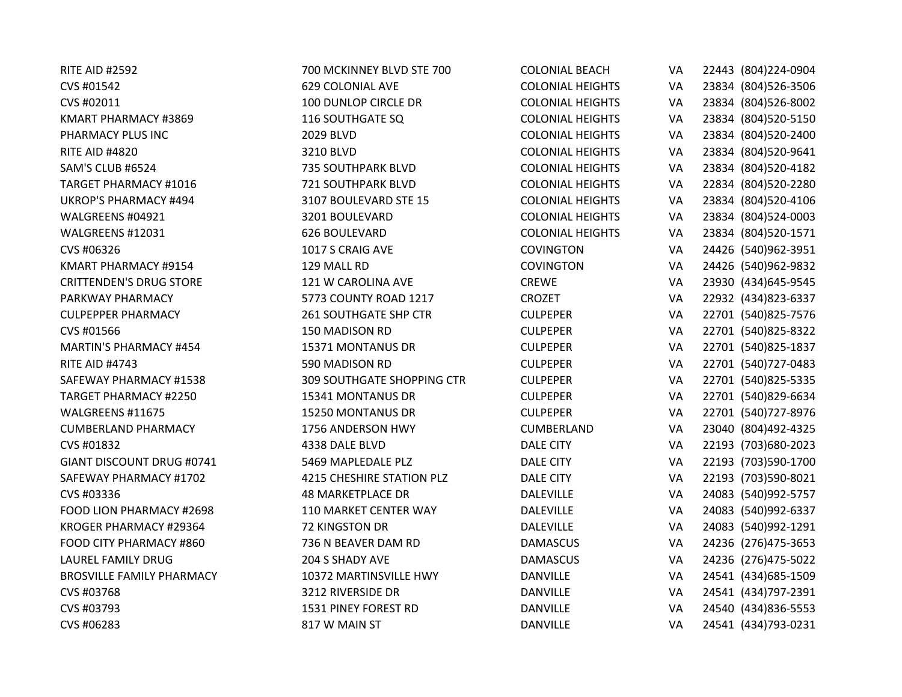| <b>RITE AID #2592</b>            | 700 MCKINNEY BLVD STE 700         | <b>COLONIAL BEACH</b>   | VA        | 22443 (804) 224-0904 |
|----------------------------------|-----------------------------------|-------------------------|-----------|----------------------|
| CVS #01542                       | <b>629 COLONIAL AVE</b>           | <b>COLONIAL HEIGHTS</b> | VA        | 23834 (804) 526-3506 |
| CVS #02011                       | 100 DUNLOP CIRCLE DR              | <b>COLONIAL HEIGHTS</b> | VA        | 23834 (804)526-8002  |
| KMART PHARMACY #3869             | 116 SOUTHGATE SQ                  | <b>COLONIAL HEIGHTS</b> | VA        | 23834 (804)520-5150  |
| PHARMACY PLUS INC                | 2029 BLVD                         | <b>COLONIAL HEIGHTS</b> | VA        | 23834 (804)520-2400  |
| <b>RITE AID #4820</b>            | 3210 BLVD                         | <b>COLONIAL HEIGHTS</b> | VA        | 23834 (804)520-9641  |
| SAM'S CLUB #6524                 | <b>735 SOUTHPARK BLVD</b>         | <b>COLONIAL HEIGHTS</b> | VA        | 23834 (804)520-4182  |
| <b>TARGET PHARMACY #1016</b>     | <b>721 SOUTHPARK BLVD</b>         | <b>COLONIAL HEIGHTS</b> | VA        | 22834 (804) 520-2280 |
| <b>UKROP'S PHARMACY #494</b>     | 3107 BOULEVARD STE 15             | <b>COLONIAL HEIGHTS</b> | VA        | 23834 (804)520-4106  |
| WALGREENS #04921                 | 3201 BOULEVARD                    | <b>COLONIAL HEIGHTS</b> | VA        | 23834 (804)524-0003  |
| WALGREENS #12031                 | 626 BOULEVARD                     | <b>COLONIAL HEIGHTS</b> | VA        | 23834 (804)520-1571  |
| CVS #06326                       | 1017 S CRAIG AVE                  | <b>COVINGTON</b>        | VA        | 24426 (540)962-3951  |
| KMART PHARMACY #9154             | 129 MALL RD                       | <b>COVINGTON</b>        | VA        | 24426 (540)962-9832  |
| <b>CRITTENDEN'S DRUG STORE</b>   | 121 W CAROLINA AVE                | <b>CREWE</b>            | <b>VA</b> | 23930 (434) 645-9545 |
| PARKWAY PHARMACY                 | 5773 COUNTY ROAD 1217             | CROZET                  | VA        | 22932 (434) 823-6337 |
| <b>CULPEPPER PHARMACY</b>        | <b>261 SOUTHGATE SHP CTR</b>      | <b>CULPEPER</b>         | VA        | 22701 (540)825-7576  |
| CVS #01566                       | 150 MADISON RD                    | <b>CULPEPER</b>         | VA        | 22701 (540)825-8322  |
| MARTIN'S PHARMACY #454           | 15371 MONTANUS DR                 | <b>CULPEPER</b>         | VA        | 22701 (540)825-1837  |
| <b>RITE AID #4743</b>            | 590 MADISON RD                    | <b>CULPEPER</b>         | VA        | 22701 (540) 727-0483 |
| SAFEWAY PHARMACY #1538           | <b>309 SOUTHGATE SHOPPING CTR</b> | <b>CULPEPER</b>         | VA        | 22701 (540)825-5335  |
| <b>TARGET PHARMACY #2250</b>     | 15341 MONTANUS DR                 | <b>CULPEPER</b>         | VA        | 22701 (540)829-6634  |
| WALGREENS #11675                 | 15250 MONTANUS DR                 | <b>CULPEPER</b>         | VA        | 22701 (540) 727-8976 |
| <b>CUMBERLAND PHARMACY</b>       | 1756 ANDERSON HWY                 | <b>CUMBERLAND</b>       | VA        | 23040 (804)492-4325  |
| CVS #01832                       | 4338 DALE BLVD                    | <b>DALE CITY</b>        | VA        | 22193 (703)680-2023  |
| GIANT DISCOUNT DRUG #0741        | 5469 MAPLEDALE PLZ                | <b>DALE CITY</b>        | VA        | 22193 (703)590-1700  |
| SAFEWAY PHARMACY #1702           | 4215 CHESHIRE STATION PLZ         | <b>DALE CITY</b>        | VA        | 22193 (703)590-8021  |
| CVS #03336                       | <b>48 MARKETPLACE DR</b>          | <b>DALEVILLE</b>        | VA        | 24083 (540)992-5757  |
| FOOD LION PHARMACY #2698         | 110 MARKET CENTER WAY             | <b>DALEVILLE</b>        | VA        | 24083 (540)992-6337  |
| KROGER PHARMACY #29364           | 72 KINGSTON DR                    | <b>DALEVILLE</b>        | VA        | 24083 (540)992-1291  |
| FOOD CITY PHARMACY #860          | 736 N BEAVER DAM RD               | <b>DAMASCUS</b>         | VA        | 24236 (276)475-3653  |
| LAUREL FAMILY DRUG               | 204 S SHADY AVE                   | <b>DAMASCUS</b>         | VA        | 24236 (276)475-5022  |
| <b>BROSVILLE FAMILY PHARMACY</b> | 10372 MARTINSVILLE HWY            | <b>DANVILLE</b>         | VA        | 24541 (434) 685-1509 |
| CVS #03768                       | 3212 RIVERSIDE DR                 | <b>DANVILLE</b>         | VA        | 24541 (434) 797-2391 |
| CVS #03793                       | 1531 PINEY FOREST RD              | <b>DANVILLE</b>         | VA        | 24540 (434)836-5553  |
| CVS #06283                       | 817 W MAIN ST                     | <b>DANVILLE</b>         | VA        | 24541 (434)793-0231  |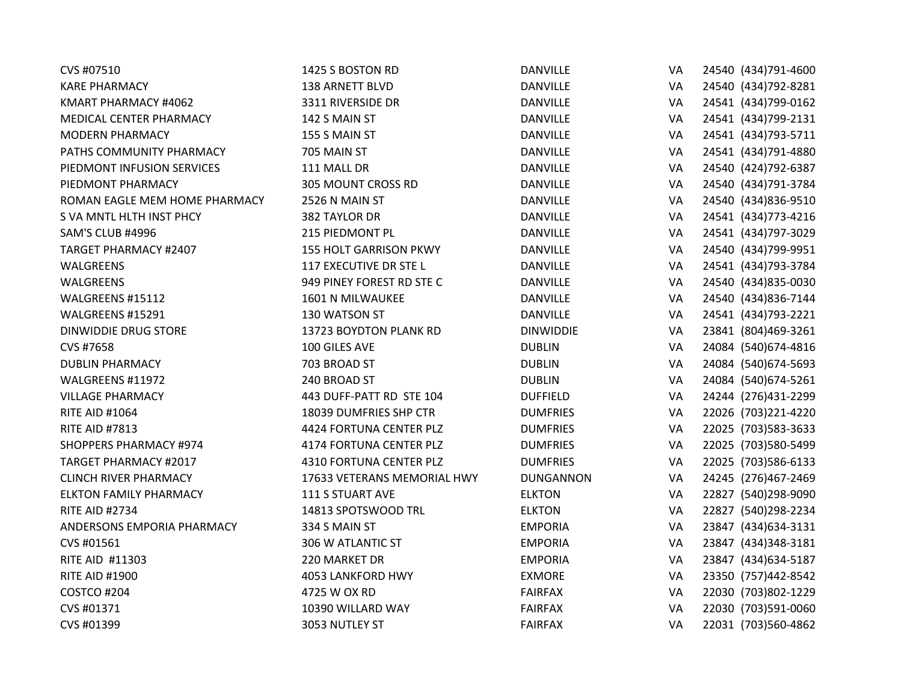| CVS #07510                    | 1425 S BOSTON RD              | <b>DANVILLE</b>  | VA        | 24540 (434)791-4600  |
|-------------------------------|-------------------------------|------------------|-----------|----------------------|
| <b>KARE PHARMACY</b>          | 138 ARNETT BLVD               | <b>DANVILLE</b>  | VA        | 24540 (434) 792-8281 |
| KMART PHARMACY #4062          | 3311 RIVERSIDE DR             | <b>DANVILLE</b>  | VA        | 24541 (434)799-0162  |
| MEDICAL CENTER PHARMACY       | 142 S MAIN ST                 | <b>DANVILLE</b>  | VA        | 24541 (434)799-2131  |
| <b>MODERN PHARMACY</b>        | 155 S MAIN ST                 | <b>DANVILLE</b>  | VA        | 24541 (434) 793-5711 |
| PATHS COMMUNITY PHARMACY      | 705 MAIN ST                   | <b>DANVILLE</b>  | VA        | 24541 (434) 791-4880 |
| PIEDMONT INFUSION SERVICES    | 111 MALL DR                   | <b>DANVILLE</b>  | VA        | 24540 (424) 792-6387 |
| PIEDMONT PHARMACY             | 305 MOUNT CROSS RD            | <b>DANVILLE</b>  | VA        | 24540 (434) 791-3784 |
| ROMAN EAGLE MEM HOME PHARMACY | 2526 N MAIN ST                | <b>DANVILLE</b>  | VA        | 24540 (434)836-9510  |
| S VA MNTL HLTH INST PHCY      | 382 TAYLOR DR                 | <b>DANVILLE</b>  | VA        | 24541 (434) 773-4216 |
| SAM'S CLUB #4996              | 215 PIEDMONT PL               | <b>DANVILLE</b>  | VA        | 24541 (434) 797-3029 |
| <b>TARGET PHARMACY #2407</b>  | <b>155 HOLT GARRISON PKWY</b> | DANVILLE         | VA        | 24540 (434)799-9951  |
| WALGREENS                     | 117 EXECUTIVE DR STE L        | <b>DANVILLE</b>  | VA        | 24541 (434) 793-3784 |
| WALGREENS                     | 949 PINEY FOREST RD STE C     | <b>DANVILLE</b>  | VA        | 24540 (434) 835-0030 |
| WALGREENS #15112              | 1601 N MILWAUKEE              | <b>DANVILLE</b>  | VA        | 24540 (434) 836-7144 |
| WALGREENS #15291              | 130 WATSON ST                 | <b>DANVILLE</b>  | VA        | 24541 (434) 793-2221 |
| <b>DINWIDDIE DRUG STORE</b>   | 13723 BOYDTON PLANK RD        | <b>DINWIDDIE</b> | VA        | 23841 (804)469-3261  |
| CVS #7658                     | 100 GILES AVE                 | <b>DUBLIN</b>    | VA        | 24084 (540) 674-4816 |
| <b>DUBLIN PHARMACY</b>        | 703 BROAD ST                  | <b>DUBLIN</b>    | VA        | 24084 (540)674-5693  |
| WALGREENS #11972              | 240 BROAD ST                  | <b>DUBLIN</b>    | VA        | 24084 (540) 674-5261 |
| <b>VILLAGE PHARMACY</b>       | 443 DUFF-PATT RD STE 104      | <b>DUFFIELD</b>  | VA        | 24244 (276)431-2299  |
| <b>RITE AID #1064</b>         | 18039 DUMFRIES SHP CTR        | <b>DUMFRIES</b>  | VA        | 22026 (703)221-4220  |
| <b>RITE AID #7813</b>         | 4424 FORTUNA CENTER PLZ       | <b>DUMFRIES</b>  | VA        | 22025 (703) 583-3633 |
| <b>SHOPPERS PHARMACY #974</b> | 4174 FORTUNA CENTER PLZ       | <b>DUMFRIES</b>  | VA        | 22025 (703)580-5499  |
| <b>TARGET PHARMACY #2017</b>  | 4310 FORTUNA CENTER PLZ       | <b>DUMFRIES</b>  | VA        | 22025 (703)586-6133  |
| <b>CLINCH RIVER PHARMACY</b>  | 17633 VETERANS MEMORIAL HWY   | <b>DUNGANNON</b> | <b>VA</b> | 24245 (276)467-2469  |
| <b>ELKTON FAMILY PHARMACY</b> | 111 S STUART AVE              | <b>ELKTON</b>    | VA        | 22827 (540)298-9090  |
| <b>RITE AID #2734</b>         | 14813 SPOTSWOOD TRL           | <b>ELKTON</b>    | VA        | 22827 (540) 298-2234 |
| ANDERSONS EMPORIA PHARMACY    | 334 S MAIN ST                 | <b>EMPORIA</b>   | VA        | 23847 (434) 634-3131 |
| CVS #01561                    | 306 W ATLANTIC ST             | <b>EMPORIA</b>   | VA        | 23847 (434)348-3181  |
| RITE AID #11303               | 220 MARKET DR                 | <b>EMPORIA</b>   | VA        | 23847 (434) 634-5187 |
| <b>RITE AID #1900</b>         | 4053 LANKFORD HWY             | <b>EXMORE</b>    | VA        | 23350 (757)442-8542  |
| COSTCO #204                   | 4725 W OX RD                  | <b>FAIRFAX</b>   | VA        | 22030 (703)802-1229  |
| CVS #01371                    | 10390 WILLARD WAY             | <b>FAIRFAX</b>   | VA        | 22030 (703)591-0060  |
| CVS #01399                    | 3053 NUTLEY ST                | <b>FAIRFAX</b>   | VA        | 22031 (703)560-4862  |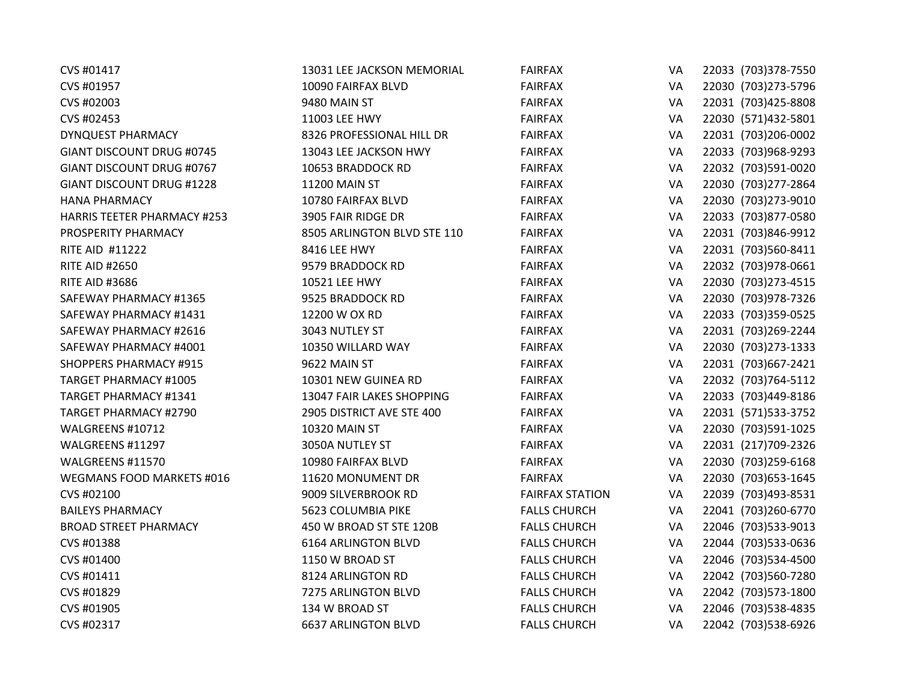| CVS #01417                         | 13031 LEE JACKSON MEMORIAL  | <b>FAIRFAX</b>         | VA | 22033 (703)378-7550  |
|------------------------------------|-----------------------------|------------------------|----|----------------------|
| CVS #01957                         | 10090 FAIRFAX BLVD          | <b>FAIRFAX</b>         | VA | 22030 (703) 273-5796 |
| CVS #02003                         | 9480 MAIN ST                | <b>FAIRFAX</b>         | VA | 22031 (703)425-8808  |
| CVS #02453                         | 11003 LEE HWY               | <b>FAIRFAX</b>         | VA | 22030 (571)432-5801  |
| <b>DYNQUEST PHARMACY</b>           | 8326 PROFESSIONAL HILL DR   | <b>FAIRFAX</b>         | VA | 22031 (703)206-0002  |
| GIANT DISCOUNT DRUG #0745          | 13043 LEE JACKSON HWY       | <b>FAIRFAX</b>         | VA | 22033 (703)968-9293  |
| GIANT DISCOUNT DRUG #0767          | 10653 BRADDOCK RD           | <b>FAIRFAX</b>         | VA | 22032 (703)591-0020  |
| <b>GIANT DISCOUNT DRUG #1228</b>   | 11200 MAIN ST               | <b>FAIRFAX</b>         | VA | 22030 (703) 277-2864 |
| <b>HANA PHARMACY</b>               | 10780 FAIRFAX BLVD          | <b>FAIRFAX</b>         | VA | 22030 (703)273-9010  |
| <b>HARRIS TEETER PHARMACY #253</b> | 3905 FAIR RIDGE DR          | <b>FAIRFAX</b>         | VA | 22033 (703)877-0580  |
| PROSPERITY PHARMACY                | 8505 ARLINGTON BLVD STE 110 | <b>FAIRFAX</b>         | VA | 22031 (703)846-9912  |
| <b>RITE AID #11222</b>             | 8416 LEE HWY                | <b>FAIRFAX</b>         | VA | 22031 (703)560-8411  |
| <b>RITE AID #2650</b>              | 9579 BRADDOCK RD            | <b>FAIRFAX</b>         | VA | 22032 (703)978-0661  |
| <b>RITE AID #3686</b>              | 10521 LEE HWY               | <b>FAIRFAX</b>         | VA | 22030 (703) 273-4515 |
| SAFEWAY PHARMACY #1365             | 9525 BRADDOCK RD            | <b>FAIRFAX</b>         | VA | 22030 (703)978-7326  |
| SAFEWAY PHARMACY #1431             | 12200 W OX RD               | <b>FAIRFAX</b>         | VA | 22033 (703)359-0525  |
| SAFEWAY PHARMACY #2616             | 3043 NUTLEY ST              | <b>FAIRFAX</b>         | VA | 22031 (703)269-2244  |
| SAFEWAY PHARMACY #4001             | 10350 WILLARD WAY           | <b>FAIRFAX</b>         | VA | 22030 (703) 273-1333 |
| <b>SHOPPERS PHARMACY #915</b>      | 9622 MAIN ST                | <b>FAIRFAX</b>         | VA | 22031 (703) 667-2421 |
| <b>TARGET PHARMACY #1005</b>       | 10301 NEW GUINEA RD         | <b>FAIRFAX</b>         | VA | 22032 (703) 764-5112 |
| TARGET PHARMACY #1341              | 13047 FAIR LAKES SHOPPING   | <b>FAIRFAX</b>         | VA | 22033 (703)449-8186  |
| <b>TARGET PHARMACY #2790</b>       | 2905 DISTRICT AVE STE 400   | <b>FAIRFAX</b>         | VA | 22031 (571)533-3752  |
| WALGREENS #10712                   | 10320 MAIN ST               | <b>FAIRFAX</b>         | VA | 22030 (703)591-1025  |
| WALGREENS #11297                   | 3050A NUTLEY ST             | <b>FAIRFAX</b>         | VA | 22031 (217)709-2326  |
| WALGREENS #11570                   | 10980 FAIRFAX BLVD          | <b>FAIRFAX</b>         | VA | 22030 (703)259-6168  |
| WEGMANS FOOD MARKETS #016          | 11620 MONUMENT DR           | <b>FAIRFAX</b>         | VA | 22030 (703) 653-1645 |
| CVS #02100                         | 9009 SILVERBROOK RD         | <b>FAIRFAX STATION</b> | VA | 22039 (703)493-8531  |
| <b>BAILEYS PHARMACY</b>            | 5623 COLUMBIA PIKE          | <b>FALLS CHURCH</b>    | VA | 22041 (703) 260-6770 |
| <b>BROAD STREET PHARMACY</b>       | 450 W BROAD ST STE 120B     | <b>FALLS CHURCH</b>    | VA | 22046 (703) 533-9013 |
| CVS #01388                         | <b>6164 ARLINGTON BLVD</b>  | <b>FALLS CHURCH</b>    | VA | 22044 (703) 533-0636 |
| CVS #01400                         | 1150 W BROAD ST             | <b>FALLS CHURCH</b>    | VA | 22046 (703)534-4500  |
| CVS #01411                         | 8124 ARLINGTON RD           | <b>FALLS CHURCH</b>    | VA | 22042 (703)560-7280  |
| CVS #01829                         | 7275 ARLINGTON BLVD         | <b>FALLS CHURCH</b>    | VA | 22042 (703) 573-1800 |
| CVS #01905                         | 134 W BROAD ST              | <b>FALLS CHURCH</b>    | VA | 22046 (703)538-4835  |
| CVS #02317                         | <b>6637 ARLINGTON BLVD</b>  | <b>FALLS CHURCH</b>    | VA | 22042 (703)538-6926  |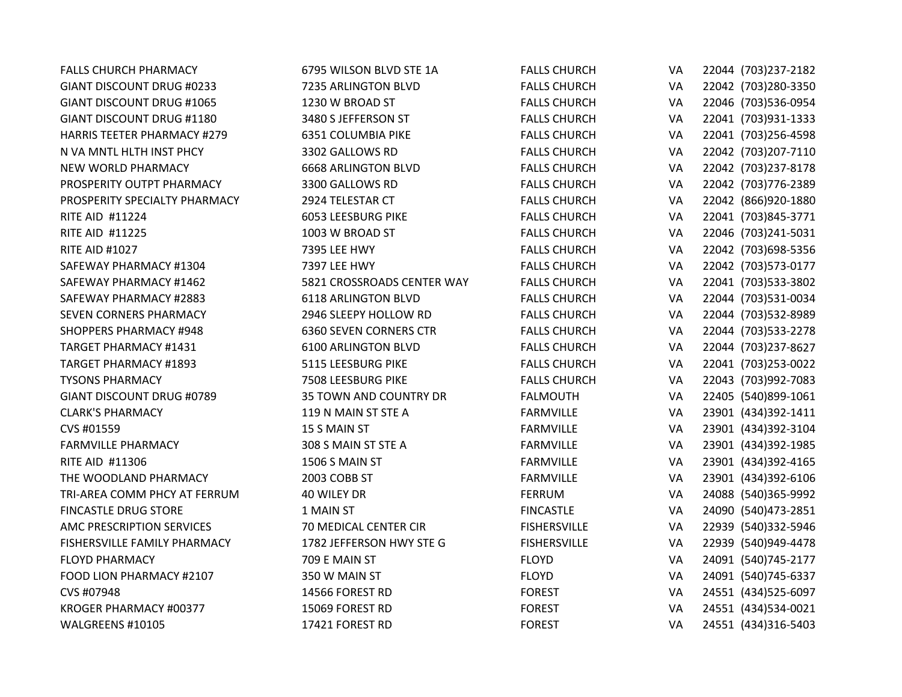| <b>FALLS CHURCH PHARMACY</b>       | 6795 WILSON BLVD STE 1A       | <b>FALLS CHURCH</b> | VA | 22044 (703) 237-2182 |
|------------------------------------|-------------------------------|---------------------|----|----------------------|
| GIANT DISCOUNT DRUG #0233          | 7235 ARLINGTON BLVD           | <b>FALLS CHURCH</b> | VA | 22042 (703)280-3350  |
| <b>GIANT DISCOUNT DRUG #1065</b>   | 1230 W BROAD ST               | <b>FALLS CHURCH</b> | VA | 22046 (703)536-0954  |
| <b>GIANT DISCOUNT DRUG #1180</b>   | 3480 S JEFFERSON ST           | <b>FALLS CHURCH</b> | VA | 22041 (703)931-1333  |
| <b>HARRIS TEETER PHARMACY #279</b> | 6351 COLUMBIA PIKE            | <b>FALLS CHURCH</b> | VA | 22041 (703)256-4598  |
| N VA MNTL HLTH INST PHCY           | 3302 GALLOWS RD               | <b>FALLS CHURCH</b> | VA | 22042 (703) 207-7110 |
| NEW WORLD PHARMACY                 | <b>6668 ARLINGTON BLVD</b>    | <b>FALLS CHURCH</b> | VA | 22042 (703)237-8178  |
| PROSPERITY OUTPT PHARMACY          | 3300 GALLOWS RD               | <b>FALLS CHURCH</b> | VA | 22042 (703)776-2389  |
| PROSPERITY SPECIALTY PHARMACY      | 2924 TELESTAR CT              | <b>FALLS CHURCH</b> | VA | 22042 (866)920-1880  |
| <b>RITE AID #11224</b>             | <b>6053 LEESBURG PIKE</b>     | <b>FALLS CHURCH</b> | VA | 22041 (703)845-3771  |
| <b>RITE AID #11225</b>             | 1003 W BROAD ST               | <b>FALLS CHURCH</b> | VA | 22046 (703)241-5031  |
| <b>RITE AID #1027</b>              | 7395 LEE HWY                  | <b>FALLS CHURCH</b> | VA | 22042 (703) 698-5356 |
| SAFEWAY PHARMACY #1304             | 7397 LEE HWY                  | <b>FALLS CHURCH</b> | VA | 22042 (703)573-0177  |
| SAFEWAY PHARMACY #1462             | 5821 CROSSROADS CENTER WAY    | <b>FALLS CHURCH</b> | VA | 22041 (703)533-3802  |
| SAFEWAY PHARMACY #2883             | 6118 ARLINGTON BLVD           | <b>FALLS CHURCH</b> | VA | 22044 (703)531-0034  |
| SEVEN CORNERS PHARMACY             | 2946 SLEEPY HOLLOW RD         | <b>FALLS CHURCH</b> | VA | 22044 (703)532-8989  |
| <b>SHOPPERS PHARMACY #948</b>      | <b>6360 SEVEN CORNERS CTR</b> | <b>FALLS CHURCH</b> | VA | 22044 (703)533-2278  |
| TARGET PHARMACY #1431              | <b>6100 ARLINGTON BLVD</b>    | <b>FALLS CHURCH</b> | VA | 22044 (703)237-8627  |
| <b>TARGET PHARMACY #1893</b>       | 5115 LEESBURG PIKE            | <b>FALLS CHURCH</b> | VA | 22041 (703)253-0022  |
| <b>TYSONS PHARMACY</b>             | 7508 LEESBURG PIKE            | <b>FALLS CHURCH</b> | VA | 22043 (703)992-7083  |
| <b>GIANT DISCOUNT DRUG #0789</b>   | <b>35 TOWN AND COUNTRY DR</b> | <b>FALMOUTH</b>     | VA | 22405 (540)899-1061  |
| <b>CLARK'S PHARMACY</b>            | 119 N MAIN ST STE A           | <b>FARMVILLE</b>    | VA | 23901 (434)392-1411  |
| CVS #01559                         | 15 S MAIN ST                  | <b>FARMVILLE</b>    | VA | 23901 (434)392-3104  |
| <b>FARMVILLE PHARMACY</b>          | 308 S MAIN ST STE A           | <b>FARMVILLE</b>    | VA | 23901 (434)392-1985  |
| RITE AID #11306                    | 1506 S MAIN ST                | <b>FARMVILLE</b>    | VA | 23901 (434)392-4165  |
| THE WOODLAND PHARMACY              | 2003 COBB ST                  | <b>FARMVILLE</b>    | VA | 23901 (434)392-6106  |
| TRI-AREA COMM PHCY AT FERRUM       | 40 WILEY DR                   | <b>FERRUM</b>       | VA | 24088 (540)365-9992  |
| <b>FINCASTLE DRUG STORE</b>        | 1 MAIN ST                     | <b>FINCASTLE</b>    | VA | 24090 (540)473-2851  |
| AMC PRESCRIPTION SERVICES          | 70 MEDICAL CENTER CIR         | <b>FISHERSVILLE</b> | VA | 22939 (540)332-5946  |
| FISHERSVILLE FAMILY PHARMACY       | 1782 JEFFERSON HWY STE G      | <b>FISHERSVILLE</b> | VA | 22939 (540)949-4478  |
| <b>FLOYD PHARMACY</b>              | 709 E MAIN ST                 | <b>FLOYD</b>        | VA | 24091 (540) 745-2177 |
| FOOD LION PHARMACY #2107           | 350 W MAIN ST                 | <b>FLOYD</b>        | VA | 24091 (540) 745-6337 |
| CVS #07948                         | 14566 FOREST RD               | <b>FOREST</b>       | VA | 24551 (434) 525-6097 |
| KROGER PHARMACY #00377             | 15069 FOREST RD               | <b>FOREST</b>       | VA | 24551 (434)534-0021  |
| WALGREENS #10105                   | 17421 FOREST RD               | <b>FOREST</b>       | VA | 24551 (434)316-5403  |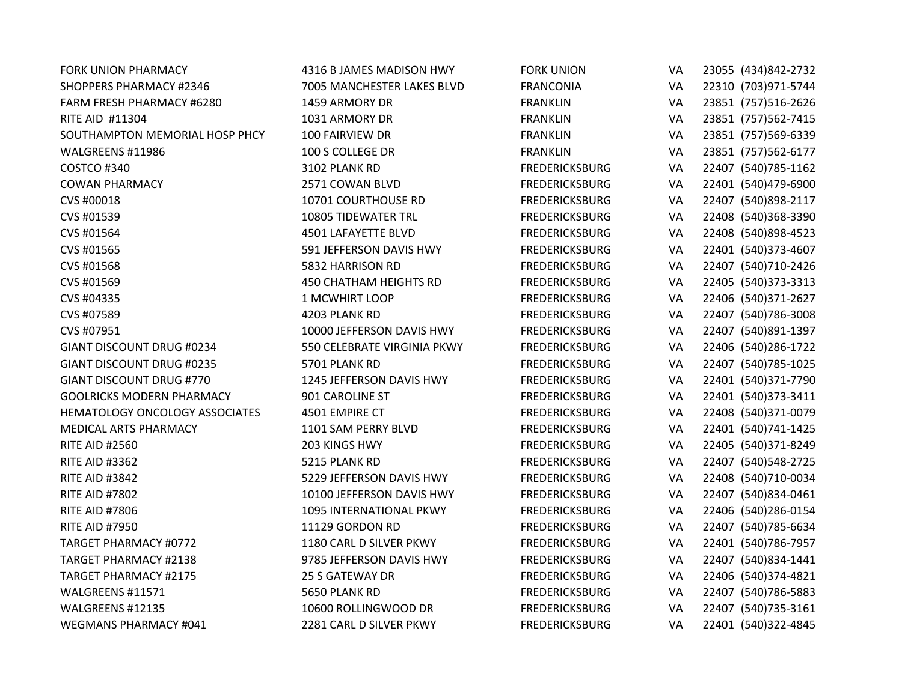| <b>FORK UNION PHARMACY</b>       | 4316 B JAMES MADISON HWY      | <b>FORK UNION</b>     | VA | 23055 (434)842-2732  |
|----------------------------------|-------------------------------|-----------------------|----|----------------------|
| <b>SHOPPERS PHARMACY #2346</b>   | 7005 MANCHESTER LAKES BLVD    | <b>FRANCONIA</b>      | VA | 22310 (703)971-5744  |
| <b>FARM FRESH PHARMACY #6280</b> | 1459 ARMORY DR                | <b>FRANKLIN</b>       | VA | 23851 (757)516-2626  |
| RITE AID #11304                  | 1031 ARMORY DR                | <b>FRANKLIN</b>       | VA | 23851 (757)562-7415  |
| SOUTHAMPTON MEMORIAL HOSP PHCY   | 100 FAIRVIEW DR               | <b>FRANKLIN</b>       | VA | 23851 (757)569-6339  |
| WALGREENS #11986                 | 100 S COLLEGE DR              | <b>FRANKLIN</b>       | VA | 23851 (757)562-6177  |
| COSTCO #340                      | 3102 PLANK RD                 | <b>FREDERICKSBURG</b> | VA | 22407 (540) 785-1162 |
| <b>COWAN PHARMACY</b>            | 2571 COWAN BLVD               | <b>FREDERICKSBURG</b> | VA | 22401 (540)479-6900  |
| CVS #00018                       | 10701 COURTHOUSE RD           | <b>FREDERICKSBURG</b> | VA | 22407 (540)898-2117  |
| CVS #01539                       | 10805 TIDEWATER TRL           | <b>FREDERICKSBURG</b> | VA | 22408 (540)368-3390  |
| CVS #01564                       | 4501 LAFAYETTE BLVD           | <b>FREDERICKSBURG</b> | VA | 22408 (540)898-4523  |
| CVS #01565                       | 591 JEFFERSON DAVIS HWY       | <b>FREDERICKSBURG</b> | VA | 22401 (540)373-4607  |
| CVS #01568                       | 5832 HARRISON RD              | <b>FREDERICKSBURG</b> | VA | 22407 (540)710-2426  |
| CVS #01569                       | <b>450 CHATHAM HEIGHTS RD</b> | <b>FREDERICKSBURG</b> | VA | 22405 (540)373-3313  |
| CVS #04335                       | 1 MCWHIRT LOOP                | <b>FREDERICKSBURG</b> | VA | 22406 (540)371-2627  |
| CVS #07589                       | 4203 PLANK RD                 | <b>FREDERICKSBURG</b> | VA | 22407 (540) 786-3008 |
| CVS #07951                       | 10000 JEFFERSON DAVIS HWY     | <b>FREDERICKSBURG</b> | VA | 22407 (540)891-1397  |
| GIANT DISCOUNT DRUG #0234        | 550 CELEBRATE VIRGINIA PKWY   | <b>FREDERICKSBURG</b> | VA | 22406 (540)286-1722  |
| <b>GIANT DISCOUNT DRUG #0235</b> | 5701 PLANK RD                 | <b>FREDERICKSBURG</b> | VA | 22407 (540) 785-1025 |
| <b>GIANT DISCOUNT DRUG #770</b>  | 1245 JEFFERSON DAVIS HWY      | <b>FREDERICKSBURG</b> | VA | 22401 (540)371-7790  |
| <b>GOOLRICKS MODERN PHARMACY</b> | 901 CAROLINE ST               | <b>FREDERICKSBURG</b> | VA | 22401 (540)373-3411  |
| HEMATOLOGY ONCOLOGY ASSOCIATES   | 4501 EMPIRE CT                | <b>FREDERICKSBURG</b> | VA | 22408 (540)371-0079  |
| <b>MEDICAL ARTS PHARMACY</b>     | 1101 SAM PERRY BLVD           | <b>FREDERICKSBURG</b> | VA | 22401 (540) 741-1425 |
| <b>RITE AID #2560</b>            | 203 KINGS HWY                 | <b>FREDERICKSBURG</b> | VA | 22405 (540)371-8249  |
| <b>RITE AID #3362</b>            | 5215 PLANK RD                 | <b>FREDERICKSBURG</b> | VA | 22407 (540) 548-2725 |
| <b>RITE AID #3842</b>            | 5229 JEFFERSON DAVIS HWY      | <b>FREDERICKSBURG</b> | VA | 22408 (540)710-0034  |
| <b>RITE AID #7802</b>            | 10100 JEFFERSON DAVIS HWY     | <b>FREDERICKSBURG</b> | VA | 22407 (540)834-0461  |
| <b>RITE AID #7806</b>            | 1095 INTERNATIONAL PKWY       | <b>FREDERICKSBURG</b> | VA | 22406 (540)286-0154  |
| <b>RITE AID #7950</b>            | 11129 GORDON RD               | <b>FREDERICKSBURG</b> | VA | 22407 (540) 785-6634 |
| <b>TARGET PHARMACY #0772</b>     | 1180 CARL D SILVER PKWY       | <b>FREDERICKSBURG</b> | VA | 22401 (540) 786-7957 |
| <b>TARGET PHARMACY #2138</b>     | 9785 JEFFERSON DAVIS HWY      | <b>FREDERICKSBURG</b> | VA | 22407 (540)834-1441  |
| <b>TARGET PHARMACY #2175</b>     | <b>25 S GATEWAY DR</b>        | <b>FREDERICKSBURG</b> | VA | 22406 (540)374-4821  |
| WALGREENS #11571                 | 5650 PLANK RD                 | <b>FREDERICKSBURG</b> | VA | 22407 (540) 786-5883 |
| WALGREENS #12135                 | 10600 ROLLINGWOOD DR          | <b>FREDERICKSBURG</b> | VA | 22407 (540) 735-3161 |
| <b>WEGMANS PHARMACY #041</b>     | 2281 CARL D SILVER PKWY       | <b>FREDERICKSBURG</b> | VA | 22401 (540)322-4845  |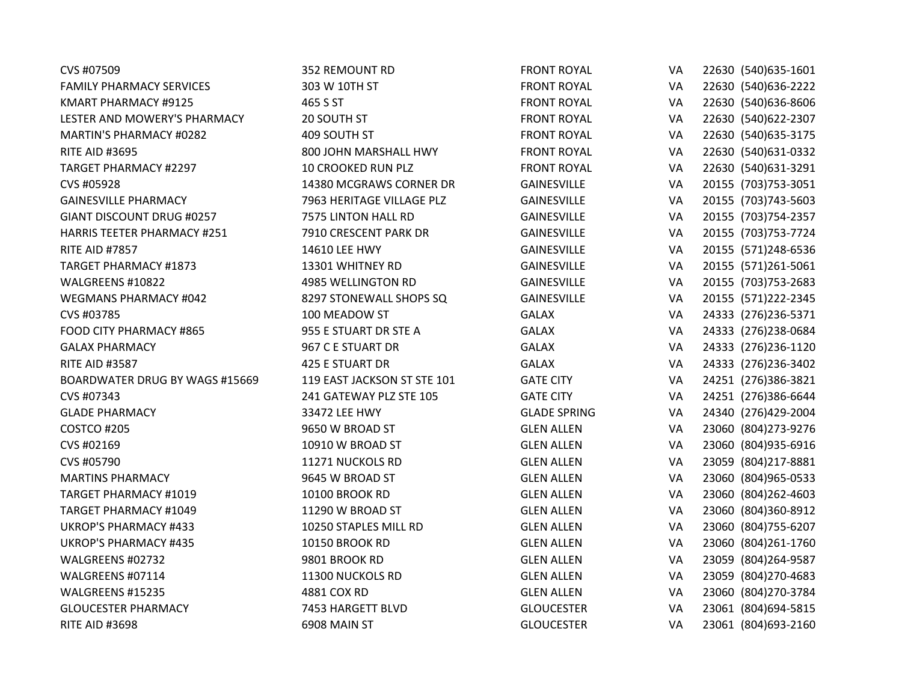| CVS #07509                            | 352 REMOUNT RD              | <b>FRONT ROYAL</b>  | VA        | 22630 (540) 635-1601 |
|---------------------------------------|-----------------------------|---------------------|-----------|----------------------|
| <b>FAMILY PHARMACY SERVICES</b>       | 303 W 10TH ST               | <b>FRONT ROYAL</b>  | VA        | 22630 (540) 636-2222 |
| KMART PHARMACY #9125                  | 465 S ST                    | <b>FRONT ROYAL</b>  | VA        | 22630 (540) 636-8606 |
| LESTER AND MOWERY'S PHARMACY          | 20 SOUTH ST                 | <b>FRONT ROYAL</b>  | VA        | 22630 (540) 622-2307 |
| MARTIN'S PHARMACY #0282               | 409 SOUTH ST                | <b>FRONT ROYAL</b>  | VA        | 22630 (540) 635-3175 |
| <b>RITE AID #3695</b>                 | 800 JOHN MARSHALL HWY       | <b>FRONT ROYAL</b>  | VA        | 22630 (540)631-0332  |
| <b>TARGET PHARMACY #2297</b>          | 10 CROOKED RUN PLZ          | <b>FRONT ROYAL</b>  | VA        | 22630 (540) 631-3291 |
| CVS #05928                            | 14380 MCGRAWS CORNER DR     | <b>GAINESVILLE</b>  | VA        | 20155 (703) 753-3051 |
| <b>GAINESVILLE PHARMACY</b>           | 7963 HERITAGE VILLAGE PLZ   | <b>GAINESVILLE</b>  | VA        | 20155 (703)743-5603  |
| GIANT DISCOUNT DRUG #0257             | 7575 LINTON HALL RD         | <b>GAINESVILLE</b>  | VA        | 20155 (703) 754-2357 |
| <b>HARRIS TEETER PHARMACY #251</b>    | 7910 CRESCENT PARK DR       | <b>GAINESVILLE</b>  | VA        | 20155 (703) 753-7724 |
| <b>RITE AID #7857</b>                 | 14610 LEE HWY               | GAINESVILLE         | VA        | 20155 (571)248-6536  |
| <b>TARGET PHARMACY #1873</b>          | 13301 WHITNEY RD            | GAINESVILLE         | VA        | 20155 (571)261-5061  |
| WALGREENS #10822                      | 4985 WELLINGTON RD          | <b>GAINESVILLE</b>  | VA        | 20155 (703) 753-2683 |
| <b>WEGMANS PHARMACY #042</b>          | 8297 STONEWALL SHOPS SQ     | <b>GAINESVILLE</b>  | VA        | 20155 (571)222-2345  |
| CVS #03785                            | 100 MEADOW ST               | <b>GALAX</b>        | VA        | 24333 (276)236-5371  |
| FOOD CITY PHARMACY #865               | 955 E STUART DR STE A       | <b>GALAX</b>        | VA        | 24333 (276)238-0684  |
| <b>GALAX PHARMACY</b>                 | 967 C E STUART DR           | <b>GALAX</b>        | VA        | 24333 (276)236-1120  |
| <b>RITE AID #3587</b>                 | 425 E STUART DR             | <b>GALAX</b>        | VA        | 24333 (276)236-3402  |
| <b>BOARDWATER DRUG BY WAGS #15669</b> | 119 EAST JACKSON ST STE 101 | <b>GATE CITY</b>    | VA        | 24251 (276)386-3821  |
| CVS #07343                            | 241 GATEWAY PLZ STE 105     | <b>GATE CITY</b>    | VA        | 24251 (276)386-6644  |
| <b>GLADE PHARMACY</b>                 | 33472 LEE HWY               | <b>GLADE SPRING</b> | VA        | 24340 (276)429-2004  |
| COSTCO #205                           | 9650 W BROAD ST             | <b>GLEN ALLEN</b>   | VA        | 23060 (804) 273-9276 |
| CVS #02169                            | 10910 W BROAD ST            | <b>GLEN ALLEN</b>   | VA        | 23060 (804)935-6916  |
| CVS #05790                            | 11271 NUCKOLS RD            | <b>GLEN ALLEN</b>   | VA        | 23059 (804)217-8881  |
| <b>MARTINS PHARMACY</b>               | 9645 W BROAD ST             | <b>GLEN ALLEN</b>   | <b>VA</b> | 23060 (804)965-0533  |
| <b>TARGET PHARMACY #1019</b>          | <b>10100 BROOK RD</b>       | <b>GLEN ALLEN</b>   | VA        | 23060 (804) 262-4603 |
| <b>TARGET PHARMACY #1049</b>          | 11290 W BROAD ST            | <b>GLEN ALLEN</b>   | VA        | 23060 (804)360-8912  |
| <b>UKROP'S PHARMACY #433</b>          | 10250 STAPLES MILL RD       | <b>GLEN ALLEN</b>   | VA        | 23060 (804) 755-6207 |
| <b>UKROP'S PHARMACY #435</b>          | <b>10150 BROOK RD</b>       | <b>GLEN ALLEN</b>   | VA        | 23060 (804)261-1760  |
| WALGREENS #02732                      | 9801 BROOK RD               | <b>GLEN ALLEN</b>   | VA        | 23059 (804) 264-9587 |
| WALGREENS #07114                      | 11300 NUCKOLS RD            | <b>GLEN ALLEN</b>   | VA        | 23059 (804) 270-4683 |
| WALGREENS #15235                      | 4881 COX RD                 | <b>GLEN ALLEN</b>   | VA        | 23060 (804) 270-3784 |
| <b>GLOUCESTER PHARMACY</b>            | 7453 HARGETT BLVD           | <b>GLOUCESTER</b>   | VA        | 23061 (804)694-5815  |
| <b>RITE AID #3698</b>                 | 6908 MAIN ST                | <b>GLOUCESTER</b>   | VA        | 23061 (804) 693-2160 |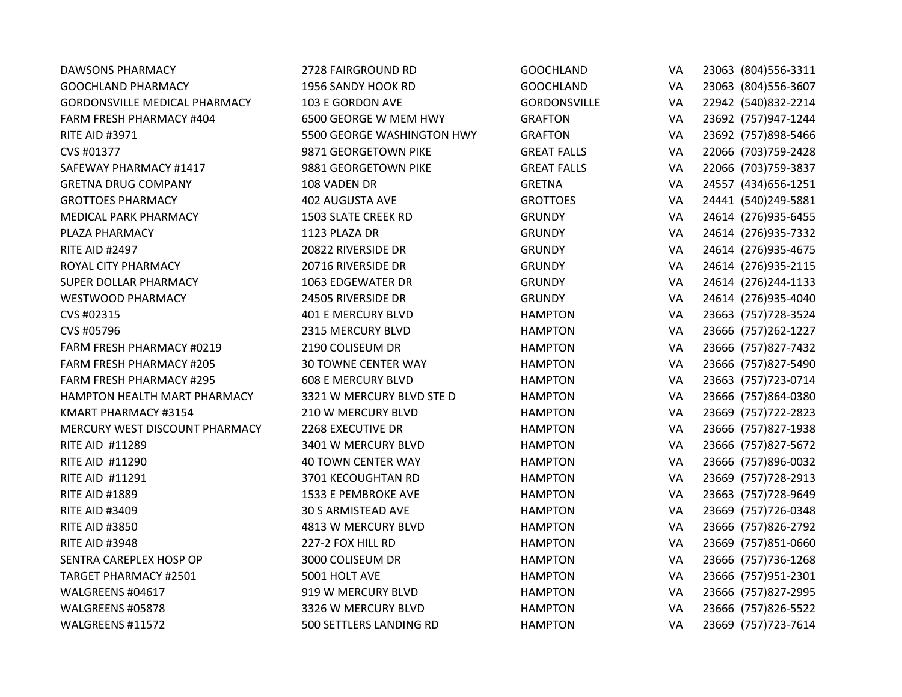| <b>DAWSONS PHARMACY</b>              | 2728 FAIRGROUND RD         | <b>GOOCHLAND</b>    | VA | 23063 (804) 556-3311 |
|--------------------------------------|----------------------------|---------------------|----|----------------------|
| <b>GOOCHLAND PHARMACY</b>            | 1956 SANDY HOOK RD         | <b>GOOCHLAND</b>    | VA | 23063 (804) 556-3607 |
| <b>GORDONSVILLE MEDICAL PHARMACY</b> | 103 E GORDON AVE           | <b>GORDONSVILLE</b> | VA | 22942 (540)832-2214  |
| <b>FARM FRESH PHARMACY #404</b>      | 6500 GEORGE W MEM HWY      | <b>GRAFTON</b>      | VA | 23692 (757)947-1244  |
| <b>RITE AID #3971</b>                | 5500 GEORGE WASHINGTON HWY | <b>GRAFTON</b>      | VA | 23692 (757)898-5466  |
| CVS #01377                           | 9871 GEORGETOWN PIKE       | <b>GREAT FALLS</b>  | VA | 22066 (703) 759-2428 |
| SAFEWAY PHARMACY #1417               | 9881 GEORGETOWN PIKE       | <b>GREAT FALLS</b>  | VA | 22066 (703) 759-3837 |
| <b>GRETNA DRUG COMPANY</b>           | 108 VADEN DR               | <b>GRETNA</b>       | VA | 24557 (434) 656-1251 |
| <b>GROTTOES PHARMACY</b>             | <b>402 AUGUSTA AVE</b>     | <b>GROTTOES</b>     | VA | 24441 (540)249-5881  |
| <b>MEDICAL PARK PHARMACY</b>         | 1503 SLATE CREEK RD        | <b>GRUNDY</b>       | VA | 24614 (276)935-6455  |
| PLAZA PHARMACY                       | 1123 PLAZA DR              | <b>GRUNDY</b>       | VA | 24614 (276)935-7332  |
| <b>RITE AID #2497</b>                | 20822 RIVERSIDE DR         | <b>GRUNDY</b>       | VA | 24614 (276)935-4675  |
| ROYAL CITY PHARMACY                  | 20716 RIVERSIDE DR         | <b>GRUNDY</b>       | VA | 24614 (276)935-2115  |
| SUPER DOLLAR PHARMACY                | 1063 EDGEWATER DR          | <b>GRUNDY</b>       | VA | 24614 (276)244-1133  |
| <b>WESTWOOD PHARMACY</b>             | 24505 RIVERSIDE DR         | <b>GRUNDY</b>       | VA | 24614 (276)935-4040  |
| CVS #02315                           | <b>401 E MERCURY BLVD</b>  | <b>HAMPTON</b>      | VA | 23663 (757) 728-3524 |
| CVS #05796                           | 2315 MERCURY BLVD          | <b>HAMPTON</b>      | VA | 23666 (757)262-1227  |
| FARM FRESH PHARMACY #0219            | 2190 COLISEUM DR           | <b>HAMPTON</b>      | VA | 23666 (757)827-7432  |
| FARM FRESH PHARMACY #205             | <b>30 TOWNE CENTER WAY</b> | <b>HAMPTON</b>      | VA | 23666 (757)827-5490  |
| <b>FARM FRESH PHARMACY #295</b>      | <b>608 E MERCURY BLVD</b>  | <b>HAMPTON</b>      | VA | 23663 (757) 723-0714 |
| HAMPTON HEALTH MART PHARMACY         | 3321 W MERCURY BLVD STE D  | <b>HAMPTON</b>      | VA | 23666 (757)864-0380  |
| KMART PHARMACY #3154                 | 210 W MERCURY BLVD         | <b>HAMPTON</b>      | VA | 23669 (757) 722-2823 |
| MERCURY WEST DISCOUNT PHARMACY       | 2268 EXECUTIVE DR          | <b>HAMPTON</b>      | VA | 23666 (757)827-1938  |
| RITE AID #11289                      | 3401 W MERCURY BLVD        | <b>HAMPTON</b>      | VA | 23666 (757)827-5672  |
| RITE AID #11290                      | <b>40 TOWN CENTER WAY</b>  | <b>HAMPTON</b>      | VA | 23666 (757)896-0032  |
| RITE AID #11291                      | 3701 KECOUGHTAN RD         | <b>HAMPTON</b>      | VA | 23669 (757) 728-2913 |
| <b>RITE AID #1889</b>                | 1533 E PEMBROKE AVE        | <b>HAMPTON</b>      | VA | 23663 (757) 728-9649 |
| <b>RITE AID #3409</b>                | 30 S ARMISTEAD AVE         | <b>HAMPTON</b>      | VA | 23669 (757)726-0348  |
| <b>RITE AID #3850</b>                | 4813 W MERCURY BLVD        | <b>HAMPTON</b>      | VA | 23666 (757)826-2792  |
| <b>RITE AID #3948</b>                | 227-2 FOX HILL RD          | <b>HAMPTON</b>      | VA | 23669 (757)851-0660  |
| SENTRA CAREPLEX HOSP OP              | 3000 COLISEUM DR           | <b>HAMPTON</b>      | VA | 23666 (757) 736-1268 |
| <b>TARGET PHARMACY #2501</b>         | 5001 HOLT AVE              | <b>HAMPTON</b>      | VA | 23666 (757)951-2301  |
| WALGREENS #04617                     | 919 W MERCURY BLVD         | <b>HAMPTON</b>      | VA | 23666 (757)827-2995  |
| WALGREENS #05878                     | 3326 W MERCURY BLVD        | <b>HAMPTON</b>      | VA | 23666 (757)826-5522  |
| WALGREENS #11572                     | 500 SETTLERS LANDING RD    | <b>HAMPTON</b>      | VA | 23669 (757) 723-7614 |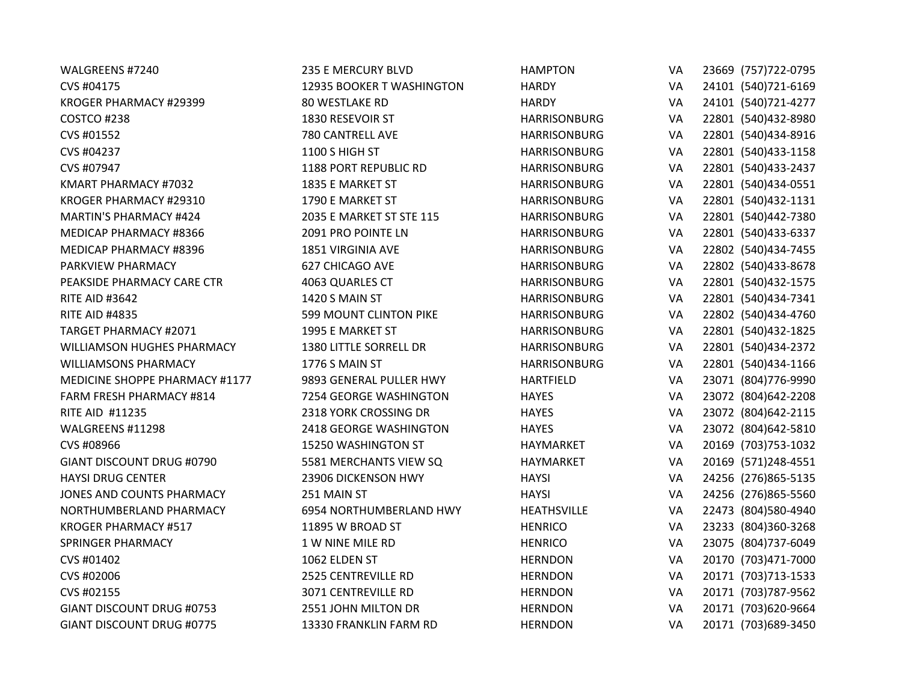| WALGREENS #7240                   | 235 E MERCURY BLVD         | <b>HAMPTON</b>      | VA        | 23669 (757) 722-0795 |
|-----------------------------------|----------------------------|---------------------|-----------|----------------------|
| CVS #04175                        | 12935 BOOKER T WASHINGTON  | <b>HARDY</b>        | VA        | 24101 (540) 721-6169 |
| KROGER PHARMACY #29399            | 80 WESTLAKE RD             | <b>HARDY</b>        | VA        | 24101 (540) 721-4277 |
| COSTCO #238                       | 1830 RESEVOIR ST           | <b>HARRISONBURG</b> | VA        | 22801 (540)432-8980  |
| CVS #01552                        | 780 CANTRELL AVE           | <b>HARRISONBURG</b> | VA        | 22801 (540)434-8916  |
| CVS #04237                        | 1100 S HIGH ST             | <b>HARRISONBURG</b> | VA        | 22801 (540)433-1158  |
| CVS #07947                        | 1188 PORT REPUBLIC RD      | <b>HARRISONBURG</b> | VA        | 22801 (540)433-2437  |
| KMART PHARMACY #7032              | 1835 E MARKET ST           | <b>HARRISONBURG</b> | VA        | 22801 (540)434-0551  |
| KROGER PHARMACY #29310            | 1790 E MARKET ST           | <b>HARRISONBURG</b> | VA        | 22801 (540)432-1131  |
| <b>MARTIN'S PHARMACY #424</b>     | 2035 E MARKET ST STE 115   | <b>HARRISONBURG</b> | VA        | 22801 (540)442-7380  |
| MEDICAP PHARMACY #8366            | 2091 PRO POINTE LN         | <b>HARRISONBURG</b> | VA        | 22801 (540)433-6337  |
| MEDICAP PHARMACY #8396            | 1851 VIRGINIA AVE          | <b>HARRISONBURG</b> | VA        | 22802 (540)434-7455  |
| PARKVIEW PHARMACY                 | 627 CHICAGO AVE            | <b>HARRISONBURG</b> | VA        | 22802 (540)433-8678  |
| PEAKSIDE PHARMACY CARE CTR        | 4063 QUARLES CT            | <b>HARRISONBURG</b> | VA        | 22801 (540)432-1575  |
| <b>RITE AID #3642</b>             | 1420 S MAIN ST             | <b>HARRISONBURG</b> | VA        | 22801 (540)434-7341  |
| <b>RITE AID #4835</b>             | 599 MOUNT CLINTON PIKE     | <b>HARRISONBURG</b> | VA        | 22802 (540)434-4760  |
| <b>TARGET PHARMACY #2071</b>      | 1995 E MARKET ST           | <b>HARRISONBURG</b> | VA        | 22801 (540)432-1825  |
| <b>WILLIAMSON HUGHES PHARMACY</b> | 1380 LITTLE SORRELL DR     | <b>HARRISONBURG</b> | VA        | 22801 (540)434-2372  |
| <b>WILLIAMSONS PHARMACY</b>       | 1776 S MAIN ST             | <b>HARRISONBURG</b> | VA        | 22801 (540)434-1166  |
| MEDICINE SHOPPE PHARMACY #1177    | 9893 GENERAL PULLER HWY    | <b>HARTFIELD</b>    | VA        | 23071 (804) 776-9990 |
| FARM FRESH PHARMACY #814          | 7254 GEORGE WASHINGTON     | <b>HAYES</b>        | VA        | 23072 (804) 642-2208 |
| RITE AID #11235                   | 2318 YORK CROSSING DR      | <b>HAYES</b>        | VA        | 23072 (804) 642-2115 |
| WALGREENS #11298                  | 2418 GEORGE WASHINGTON     | <b>HAYES</b>        | VA        | 23072 (804)642-5810  |
| CVS #08966                        | 15250 WASHINGTON ST        | <b>HAYMARKET</b>    | VA        | 20169 (703) 753-1032 |
| GIANT DISCOUNT DRUG #0790         | 5581 MERCHANTS VIEW SQ     | HAYMARKET           | VA        | 20169 (571)248-4551  |
| <b>HAYSI DRUG CENTER</b>          | 23906 DICKENSON HWY        | <b>HAYSI</b>        | VA        | 24256 (276)865-5135  |
| JONES AND COUNTS PHARMACY         | 251 MAIN ST                | <b>HAYSI</b>        | VA        | 24256 (276)865-5560  |
| NORTHUMBERLAND PHARMACY           | 6954 NORTHUMBERLAND HWY    | <b>HEATHSVILLE</b>  | VA        | 22473 (804) 580-4940 |
| <b>KROGER PHARMACY #517</b>       | 11895 W BROAD ST           | <b>HENRICO</b>      | VA        | 23233 (804)360-3268  |
| <b>SPRINGER PHARMACY</b>          | 1 W NINE MILE RD           | <b>HENRICO</b>      | VA        | 23075 (804)737-6049  |
| CVS #01402                        | 1062 ELDEN ST              | <b>HERNDON</b>      | VA        | 20170 (703)471-7000  |
| CVS #02006                        | <b>2525 CENTREVILLE RD</b> | <b>HERNDON</b>      | VA        | 20171 (703)713-1533  |
| CVS #02155                        | 3071 CENTREVILLE RD        | <b>HERNDON</b>      | VA        | 20171 (703) 787-9562 |
| <b>GIANT DISCOUNT DRUG #0753</b>  | 2551 JOHN MILTON DR        | <b>HERNDON</b>      | VA        | 20171 (703)620-9664  |
| <b>GIANT DISCOUNT DRUG #0775</b>  | 13330 FRANKLIN FARM RD     | <b>HERNDON</b>      | <b>VA</b> | 20171 (703)689-3450  |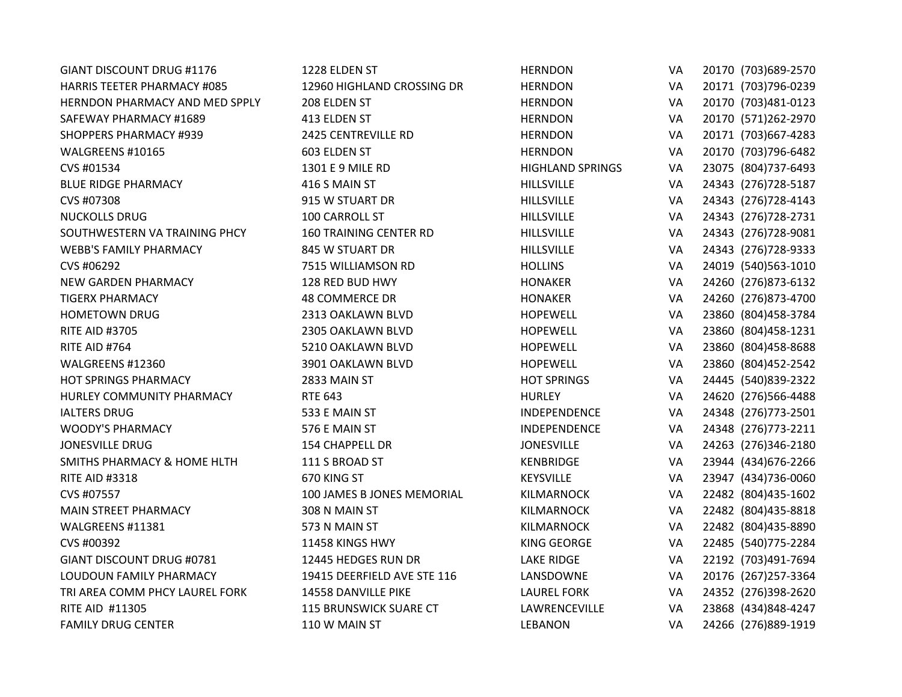| <b>GIANT DISCOUNT DRUG #1176</b>       | 1228 ELDEN ST                 | <b>HERNDON</b>          | VA        | 20170 (703) 689-2570 |
|----------------------------------------|-------------------------------|-------------------------|-----------|----------------------|
| <b>HARRIS TEETER PHARMACY #085</b>     | 12960 HIGHLAND CROSSING DR    | <b>HERNDON</b>          | VA        | 20171 (703)796-0239  |
| <b>HERNDON PHARMACY AND MED SPPLY</b>  | 208 ELDEN ST                  | <b>HERNDON</b>          | VA        | 20170 (703)481-0123  |
| SAFEWAY PHARMACY #1689                 | 413 ELDEN ST                  | <b>HERNDON</b>          | VA        | 20170 (571)262-2970  |
| <b>SHOPPERS PHARMACY #939</b>          | 2425 CENTREVILLE RD           | <b>HERNDON</b>          | VA        | 20171 (703)667-4283  |
| WALGREENS #10165                       | 603 ELDEN ST                  | <b>HERNDON</b>          | VA        | 20170 (703)796-6482  |
| CVS #01534                             | 1301 E 9 MILE RD              | <b>HIGHLAND SPRINGS</b> | VA        | 23075 (804)737-6493  |
| <b>BLUE RIDGE PHARMACY</b>             | 416 S MAIN ST                 | <b>HILLSVILLE</b>       | VA        | 24343 (276) 728-5187 |
| CVS #07308                             | 915 W STUART DR               | <b>HILLSVILLE</b>       | VA        | 24343 (276)728-4143  |
| <b>NUCKOLLS DRUG</b>                   | 100 CARROLL ST                | <b>HILLSVILLE</b>       | VA        | 24343 (276)728-2731  |
| SOUTHWESTERN VA TRAINING PHCY          | <b>160 TRAINING CENTER RD</b> | <b>HILLSVILLE</b>       | VA        | 24343 (276)728-9081  |
| <b>WEBB'S FAMILY PHARMACY</b>          | 845 W STUART DR               | <b>HILLSVILLE</b>       | VA        | 24343 (276) 728-9333 |
| CVS #06292                             | 7515 WILLIAMSON RD            | <b>HOLLINS</b>          | VA        | 24019 (540) 563-1010 |
| <b>NEW GARDEN PHARMACY</b>             | 128 RED BUD HWY               | <b>HONAKER</b>          | VA        | 24260 (276)873-6132  |
| <b>TIGERX PHARMACY</b>                 | <b>48 COMMERCE DR</b>         | <b>HONAKER</b>          | VA        | 24260 (276)873-4700  |
| <b>HOMETOWN DRUG</b>                   | 2313 OAKLAWN BLVD             | <b>HOPEWELL</b>         | VA        | 23860 (804)458-3784  |
| <b>RITE AID #3705</b>                  | 2305 OAKLAWN BLVD             | <b>HOPEWELL</b>         | VA        | 23860 (804)458-1231  |
| RITE AID #764                          | 5210 OAKLAWN BLVD             | <b>HOPEWELL</b>         | VA        | 23860 (804)458-8688  |
| WALGREENS #12360                       | 3901 OAKLAWN BLVD             | <b>HOPEWELL</b>         | VA        | 23860 (804)452-2542  |
| <b>HOT SPRINGS PHARMACY</b>            | 2833 MAIN ST                  | <b>HOT SPRINGS</b>      | VA        | 24445 (540)839-2322  |
| HURLEY COMMUNITY PHARMACY              | <b>RTE 643</b>                | <b>HURLEY</b>           | VA        | 24620 (276)566-4488  |
| <b>IALTERS DRUG</b>                    | 533 E MAIN ST                 | INDEPENDENCE            | VA        | 24348 (276) 773-2501 |
| <b>WOODY'S PHARMACY</b>                | 576 E MAIN ST                 | INDEPENDENCE            | VA        | 24348 (276) 773-2211 |
| <b>JONESVILLE DRUG</b>                 | 154 CHAPPELL DR               | <b>JONESVILLE</b>       | VA        | 24263 (276)346-2180  |
| <b>SMITHS PHARMACY &amp; HOME HLTH</b> | 111 S BROAD ST                | KENBRIDGE               | VA        | 23944 (434) 676-2266 |
| <b>RITE AID #3318</b>                  | 670 KING ST                   | KEYSVILLE               | VA        | 23947 (434) 736-0060 |
| CVS #07557                             | 100 JAMES B JONES MEMORIAL    | KILMARNOCK              | VA        | 22482 (804)435-1602  |
| <b>MAIN STREET PHARMACY</b>            | 308 N MAIN ST                 | <b>KILMARNOCK</b>       | VA        | 22482 (804)435-8818  |
| WALGREENS #11381                       | 573 N MAIN ST                 | KILMARNOCK              | VA        | 22482 (804)435-8890  |
| CVS #00392                             | 11458 KINGS HWY               | <b>KING GEORGE</b>      | VA        | 22485 (540) 775-2284 |
| GIANT DISCOUNT DRUG #0781              | 12445 HEDGES RUN DR           | <b>LAKE RIDGE</b>       | VA        | 22192 (703)491-7694  |
| LOUDOUN FAMILY PHARMACY                | 19415 DEERFIELD AVE STE 116   | LANSDOWNE               | VA        | 20176 (267) 257-3364 |
| TRI AREA COMM PHCY LAUREL FORK         | 14558 DANVILLE PIKE           | <b>LAUREL FORK</b>      | VA        | 24352 (276)398-2620  |
| RITE AID #11305                        | 115 BRUNSWICK SUARE CT        | LAWRENCEVILLE           | VA        | 23868 (434) 848-4247 |
| <b>FAMILY DRUG CENTER</b>              | 110 W MAIN ST                 | <b>LEBANON</b>          | <b>VA</b> | 24266 (276)889-1919  |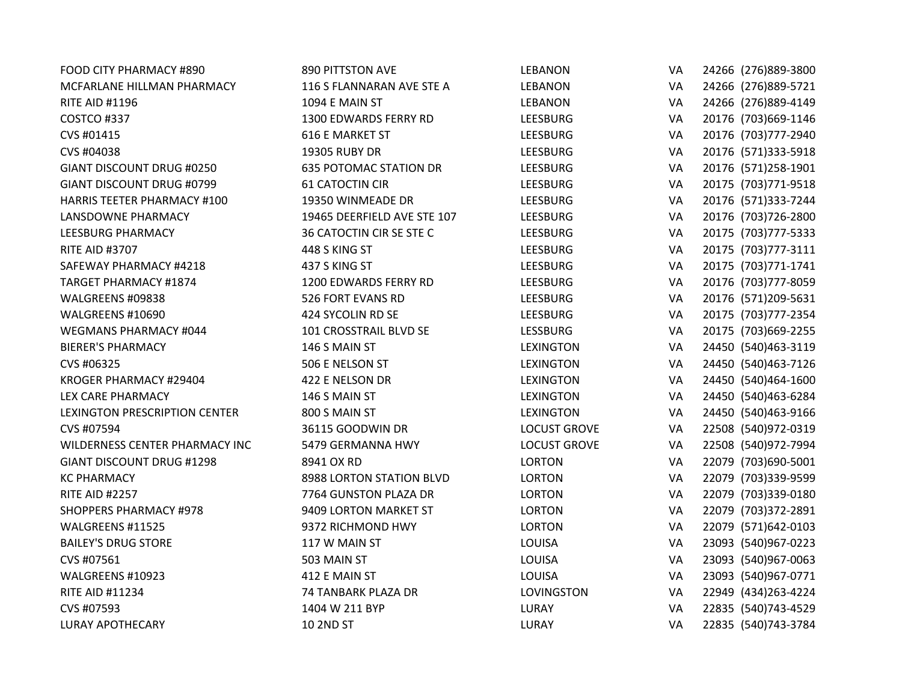| FOOD CITY PHARMACY #890            | <b>890 PITTSTON AVE</b>       | <b>LEBANON</b>      | VA | 24266 (276)889-3800  |
|------------------------------------|-------------------------------|---------------------|----|----------------------|
| MCFARLANE HILLMAN PHARMACY         | 116 S FLANNARAN AVE STE A     | <b>LEBANON</b>      | VA | 24266 (276)889-5721  |
| <b>RITE AID #1196</b>              | 1094 E MAIN ST                | <b>LEBANON</b>      | VA | 24266 (276)889-4149  |
| COSTCO #337                        | 1300 EDWARDS FERRY RD         | <b>LEESBURG</b>     | VA | 20176 (703) 669-1146 |
| CVS #01415                         | <b>616 E MARKET ST</b>        | <b>LEESBURG</b>     | VA | 20176 (703) 777-2940 |
| CVS #04038                         | 19305 RUBY DR                 | <b>LEESBURG</b>     | VA | 20176 (571)333-5918  |
| GIANT DISCOUNT DRUG #0250          | <b>635 POTOMAC STATION DR</b> | <b>LEESBURG</b>     | VA | 20176 (571)258-1901  |
| <b>GIANT DISCOUNT DRUG #0799</b>   | <b>61 CATOCTIN CIR</b>        | <b>LEESBURG</b>     | VA | 20175 (703) 771-9518 |
| <b>HARRIS TEETER PHARMACY #100</b> | 19350 WINMEADE DR             | LEESBURG            | VA | 20176 (571)333-7244  |
| LANSDOWNE PHARMACY                 | 19465 DEERFIELD AVE STE 107   | <b>LEESBURG</b>     | VA | 20176 (703)726-2800  |
| LEESBURG PHARMACY                  | 36 CATOCTIN CIR SE STE C      | <b>LEESBURG</b>     | VA | 20175 (703) 777-5333 |
| <b>RITE AID #3707</b>              | 448 S KING ST                 | <b>LEESBURG</b>     | VA | 20175 (703) 777-3111 |
| SAFEWAY PHARMACY #4218             | 437 S KING ST                 | <b>LEESBURG</b>     | VA | 20175 (703) 771-1741 |
| <b>TARGET PHARMACY #1874</b>       | 1200 EDWARDS FERRY RD         | <b>LEESBURG</b>     | VA | 20176 (703) 777-8059 |
| WALGREENS #09838                   | 526 FORT EVANS RD             | <b>LEESBURG</b>     | VA | 20176 (571)209-5631  |
| WALGREENS #10690                   | 424 SYCOLIN RD SE             | <b>LEESBURG</b>     | VA | 20175 (703) 777-2354 |
| WEGMANS PHARMACY #044              | 101 CROSSTRAIL BLVD SE        | <b>LESSBURG</b>     | VA | 20175 (703) 669-2255 |
| <b>BIERER'S PHARMACY</b>           | 146 S MAIN ST                 | <b>LEXINGTON</b>    | VA | 24450 (540)463-3119  |
| CVS #06325                         | 506 E NELSON ST               | <b>LEXINGTON</b>    | VA | 24450 (540)463-7126  |
| KROGER PHARMACY #29404             | 422 E NELSON DR               | <b>LEXINGTON</b>    | VA | 24450 (540)464-1600  |
| LEX CARE PHARMACY                  | 146 S MAIN ST                 | <b>LEXINGTON</b>    | VA | 24450 (540)463-6284  |
| LEXINGTON PRESCRIPTION CENTER      | 800 S MAIN ST                 | <b>LEXINGTON</b>    | VA | 24450 (540)463-9166  |
| CVS #07594                         | 36115 GOODWIN DR              | <b>LOCUST GROVE</b> | VA | 22508 (540)972-0319  |
| WILDERNESS CENTER PHARMACY INC     | 5479 GERMANNA HWY             | <b>LOCUST GROVE</b> | VA | 22508 (540)972-7994  |
| <b>GIANT DISCOUNT DRUG #1298</b>   | 8941 OX RD                    | <b>LORTON</b>       | VA | 22079 (703)690-5001  |
| <b>KC PHARMACY</b>                 | 8988 LORTON STATION BLVD      | <b>LORTON</b>       | VA | 22079 (703)339-9599  |
| <b>RITE AID #2257</b>              | 7764 GUNSTON PLAZA DR         | <b>LORTON</b>       | VA | 22079 (703)339-0180  |
| <b>SHOPPERS PHARMACY #978</b>      | 9409 LORTON MARKET ST         | <b>LORTON</b>       | VA | 22079 (703)372-2891  |
| WALGREENS #11525                   | 9372 RICHMOND HWY             | <b>LORTON</b>       | VA | 22079 (571)642-0103  |
| <b>BAILEY'S DRUG STORE</b>         | 117 W MAIN ST                 | LOUISA              | VA | 23093 (540)967-0223  |
| CVS #07561                         | 503 MAIN ST                   | LOUISA              | VA | 23093 (540)967-0063  |
| WALGREENS #10923                   | 412 E MAIN ST                 | LOUISA              | VA | 23093 (540)967-0771  |
| <b>RITE AID #11234</b>             | 74 TANBARK PLAZA DR           | LOVINGSTON          | VA | 22949 (434) 263-4224 |
| CVS #07593                         | 1404 W 211 BYP                | LURAY               | VA | 22835 (540) 743-4529 |
| <b>LURAY APOTHECARY</b>            | 10 2ND ST                     | LURAY               | VA | 22835 (540) 743-3784 |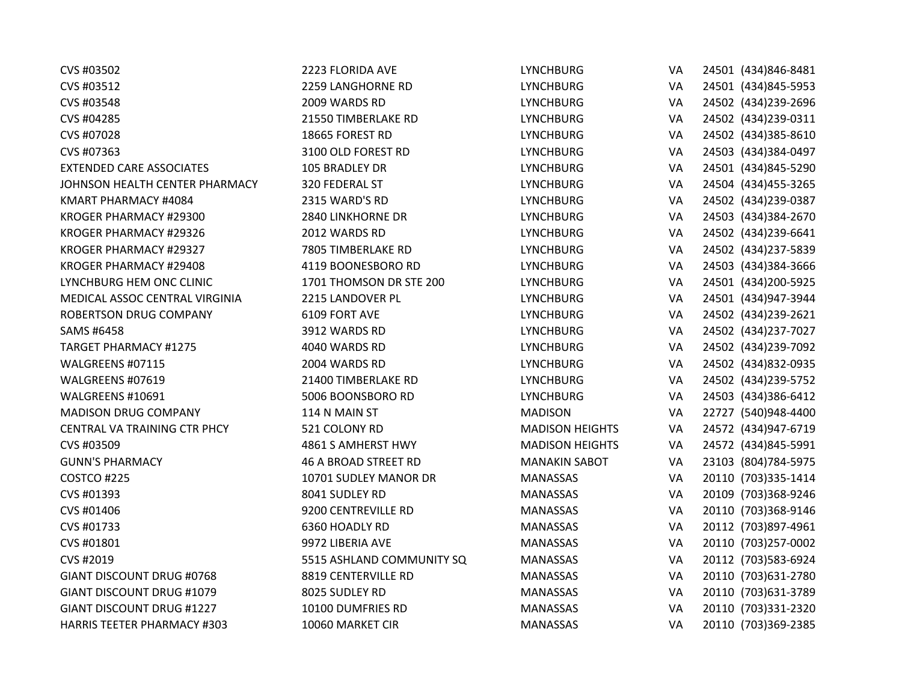| CVS #03502                         | 2223 FLORIDA AVE            | <b>LYNCHBURG</b>       | VA | 24501 (434)846-8481  |
|------------------------------------|-----------------------------|------------------------|----|----------------------|
| CVS #03512                         | 2259 LANGHORNE RD           | <b>LYNCHBURG</b>       | VA | 24501 (434)845-5953  |
| CVS #03548                         | 2009 WARDS RD               | <b>LYNCHBURG</b>       | VA | 24502 (434)239-2696  |
| CVS #04285                         | 21550 TIMBERLAKE RD         | <b>LYNCHBURG</b>       | VA | 24502 (434)239-0311  |
| CVS #07028                         | 18665 FOREST RD             | <b>LYNCHBURG</b>       | VA | 24502 (434)385-8610  |
| CVS #07363                         | 3100 OLD FOREST RD          | <b>LYNCHBURG</b>       | VA | 24503 (434)384-0497  |
| <b>EXTENDED CARE ASSOCIATES</b>    | 105 BRADLEY DR              | <b>LYNCHBURG</b>       | VA | 24501 (434)845-5290  |
| JOHNSON HEALTH CENTER PHARMACY     | 320 FEDERAL ST              | <b>LYNCHBURG</b>       | VA | 24504 (434)455-3265  |
| KMART PHARMACY #4084               | 2315 WARD'S RD              | <b>LYNCHBURG</b>       | VA | 24502 (434) 239-0387 |
| KROGER PHARMACY #29300             | 2840 LINKHORNE DR           | <b>LYNCHBURG</b>       | VA | 24503 (434)384-2670  |
| KROGER PHARMACY #29326             | 2012 WARDS RD               | <b>LYNCHBURG</b>       | VA | 24502 (434)239-6641  |
| KROGER PHARMACY #29327             | 7805 TIMBERLAKE RD          | <b>LYNCHBURG</b>       | VA | 24502 (434)237-5839  |
| KROGER PHARMACY #29408             | 4119 BOONESBORO RD          | <b>LYNCHBURG</b>       | VA | 24503 (434)384-3666  |
| LYNCHBURG HEM ONC CLINIC           | 1701 THOMSON DR STE 200     | <b>LYNCHBURG</b>       | VA | 24501 (434)200-5925  |
| MEDICAL ASSOC CENTRAL VIRGINIA     | 2215 LANDOVER PL            | <b>LYNCHBURG</b>       | VA | 24501 (434)947-3944  |
| ROBERTSON DRUG COMPANY             | 6109 FORT AVE               | <b>LYNCHBURG</b>       | VA | 24502 (434)239-2621  |
| SAMS #6458                         | 3912 WARDS RD               | <b>LYNCHBURG</b>       | VA | 24502 (434) 237-7027 |
| <b>TARGET PHARMACY #1275</b>       | 4040 WARDS RD               | <b>LYNCHBURG</b>       | VA | 24502 (434)239-7092  |
| WALGREENS #07115                   | 2004 WARDS RD               | <b>LYNCHBURG</b>       | VA | 24502 (434)832-0935  |
| WALGREENS #07619                   | 21400 TIMBERLAKE RD         | <b>LYNCHBURG</b>       | VA | 24502 (434) 239-5752 |
| WALGREENS #10691                   | 5006 BOONSBORO RD           | <b>LYNCHBURG</b>       | VA | 24503 (434)386-6412  |
| <b>MADISON DRUG COMPANY</b>        | 114 N MAIN ST               | <b>MADISON</b>         | VA | 22727 (540)948-4400  |
| CENTRAL VA TRAINING CTR PHCY       | 521 COLONY RD               | <b>MADISON HEIGHTS</b> | VA | 24572 (434)947-6719  |
| CVS #03509                         | 4861 S AMHERST HWY          | <b>MADISON HEIGHTS</b> | VA | 24572 (434)845-5991  |
| <b>GUNN'S PHARMACY</b>             | <b>46 A BROAD STREET RD</b> | <b>MANAKIN SABOT</b>   | VA | 23103 (804) 784-5975 |
| COSTCO #225                        | 10701 SUDLEY MANOR DR       | <b>MANASSAS</b>        | VA | 20110 (703)335-1414  |
| CVS #01393                         | 8041 SUDLEY RD              | MANASSAS               | VA | 20109 (703)368-9246  |
| CVS #01406                         | 9200 CENTREVILLE RD         | <b>MANASSAS</b>        | VA | 20110 (703)368-9146  |
| CVS #01733                         | 6360 HOADLY RD              | <b>MANASSAS</b>        | VA | 20112 (703)897-4961  |
| CVS #01801                         | 9972 LIBERIA AVE            | <b>MANASSAS</b>        | VA | 20110 (703)257-0002  |
| CVS #2019                          | 5515 ASHLAND COMMUNITY SQ   | <b>MANASSAS</b>        | VA | 20112 (703)583-6924  |
| GIANT DISCOUNT DRUG #0768          | 8819 CENTERVILLE RD         | MANASSAS               | VA | 20110 (703) 631-2780 |
| <b>GIANT DISCOUNT DRUG #1079</b>   | 8025 SUDLEY RD              | MANASSAS               | VA | 20110 (703) 631-3789 |
| <b>GIANT DISCOUNT DRUG #1227</b>   | 10100 DUMFRIES RD           | <b>MANASSAS</b>        | VA | 20110 (703)331-2320  |
| <b>HARRIS TEETER PHARMACY #303</b> | 10060 MARKET CIR            | <b>MANASSAS</b>        | VA | 20110 (703)369-2385  |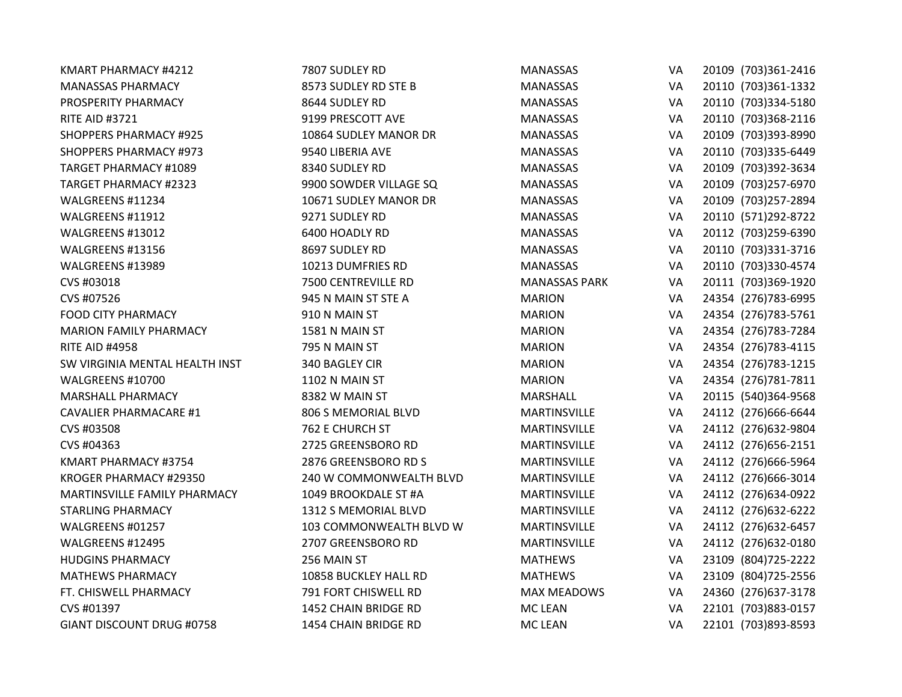| KMART PHARMACY #4212           | 7807 SUDLEY RD          | <b>MANASSAS</b>      | VA        | 20109 (703)361-2416  |
|--------------------------------|-------------------------|----------------------|-----------|----------------------|
| <b>MANASSAS PHARMACY</b>       | 8573 SUDLEY RD STE B    | <b>MANASSAS</b>      | VA        | 20110 (703)361-1332  |
| PROSPERITY PHARMACY            | 8644 SUDLEY RD          | <b>MANASSAS</b>      | VA        | 20110 (703)334-5180  |
| <b>RITE AID #3721</b>          | 9199 PRESCOTT AVE       | MANASSAS             | VA        | 20110 (703)368-2116  |
| <b>SHOPPERS PHARMACY #925</b>  | 10864 SUDLEY MANOR DR   | <b>MANASSAS</b>      | VA        | 20109 (703)393-8990  |
| <b>SHOPPERS PHARMACY #973</b>  | 9540 LIBERIA AVE        | <b>MANASSAS</b>      | VA        | 20110 (703)335-6449  |
| <b>TARGET PHARMACY #1089</b>   | 8340 SUDLEY RD          | <b>MANASSAS</b>      | VA        | 20109 (703)392-3634  |
| <b>TARGET PHARMACY #2323</b>   | 9900 SOWDER VILLAGE SQ  | <b>MANASSAS</b>      | VA        | 20109 (703)257-6970  |
| WALGREENS #11234               | 10671 SUDLEY MANOR DR   | <b>MANASSAS</b>      | VA        | 20109 (703)257-2894  |
| WALGREENS #11912               | 9271 SUDLEY RD          | <b>MANASSAS</b>      | VA        | 20110 (571)292-8722  |
| WALGREENS #13012               | 6400 HOADLY RD          | MANASSAS             | VA        | 20112 (703)259-6390  |
| WALGREENS #13156               | 8697 SUDLEY RD          | <b>MANASSAS</b>      | VA        | 20110 (703)331-3716  |
| WALGREENS #13989               | 10213 DUMFRIES RD       | <b>MANASSAS</b>      | VA        | 20110 (703)330-4574  |
| CVS #03018                     | 7500 CENTREVILLE RD     | <b>MANASSAS PARK</b> | VA        | 20111 (703)369-1920  |
| CVS #07526                     | 945 N MAIN ST STE A     | <b>MARION</b>        | VA        | 24354 (276)783-6995  |
| <b>FOOD CITY PHARMACY</b>      | 910 N MAIN ST           | <b>MARION</b>        | VA        | 24354 (276)783-5761  |
| <b>MARION FAMILY PHARMACY</b>  | 1581 N MAIN ST          | <b>MARION</b>        | VA        | 24354 (276) 783-7284 |
| <b>RITE AID #4958</b>          | 795 N MAIN ST           | <b>MARION</b>        | VA        | 24354 (276) 783-4115 |
| SW VIRGINIA MENTAL HEALTH INST | 340 BAGLEY CIR          | <b>MARION</b>        | VA        | 24354 (276) 783-1215 |
| WALGREENS #10700               | 1102 N MAIN ST          | <b>MARION</b>        | VA        | 24354 (276)781-7811  |
| MARSHALL PHARMACY              | 8382 W MAIN ST          | MARSHALL             | VA        | 20115 (540)364-9568  |
| <b>CAVALIER PHARMACARE #1</b>  | 806 S MEMORIAL BLVD     | MARTINSVILLE         | VA        | 24112 (276)666-6644  |
| CVS #03508                     | 762 E CHURCH ST         | <b>MARTINSVILLE</b>  | VA        | 24112 (276)632-9804  |
| CVS #04363                     | 2725 GREENSBORO RD      | MARTINSVILLE         | VA        | 24112 (276) 656-2151 |
| KMART PHARMACY #3754           | 2876 GREENSBORO RD S    | MARTINSVILLE         | VA        | 24112 (276)666-5964  |
| KROGER PHARMACY #29350         | 240 W COMMONWEALTH BLVD | MARTINSVILLE         | VA        | 24112 (276)666-3014  |
| MARTINSVILLE FAMILY PHARMACY   | 1049 BROOKDALE ST #A    | MARTINSVILLE         | VA        | 24112 (276)634-0922  |
| <b>STARLING PHARMACY</b>       | 1312 S MEMORIAL BLVD    | <b>MARTINSVILLE</b>  | VA        | 24112 (276) 632-6222 |
| WALGREENS #01257               | 103 COMMONWEALTH BLVD W | MARTINSVILLE         | VA        | 24112 (276) 632-6457 |
| WALGREENS #12495               | 2707 GREENSBORO RD      | <b>MARTINSVILLE</b>  | VA        | 24112 (276)632-0180  |
| <b>HUDGINS PHARMACY</b>        | 256 MAIN ST             | <b>MATHEWS</b>       | VA        | 23109 (804) 725-2222 |
| <b>MATHEWS PHARMACY</b>        | 10858 BUCKLEY HALL RD   | <b>MATHEWS</b>       | VA        | 23109 (804) 725-2556 |
| FT. CHISWELL PHARMACY          | 791 FORT CHISWELL RD    | <b>MAX MEADOWS</b>   | VA        | 24360 (276)637-3178  |
| CVS #01397                     | 1452 CHAIN BRIDGE RD    | MC LEAN              | VA        | 22101 (703)883-0157  |
| GIANT DISCOUNT DRUG #0758      | 1454 CHAIN BRIDGE RD    | <b>MC LEAN</b>       | <b>VA</b> | 22101 (703)893-8593  |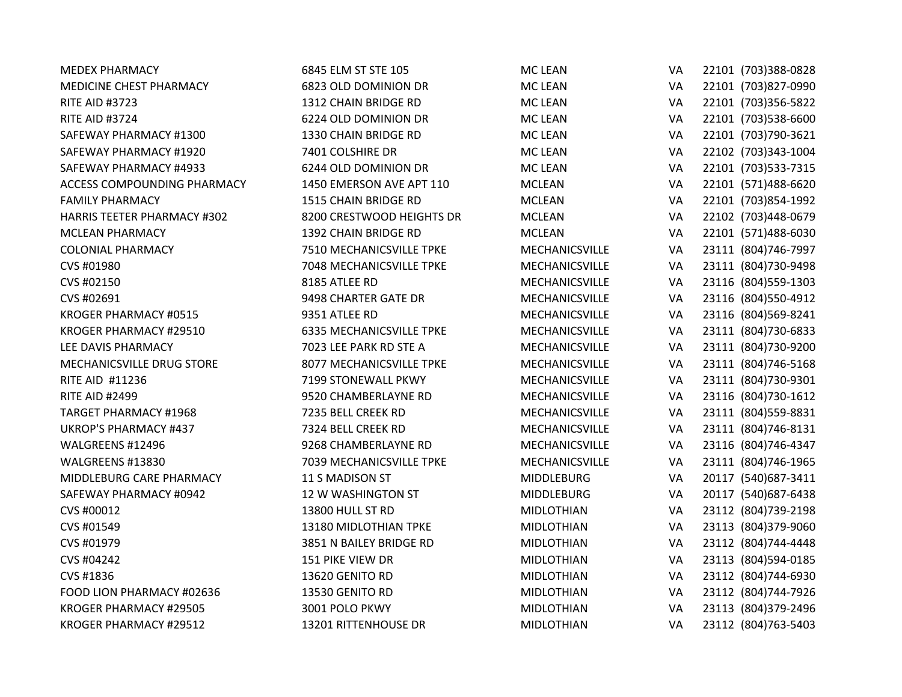| <b>MEDEX PHARMACY</b>              | 6845 ELM ST STE 105             | <b>MC LEAN</b>        | VA        | 22101 (703)388-0828  |
|------------------------------------|---------------------------------|-----------------------|-----------|----------------------|
| MEDICINE CHEST PHARMACY            | 6823 OLD DOMINION DR            | <b>MC LEAN</b>        | VA        | 22101 (703)827-0990  |
| <b>RITE AID #3723</b>              | 1312 CHAIN BRIDGE RD            | <b>MC LEAN</b>        | VA        | 22101 (703)356-5822  |
| <b>RITE AID #3724</b>              | 6224 OLD DOMINION DR            | <b>MC LEAN</b>        | VA        | 22101 (703)538-6600  |
| SAFEWAY PHARMACY #1300             | 1330 CHAIN BRIDGE RD            | <b>MC LEAN</b>        | VA        | 22101 (703)790-3621  |
| SAFEWAY PHARMACY #1920             | 7401 COLSHIRE DR                | MC LEAN               | VA        | 22102 (703)343-1004  |
| SAFEWAY PHARMACY #4933             | 6244 OLD DOMINION DR            | <b>MC LEAN</b>        | VA        | 22101 (703)533-7315  |
| ACCESS COMPOUNDING PHARMACY        | 1450 EMERSON AVE APT 110        | <b>MCLEAN</b>         | VA        | 22101 (571)488-6620  |
| <b>FAMILY PHARMACY</b>             | 1515 CHAIN BRIDGE RD            | <b>MCLEAN</b>         | VA        | 22101 (703)854-1992  |
| <b>HARRIS TEETER PHARMACY #302</b> | 8200 CRESTWOOD HEIGHTS DR       | <b>MCLEAN</b>         | VA        | 22102 (703)448-0679  |
| <b>MCLEAN PHARMACY</b>             | 1392 CHAIN BRIDGE RD            | <b>MCLEAN</b>         | VA        | 22101 (571)488-6030  |
| <b>COLONIAL PHARMACY</b>           | 7510 MECHANICSVILLE TPKE        | MECHANICSVILLE        | VA        | 23111 (804)746-7997  |
| CVS #01980                         | 7048 MECHANICSVILLE TPKE        | MECHANICSVILLE        | VA        | 23111 (804)730-9498  |
| CVS #02150                         | 8185 ATLEE RD                   | <b>MECHANICSVILLE</b> | VA        | 23116 (804) 559-1303 |
| CVS #02691                         | 9498 CHARTER GATE DR            | MECHANICSVILLE        | VA        | 23116 (804) 550-4912 |
| KROGER PHARMACY #0515              | 9351 ATLEE RD                   | MECHANICSVILLE        | VA        | 23116 (804)569-8241  |
| KROGER PHARMACY #29510             | <b>6335 MECHANICSVILLE TPKE</b> | MECHANICSVILLE        | VA        | 23111 (804)730-6833  |
| LEE DAVIS PHARMACY                 | 7023 LEE PARK RD STE A          | MECHANICSVILLE        | VA        | 23111 (804)730-9200  |
| MECHANICSVILLE DRUG STORE          | 8077 MECHANICSVILLE TPKE        | MECHANICSVILLE        | VA        | 23111 (804)746-5168  |
| <b>RITE AID #11236</b>             | 7199 STONEWALL PKWY             | <b>MECHANICSVILLE</b> | VA        | 23111 (804)730-9301  |
| <b>RITE AID #2499</b>              | 9520 CHAMBERLAYNE RD            | MECHANICSVILLE        | VA        | 23116 (804)730-1612  |
| <b>TARGET PHARMACY #1968</b>       | 7235 BELL CREEK RD              | MECHANICSVILLE        | VA        | 23111 (804) 559-8831 |
| <b>UKROP'S PHARMACY #437</b>       | 7324 BELL CREEK RD              | MECHANICSVILLE        | VA        | 23111 (804)746-8131  |
| WALGREENS #12496                   | 9268 CHAMBERLAYNE RD            | MECHANICSVILLE        | VA        | 23116 (804)746-4347  |
| WALGREENS #13830                   | 7039 MECHANICSVILLE TPKE        | MECHANICSVILLE        | VA        | 23111 (804) 746-1965 |
| MIDDLEBURG CARE PHARMACY           | 11 S MADISON ST                 | <b>MIDDLEBURG</b>     | VA        | 20117 (540) 687-3411 |
| SAFEWAY PHARMACY #0942             | 12 W WASHINGTON ST              | <b>MIDDLEBURG</b>     | VA        | 20117 (540) 687-6438 |
| CVS #00012                         | 13800 HULL ST RD                | <b>MIDLOTHIAN</b>     | VA        | 23112 (804)739-2198  |
| CVS #01549                         | 13180 MIDLOTHIAN TPKE           | <b>MIDLOTHIAN</b>     | VA        | 23113 (804)379-9060  |
| CVS #01979                         | 3851 N BAILEY BRIDGE RD         | <b>MIDLOTHIAN</b>     | VA        | 23112 (804)744-4448  |
| CVS #04242                         | 151 PIKE VIEW DR                | <b>MIDLOTHIAN</b>     | VA        | 23113 (804)594-0185  |
| CVS #1836                          | 13620 GENITO RD                 | <b>MIDLOTHIAN</b>     | VA        | 23112 (804)744-6930  |
| FOOD LION PHARMACY #02636          | 13530 GENITO RD                 | <b>MIDLOTHIAN</b>     | VA        | 23112 (804)744-7926  |
| KROGER PHARMACY #29505             | 3001 POLO PKWY                  | <b>MIDLOTHIAN</b>     | VA        | 23113 (804)379-2496  |
| KROGER PHARMACY #29512             | 13201 RITTENHOUSE DR            | <b>MIDLOTHIAN</b>     | <b>VA</b> | 23112 (804)763-5403  |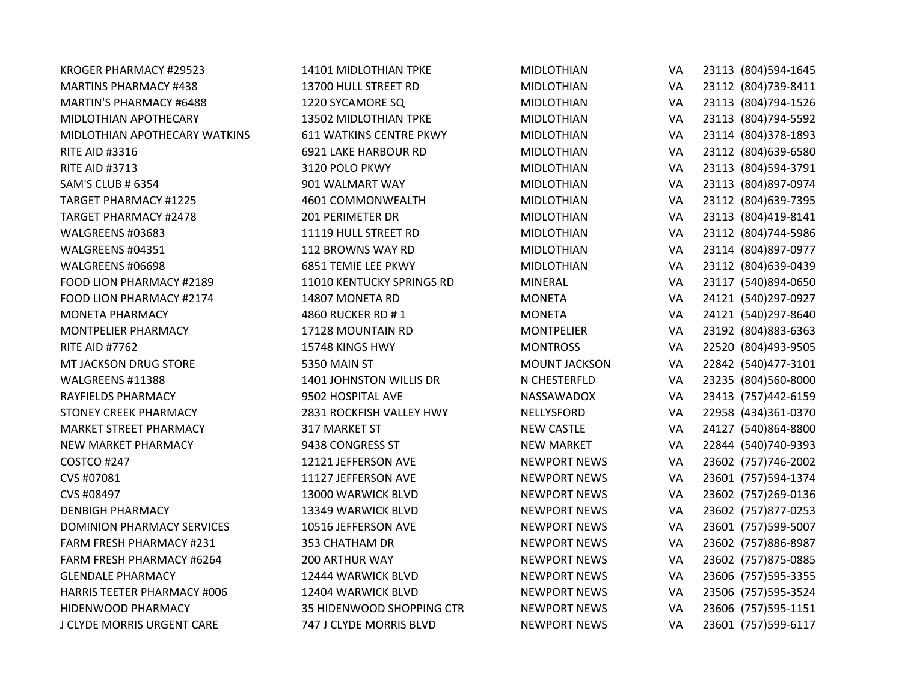| KROGER PHARMACY #29523             | 14101 MIDLOTHIAN TPKE          | <b>MIDLOTHIAN</b>    | VA        | 23113 (804) 594-1645 |
|------------------------------------|--------------------------------|----------------------|-----------|----------------------|
| <b>MARTINS PHARMACY #438</b>       | 13700 HULL STREET RD           | <b>MIDLOTHIAN</b>    | VA        | 23112 (804)739-8411  |
| <b>MARTIN'S PHARMACY #6488</b>     | 1220 SYCAMORE SQ               | <b>MIDLOTHIAN</b>    | VA        | 23113 (804)794-1526  |
| MIDLOTHIAN APOTHECARY              | 13502 MIDLOTHIAN TPKE          | <b>MIDLOTHIAN</b>    | VA        | 23113 (804)794-5592  |
| MIDLOTHIAN APOTHECARY WATKINS      | <b>611 WATKINS CENTRE PKWY</b> | <b>MIDLOTHIAN</b>    | VA        | 23114 (804)378-1893  |
| <b>RITE AID #3316</b>              | 6921 LAKE HARBOUR RD           | <b>MIDLOTHIAN</b>    | VA        | 23112 (804) 639-6580 |
| <b>RITE AID #3713</b>              | 3120 POLO PKWY                 | <b>MIDLOTHIAN</b>    | VA        | 23113 (804)594-3791  |
| <b>SAM'S CLUB # 6354</b>           | 901 WALMART WAY                | <b>MIDLOTHIAN</b>    | VA        | 23113 (804) 897-0974 |
| <b>TARGET PHARMACY #1225</b>       | 4601 COMMONWEALTH              | <b>MIDLOTHIAN</b>    | VA        | 23112 (804) 639-7395 |
| <b>TARGET PHARMACY #2478</b>       | 201 PERIMETER DR               | <b>MIDLOTHIAN</b>    | VA        | 23113 (804)419-8141  |
| WALGREENS #03683                   | 11119 HULL STREET RD           | <b>MIDLOTHIAN</b>    | VA        | 23112 (804)744-5986  |
| WALGREENS #04351                   | 112 BROWNS WAY RD              | <b>MIDLOTHIAN</b>    | VA        | 23114 (804) 897-0977 |
| WALGREENS #06698                   | 6851 TEMIE LEE PKWY            | <b>MIDLOTHIAN</b>    | VA        | 23112 (804) 639-0439 |
| FOOD LION PHARMACY #2189           | 11010 KENTUCKY SPRINGS RD      | <b>MINERAL</b>       | VA        | 23117 (540)894-0650  |
| FOOD LION PHARMACY #2174           | 14807 MONETA RD                | <b>MONETA</b>        | VA        | 24121 (540)297-0927  |
| <b>MONETA PHARMACY</b>             | 4860 RUCKER RD #1              | <b>MONETA</b>        | VA        | 24121 (540)297-8640  |
| MONTPELIER PHARMACY                | 17128 MOUNTAIN RD              | <b>MONTPELIER</b>    | VA        | 23192 (804) 883-6363 |
| <b>RITE AID #7762</b>              | 15748 KINGS HWY                | <b>MONTROSS</b>      | VA        | 22520 (804)493-9505  |
| MT JACKSON DRUG STORE              | 5350 MAIN ST                   | <b>MOUNT JACKSON</b> | VA        | 22842 (540)477-3101  |
| WALGREENS #11388                   | 1401 JOHNSTON WILLIS DR        | N CHESTERFLD         | VA        | 23235 (804)560-8000  |
| RAYFIELDS PHARMACY                 | 9502 HOSPITAL AVE              | NASSAWADOX           | VA        | 23413 (757)442-6159  |
| <b>STONEY CREEK PHARMACY</b>       | 2831 ROCKFISH VALLEY HWY       | NELLYSFORD           | VA        | 22958 (434)361-0370  |
| MARKET STREET PHARMACY             | 317 MARKET ST                  | <b>NEW CASTLE</b>    | VA        | 24127 (540)864-8800  |
| NEW MARKET PHARMACY                | 9438 CONGRESS ST               | <b>NEW MARKET</b>    | VA        | 22844 (540) 740-9393 |
| COSTCO #247                        | 12121 JEFFERSON AVE            | <b>NEWPORT NEWS</b>  | VA        | 23602 (757)746-2002  |
| CVS #07081                         | 11127 JEFFERSON AVE            | <b>NEWPORT NEWS</b>  | VA        | 23601 (757)594-1374  |
| CVS #08497                         | 13000 WARWICK BLVD             | <b>NEWPORT NEWS</b>  | VA        | 23602 (757)269-0136  |
| <b>DENBIGH PHARMACY</b>            | 13349 WARWICK BLVD             | <b>NEWPORT NEWS</b>  | VA        | 23602 (757)877-0253  |
| <b>DOMINION PHARMACY SERVICES</b>  | 10516 JEFFERSON AVE            | <b>NEWPORT NEWS</b>  | VA        | 23601 (757)599-5007  |
| <b>FARM FRESH PHARMACY #231</b>    | 353 CHATHAM DR                 | <b>NEWPORT NEWS</b>  | VA        | 23602 (757)886-8987  |
| FARM FRESH PHARMACY #6264          | <b>200 ARTHUR WAY</b>          | <b>NEWPORT NEWS</b>  | VA        | 23602 (757)875-0885  |
| <b>GLENDALE PHARMACY</b>           | 12444 WARWICK BLVD             | <b>NEWPORT NEWS</b>  | VA        | 23606 (757)595-3355  |
| <b>HARRIS TEETER PHARMACY #006</b> | 12404 WARWICK BLVD             | <b>NEWPORT NEWS</b>  | <b>VA</b> | 23506 (757)595-3524  |
| HIDENWOOD PHARMACY                 | 35 HIDENWOOD SHOPPING CTR      | <b>NEWPORT NEWS</b>  | VA        | 23606 (757)595-1151  |
| J CLYDE MORRIS URGENT CARE         | 747 J CLYDE MORRIS BLVD        | <b>NEWPORT NEWS</b>  | <b>VA</b> | 23601 (757)599-6117  |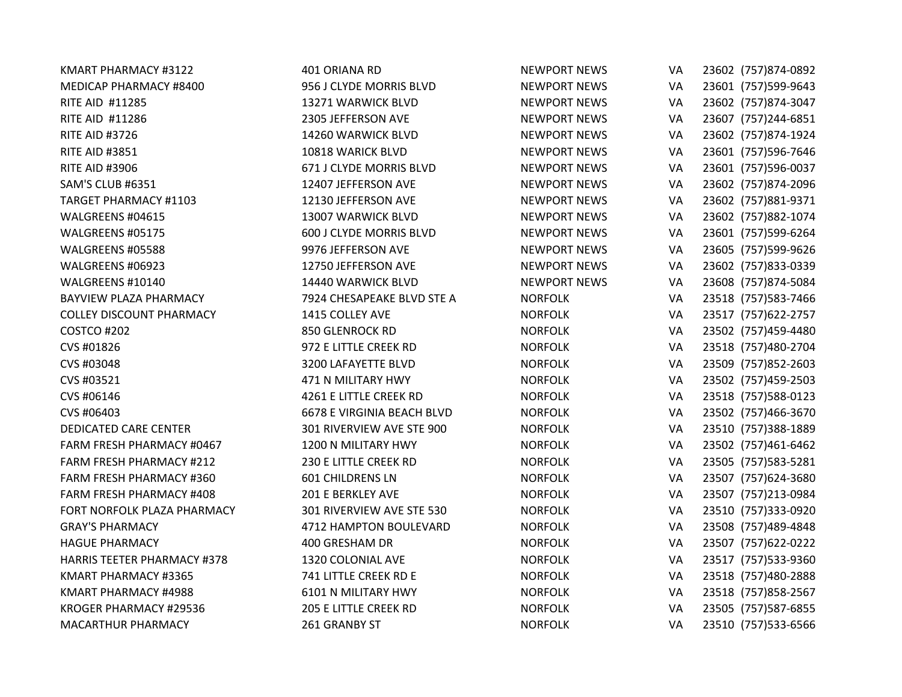| KMART PHARMACY #3122               | 401 ORIANA RD                     | <b>NEWPORT NEWS</b> | VA        | 23602 (757)874-0892  |
|------------------------------------|-----------------------------------|---------------------|-----------|----------------------|
| MEDICAP PHARMACY #8400             | 956 J CLYDE MORRIS BLVD           | <b>NEWPORT NEWS</b> | VA        | 23601 (757)599-9643  |
| <b>RITE AID #11285</b>             | 13271 WARWICK BLVD                | <b>NEWPORT NEWS</b> | VA        | 23602 (757)874-3047  |
| RITE AID #11286                    | 2305 JEFFERSON AVE                | <b>NEWPORT NEWS</b> | VA        | 23607 (757)244-6851  |
| <b>RITE AID #3726</b>              | 14260 WARWICK BLVD                | <b>NEWPORT NEWS</b> | VA        | 23602 (757)874-1924  |
| <b>RITE AID #3851</b>              | 10818 WARICK BLVD                 | <b>NEWPORT NEWS</b> | VA        | 23601 (757)596-7646  |
| <b>RITE AID #3906</b>              | 671 J CLYDE MORRIS BLVD           | <b>NEWPORT NEWS</b> | VA        | 23601 (757)596-0037  |
| SAM'S CLUB #6351                   | 12407 JEFFERSON AVE               | <b>NEWPORT NEWS</b> | VA        | 23602 (757)874-2096  |
| <b>TARGET PHARMACY #1103</b>       | 12130 JEFFERSON AVE               | <b>NEWPORT NEWS</b> | VA        | 23602 (757)881-9371  |
| WALGREENS #04615                   | 13007 WARWICK BLVD                | <b>NEWPORT NEWS</b> | VA        | 23602 (757)882-1074  |
| WALGREENS #05175                   | 600 J CLYDE MORRIS BLVD           | <b>NEWPORT NEWS</b> | VA        | 23601 (757)599-6264  |
| WALGREENS #05588                   | 9976 JEFFERSON AVE                | <b>NEWPORT NEWS</b> | VA        | 23605 (757)599-9626  |
| WALGREENS #06923                   | 12750 JEFFERSON AVE               | <b>NEWPORT NEWS</b> | VA        | 23602 (757)833-0339  |
| WALGREENS #10140                   | 14440 WARWICK BLVD                | <b>NEWPORT NEWS</b> | VA        | 23608 (757)874-5084  |
| <b>BAYVIEW PLAZA PHARMACY</b>      | 7924 CHESAPEAKE BLVD STE A        | <b>NORFOLK</b>      | VA        | 23518 (757) 583-7466 |
| <b>COLLEY DISCOUNT PHARMACY</b>    | 1415 COLLEY AVE                   | <b>NORFOLK</b>      | VA        | 23517 (757) 622-2757 |
| COSTCO #202                        | 850 GLENROCK RD                   | <b>NORFOLK</b>      | VA        | 23502 (757)459-4480  |
| CVS #01826                         | 972 E LITTLE CREEK RD             | <b>NORFOLK</b>      | VA        | 23518 (757)480-2704  |
| CVS #03048                         | 3200 LAFAYETTE BLVD               | <b>NORFOLK</b>      | VA        | 23509 (757)852-2603  |
| CVS #03521                         | 471 N MILITARY HWY                | <b>NORFOLK</b>      | VA        | 23502 (757)459-2503  |
| CVS #06146                         | 4261 E LITTLE CREEK RD            | <b>NORFOLK</b>      | VA        | 23518 (757) 588-0123 |
| CVS #06403                         | <b>6678 E VIRGINIA BEACH BLVD</b> | <b>NORFOLK</b>      | VA        | 23502 (757)466-3670  |
| <b>DEDICATED CARE CENTER</b>       | 301 RIVERVIEW AVE STE 900         | <b>NORFOLK</b>      | VA        | 23510 (757)388-1889  |
| FARM FRESH PHARMACY #0467          | 1200 N MILITARY HWY               | <b>NORFOLK</b>      | VA        | 23502 (757)461-6462  |
| FARM FRESH PHARMACY #212           | 230 E LITTLE CREEK RD             | <b>NORFOLK</b>      | VA        | 23505 (757) 583-5281 |
| FARM FRESH PHARMACY #360           | <b>601 CHILDRENS LN</b>           | <b>NORFOLK</b>      | <b>VA</b> | 23507 (757) 624-3680 |
| <b>FARM FRESH PHARMACY #408</b>    | 201 E BERKLEY AVE                 | <b>NORFOLK</b>      | VA        | 23507 (757)213-0984  |
| FORT NORFOLK PLAZA PHARMACY        | 301 RIVERVIEW AVE STE 530         | <b>NORFOLK</b>      | VA        | 23510 (757)333-0920  |
| <b>GRAY'S PHARMACY</b>             | 4712 HAMPTON BOULEVARD            | <b>NORFOLK</b>      | VA        | 23508 (757)489-4848  |
| <b>HAGUE PHARMACY</b>              | 400 GRESHAM DR                    | <b>NORFOLK</b>      | VA        | 23507 (757) 622-0222 |
| <b>HARRIS TEETER PHARMACY #378</b> | 1320 COLONIAL AVE                 | <b>NORFOLK</b>      | VA        | 23517 (757)533-9360  |
| KMART PHARMACY #3365               | 741 LITTLE CREEK RD E             | <b>NORFOLK</b>      | VA        | 23518 (757)480-2888  |
| KMART PHARMACY #4988               | <b>6101 N MILITARY HWY</b>        | <b>NORFOLK</b>      | VA        | 23518 (757)858-2567  |
| KROGER PHARMACY #29536             | 205 E LITTLE CREEK RD             | <b>NORFOLK</b>      | VA        | 23505 (757)587-6855  |
| <b>MACARTHUR PHARMACY</b>          | 261 GRANBY ST                     | <b>NORFOLK</b>      | VA        | 23510 (757)533-6566  |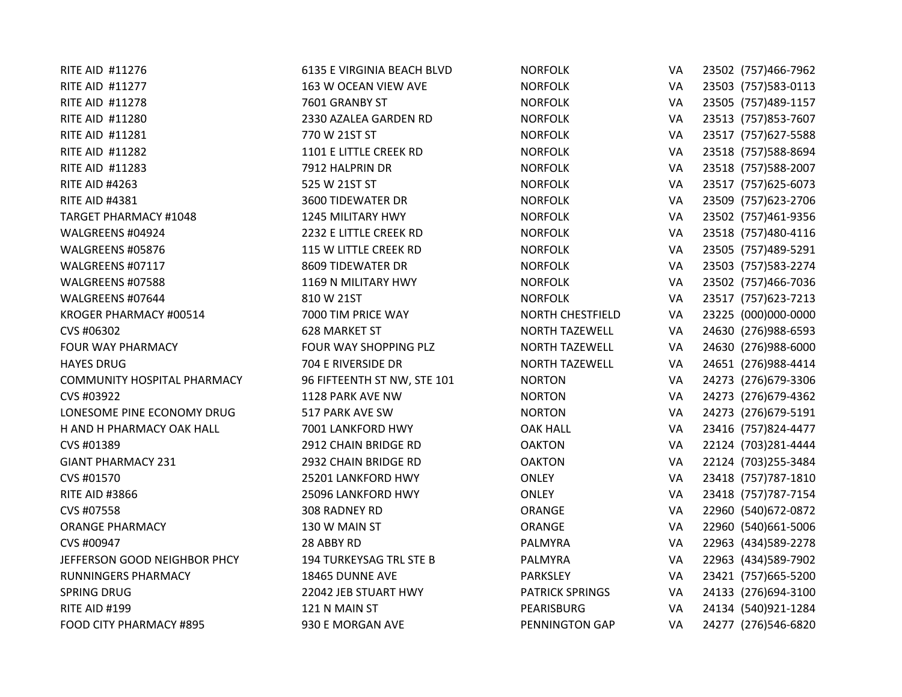| RITE AID #11276                    | <b>6135 E VIRGINIA BEACH BLVD</b> | <b>NORFOLK</b>          | VA | 23502 (757)466-7962  |
|------------------------------------|-----------------------------------|-------------------------|----|----------------------|
| <b>RITE AID #11277</b>             | 163 W OCEAN VIEW AVE              | <b>NORFOLK</b>          | VA | 23503 (757) 583-0113 |
| RITE AID #11278                    | 7601 GRANBY ST                    | <b>NORFOLK</b>          | VA | 23505 (757)489-1157  |
| RITE AID #11280                    | 2330 AZALEA GARDEN RD             | <b>NORFOLK</b>          | VA | 23513 (757)853-7607  |
| RITE AID #11281                    | 770 W 21ST ST                     | <b>NORFOLK</b>          | VA | 23517 (757) 627-5588 |
| <b>RITE AID #11282</b>             | 1101 E LITTLE CREEK RD            | <b>NORFOLK</b>          | VA | 23518 (757) 588-8694 |
| RITE AID #11283                    | 7912 HALPRIN DR                   | <b>NORFOLK</b>          | VA | 23518 (757) 588-2007 |
| <b>RITE AID #4263</b>              | 525 W 21ST ST                     | <b>NORFOLK</b>          | VA | 23517 (757) 625-6073 |
| <b>RITE AID #4381</b>              | <b>3600 TIDEWATER DR</b>          | <b>NORFOLK</b>          | VA | 23509 (757) 623-2706 |
| <b>TARGET PHARMACY #1048</b>       | 1245 MILITARY HWY                 | <b>NORFOLK</b>          | VA | 23502 (757)461-9356  |
| WALGREENS #04924                   | 2232 E LITTLE CREEK RD            | <b>NORFOLK</b>          | VA | 23518 (757)480-4116  |
| WALGREENS #05876                   | 115 W LITTLE CREEK RD             | <b>NORFOLK</b>          | VA | 23505 (757)489-5291  |
| WALGREENS #07117                   | 8609 TIDEWATER DR                 | <b>NORFOLK</b>          | VA | 23503 (757)583-2274  |
| WALGREENS #07588                   | 1169 N MILITARY HWY               | <b>NORFOLK</b>          | VA | 23502 (757)466-7036  |
| WALGREENS #07644                   | 810 W 21ST                        | <b>NORFOLK</b>          | VA | 23517 (757) 623-7213 |
| KROGER PHARMACY #00514             | 7000 TIM PRICE WAY                | <b>NORTH CHESTFIELD</b> | VA | 23225 (000)000-0000  |
| CVS #06302                         | <b>628 MARKET ST</b>              | <b>NORTH TAZEWELL</b>   | VA | 24630 (276)988-6593  |
| <b>FOUR WAY PHARMACY</b>           | FOUR WAY SHOPPING PLZ             | <b>NORTH TAZEWELL</b>   | VA | 24630 (276)988-6000  |
| <b>HAYES DRUG</b>                  | 704 E RIVERSIDE DR                | <b>NORTH TAZEWELL</b>   | VA | 24651 (276)988-4414  |
| <b>COMMUNITY HOSPITAL PHARMACY</b> | 96 FIFTEENTH ST NW, STE 101       | <b>NORTON</b>           | VA | 24273 (276) 679-3306 |
| CVS #03922                         | 1128 PARK AVE NW                  | <b>NORTON</b>           | VA | 24273 (276) 679-4362 |
| LONESOME PINE ECONOMY DRUG         | 517 PARK AVE SW                   | <b>NORTON</b>           | VA | 24273 (276) 679-5191 |
| H AND H PHARMACY OAK HALL          | 7001 LANKFORD HWY                 | <b>OAK HALL</b>         | VA | 23416 (757)824-4477  |
| CVS #01389                         | 2912 CHAIN BRIDGE RD              | <b>OAKTON</b>           | VA | 22124 (703)281-4444  |
| <b>GIANT PHARMACY 231</b>          | 2932 CHAIN BRIDGE RD              | <b>OAKTON</b>           | VA | 22124 (703) 255-3484 |
| CVS #01570                         | 25201 LANKFORD HWY                | <b>ONLEY</b>            | VA | 23418 (757) 787-1810 |
| <b>RITE AID #3866</b>              | 25096 LANKFORD HWY                | <b>ONLEY</b>            | VA | 23418 (757) 787-7154 |
| CVS #07558                         | 308 RADNEY RD                     | ORANGE                  | VA | 22960 (540) 672-0872 |
| <b>ORANGE PHARMACY</b>             | 130 W MAIN ST                     | ORANGE                  | VA | 22960 (540) 661-5006 |
| CVS #00947                         | 28 ABBY RD                        | PALMYRA                 | VA | 22963 (434) 589-2278 |
| JEFFERSON GOOD NEIGHBOR PHCY       | 194 TURKEYSAG TRL STE B           | PALMYRA                 | VA | 22963 (434)589-7902  |
| RUNNINGERS PHARMACY                | 18465 DUNNE AVE                   | PARKSLEY                | VA | 23421 (757) 665-5200 |
| <b>SPRING DRUG</b>                 | 22042 JEB STUART HWY              | <b>PATRICK SPRINGS</b>  | VA | 24133 (276)694-3100  |
| RITE AID #199                      | 121 N MAIN ST                     | PEARISBURG              | VA | 24134 (540)921-1284  |
| FOOD CITY PHARMACY #895            | 930 E MORGAN AVE                  | PENNINGTON GAP          | VA | 24277 (276)546-6820  |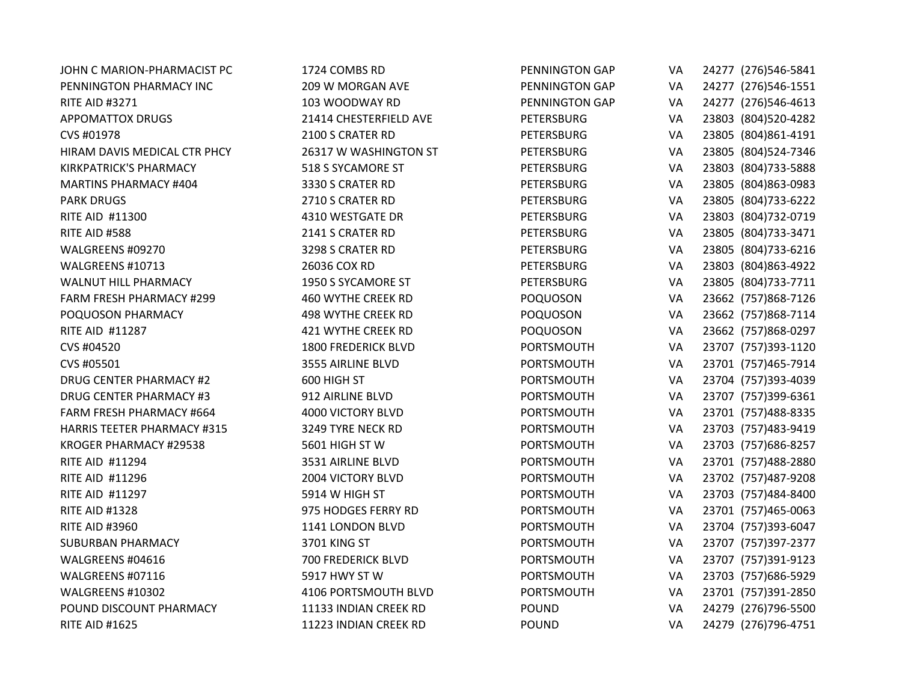| JOHN C MARION-PHARMACIST PC        | 1724 COMBS RD              | PENNINGTON GAP    | VA | 24277 (276)546-5841  |
|------------------------------------|----------------------------|-------------------|----|----------------------|
| PENNINGTON PHARMACY INC            | 209 W MORGAN AVE           | PENNINGTON GAP    | VA | 24277 (276)546-1551  |
| <b>RITE AID #3271</b>              | 103 WOODWAY RD             | PENNINGTON GAP    | VA | 24277 (276)546-4613  |
| <b>APPOMATTOX DRUGS</b>            | 21414 CHESTERFIELD AVE     | <b>PETERSBURG</b> | VA | 23803 (804)520-4282  |
| CVS #01978                         | 2100 S CRATER RD           | <b>PETERSBURG</b> | VA | 23805 (804) 861-4191 |
| HIRAM DAVIS MEDICAL CTR PHCY       | 26317 W WASHINGTON ST      | <b>PETERSBURG</b> | VA | 23805 (804) 524-7346 |
| <b>KIRKPATRICK'S PHARMACY</b>      | 518 S SYCAMORE ST          | <b>PETERSBURG</b> | VA | 23803 (804) 733-5888 |
| <b>MARTINS PHARMACY #404</b>       | 3330 S CRATER RD           | <b>PETERSBURG</b> | VA | 23805 (804)863-0983  |
| <b>PARK DRUGS</b>                  | 2710 S CRATER RD           | <b>PETERSBURG</b> | VA | 23805 (804) 733-6222 |
| RITE AID #11300                    | 4310 WESTGATE DR           | <b>PETERSBURG</b> | VA | 23803 (804) 732-0719 |
| RITE AID #588                      | 2141 S CRATER RD           | <b>PETERSBURG</b> | VA | 23805 (804) 733-3471 |
| WALGREENS #09270                   | 3298 S CRATER RD           | <b>PETERSBURG</b> | VA | 23805 (804) 733-6216 |
| WALGREENS #10713                   | 26036 COX RD               | PETERSBURG        | VA | 23803 (804) 863-4922 |
| <b>WALNUT HILL PHARMACY</b>        | 1950 S SYCAMORE ST         | <b>PETERSBURG</b> | VA | 23805 (804) 733-7711 |
| <b>FARM FRESH PHARMACY #299</b>    | 460 WYTHE CREEK RD         | <b>POQUOSON</b>   | VA | 23662 (757)868-7126  |
| POQUOSON PHARMACY                  | <b>498 WYTHE CREEK RD</b>  | POQUOSON          | VA | 23662 (757)868-7114  |
| RITE AID #11287                    | 421 WYTHE CREEK RD         | POQUOSON          | VA | 23662 (757)868-0297  |
| CVS #04520                         | <b>1800 FREDERICK BLVD</b> | PORTSMOUTH        | VA | 23707 (757)393-1120  |
| CVS #05501                         | 3555 AIRLINE BLVD          | PORTSMOUTH        | VA | 23701 (757)465-7914  |
| <b>DRUG CENTER PHARMACY #2</b>     | 600 HIGH ST                | PORTSMOUTH        | VA | 23704 (757)393-4039  |
| <b>DRUG CENTER PHARMACY #3</b>     | 912 AIRLINE BLVD           | PORTSMOUTH        | VA | 23707 (757)399-6361  |
| FARM FRESH PHARMACY #664           | 4000 VICTORY BLVD          | PORTSMOUTH        | VA | 23701 (757)488-8335  |
| <b>HARRIS TEETER PHARMACY #315</b> | 3249 TYRE NECK RD          | PORTSMOUTH        | VA | 23703 (757)483-9419  |
| KROGER PHARMACY #29538             | 5601 HIGH ST W             | PORTSMOUTH        | VA | 23703 (757) 686-8257 |
| <b>RITE AID #11294</b>             | 3531 AIRLINE BLVD          | PORTSMOUTH        | VA | 23701 (757)488-2880  |
| <b>RITE AID #11296</b>             | 2004 VICTORY BLVD          | PORTSMOUTH        | VA | 23702 (757)487-9208  |
| RITE AID #11297                    | 5914 W HIGH ST             | PORTSMOUTH        | VA | 23703 (757)484-8400  |
| <b>RITE AID #1328</b>              | 975 HODGES FERRY RD        | PORTSMOUTH        | VA | 23701 (757)465-0063  |
| <b>RITE AID #3960</b>              | 1141 LONDON BLVD           | PORTSMOUTH        | VA | 23704 (757)393-6047  |
| <b>SUBURBAN PHARMACY</b>           | 3701 KING ST               | PORTSMOUTH        | VA | 23707 (757)397-2377  |
| WALGREENS #04616                   | 700 FREDERICK BLVD         | PORTSMOUTH        | VA | 23707 (757)391-9123  |
| WALGREENS #07116                   | 5917 HWY ST W              | PORTSMOUTH        | VA | 23703 (757) 686-5929 |
| WALGREENS #10302                   | 4106 PORTSMOUTH BLVD       | PORTSMOUTH        | VA | 23701 (757)391-2850  |
| POUND DISCOUNT PHARMACY            | 11133 INDIAN CREEK RD      | <b>POUND</b>      | VA | 24279 (276)796-5500  |
| <b>RITE AID #1625</b>              | 11223 INDIAN CREEK RD      | <b>POUND</b>      | VA | 24279 (276)796-4751  |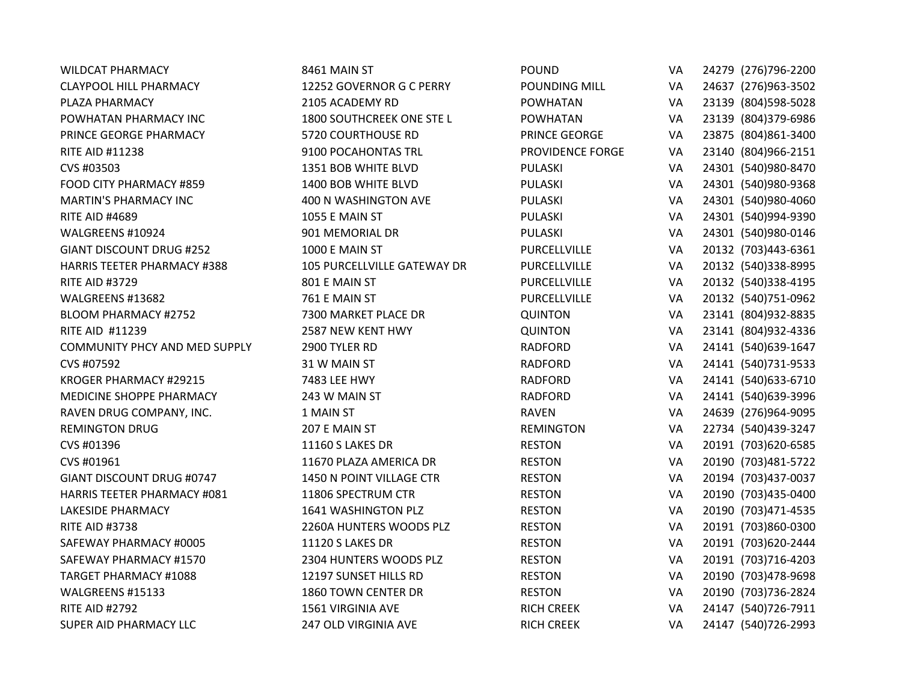| <b>WILDCAT PHARMACY</b>              | 8461 MAIN ST                | <b>POUND</b>      | VA        | 24279 (276)796-2200  |
|--------------------------------------|-----------------------------|-------------------|-----------|----------------------|
| <b>CLAYPOOL HILL PHARMACY</b>        | 12252 GOVERNOR G C PERRY    | POUNDING MILL     | VA        | 24637 (276)963-3502  |
| PLAZA PHARMACY                       | 2105 ACADEMY RD             | <b>POWHATAN</b>   | VA        | 23139 (804) 598-5028 |
| POWHATAN PHARMACY INC                | 1800 SOUTHCREEK ONE STE L   | <b>POWHATAN</b>   | VA        | 23139 (804)379-6986  |
| PRINCE GEORGE PHARMACY               | 5720 COURTHOUSE RD          | PRINCE GEORGE     | VA        | 23875 (804) 861-3400 |
| <b>RITE AID #11238</b>               | 9100 POCAHONTAS TRL         | PROVIDENCE FORGE  | VA        | 23140 (804)966-2151  |
| CVS #03503                           | 1351 BOB WHITE BLVD         | PULASKI           | VA        | 24301 (540)980-8470  |
| FOOD CITY PHARMACY #859              | 1400 BOB WHITE BLVD         | PULASKI           | VA        | 24301 (540)980-9368  |
| <b>MARTIN'S PHARMACY INC</b>         | 400 N WASHINGTON AVE        | PULASKI           | VA        | 24301 (540)980-4060  |
| <b>RITE AID #4689</b>                | 1055 E MAIN ST              | PULASKI           | VA        | 24301 (540)994-9390  |
| WALGREENS #10924                     | 901 MEMORIAL DR             | PULASKI           | VA        | 24301 (540)980-0146  |
| <b>GIANT DISCOUNT DRUG #252</b>      | 1000 E MAIN ST              | PURCELLVILLE      | VA        | 20132 (703)443-6361  |
| <b>HARRIS TEETER PHARMACY #388</b>   | 105 PURCELLVILLE GATEWAY DR | PURCELLVILLE      | VA        | 20132 (540)338-8995  |
| <b>RITE AID #3729</b>                | 801 E MAIN ST               | PURCELLVILLE      | VA        | 20132 (540)338-4195  |
| WALGREENS #13682                     | 761 E MAIN ST               | PURCELLVILLE      | VA        | 20132 (540) 751-0962 |
| <b>BLOOM PHARMACY #2752</b>          | 7300 MARKET PLACE DR        | <b>QUINTON</b>    | VA        | 23141 (804) 932-8835 |
| RITE AID #11239                      | 2587 NEW KENT HWY           | <b>QUINTON</b>    | VA        | 23141 (804) 932-4336 |
| <b>COMMUNITY PHCY AND MED SUPPLY</b> | 2900 TYLER RD               | <b>RADFORD</b>    | VA        | 24141 (540) 639-1647 |
| CVS #07592                           | 31 W MAIN ST                | <b>RADFORD</b>    | VA        | 24141 (540) 731-9533 |
| KROGER PHARMACY #29215               | 7483 LEE HWY                | <b>RADFORD</b>    | VA        | 24141 (540) 633-6710 |
| MEDICINE SHOPPE PHARMACY             | 243 W MAIN ST               | <b>RADFORD</b>    | VA        | 24141 (540) 639-3996 |
| RAVEN DRUG COMPANY, INC.             | 1 MAIN ST                   | <b>RAVEN</b>      | VA        | 24639 (276)964-9095  |
| <b>REMINGTON DRUG</b>                | 207 E MAIN ST               | <b>REMINGTON</b>  | VA        | 22734 (540)439-3247  |
| CVS #01396                           | 11160 S LAKES DR            | <b>RESTON</b>     | VA        | 20191 (703)620-6585  |
| CVS #01961                           | 11670 PLAZA AMERICA DR      | <b>RESTON</b>     | VA        | 20190 (703)481-5722  |
| <b>GIANT DISCOUNT DRUG #0747</b>     | 1450 N POINT VILLAGE CTR    | <b>RESTON</b>     | <b>VA</b> | 20194 (703)437-0037  |
| <b>HARRIS TEETER PHARMACY #081</b>   | 11806 SPECTRUM CTR          | <b>RESTON</b>     | VA        | 20190 (703)435-0400  |
| LAKESIDE PHARMACY                    | 1641 WASHINGTON PLZ         | <b>RESTON</b>     | VA        | 20190 (703)471-4535  |
| <b>RITE AID #3738</b>                | 2260A HUNTERS WOODS PLZ     | <b>RESTON</b>     | VA        | 20191 (703)860-0300  |
| SAFEWAY PHARMACY #0005               | <b>11120 S LAKES DR</b>     | <b>RESTON</b>     | VA        | 20191 (703)620-2444  |
| SAFEWAY PHARMACY #1570               | 2304 HUNTERS WOODS PLZ      | <b>RESTON</b>     | VA        | 20191 (703)716-4203  |
| <b>TARGET PHARMACY #1088</b>         | 12197 SUNSET HILLS RD       | <b>RESTON</b>     | VA        | 20190 (703)478-9698  |
| WALGREENS #15133                     | 1860 TOWN CENTER DR         | <b>RESTON</b>     | VA        | 20190 (703)736-2824  |
| <b>RITE AID #2792</b>                | 1561 VIRGINIA AVE           | <b>RICH CREEK</b> | VA        | 24147 (540) 726-7911 |
| SUPER AID PHARMACY LLC               | 247 OLD VIRGINIA AVE        | <b>RICH CREEK</b> | VA        | 24147 (540) 726-2993 |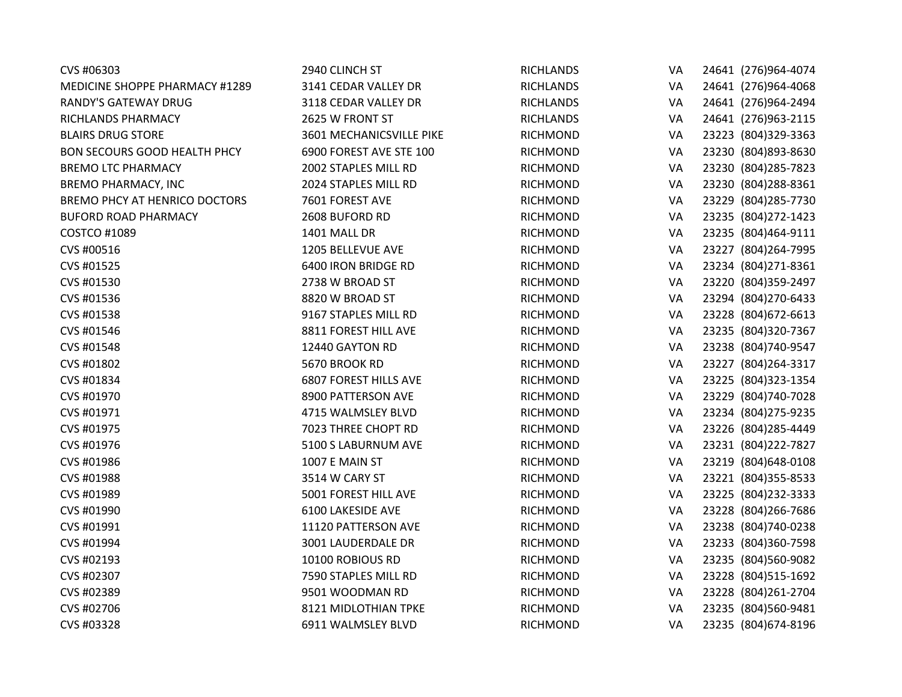| CVS #06303                          | 2940 CLINCH ST               | <b>RICHLANDS</b> | VA | 24641 (276)964-4074  |
|-------------------------------------|------------------------------|------------------|----|----------------------|
| MEDICINE SHOPPE PHARMACY #1289      | 3141 CEDAR VALLEY DR         | <b>RICHLANDS</b> | VA | 24641 (276)964-4068  |
| RANDY'S GATEWAY DRUG                | 3118 CEDAR VALLEY DR         | <b>RICHLANDS</b> | VA | 24641 (276)964-2494  |
| RICHLANDS PHARMACY                  | 2625 W FRONT ST              | <b>RICHLANDS</b> | VA | 24641 (276)963-2115  |
| <b>BLAIRS DRUG STORE</b>            | 3601 MECHANICSVILLE PIKE     | <b>RICHMOND</b>  | VA | 23223 (804)329-3363  |
| <b>BON SECOURS GOOD HEALTH PHCY</b> | 6900 FOREST AVE STE 100      | <b>RICHMOND</b>  | VA | 23230 (804) 893-8630 |
| <b>BREMO LTC PHARMACY</b>           | 2002 STAPLES MILL RD         | <b>RICHMOND</b>  | VA | 23230 (804) 285-7823 |
| <b>BREMO PHARMACY, INC</b>          | 2024 STAPLES MILL RD         | RICHMOND         | VA | 23230 (804) 288-8361 |
| BREMO PHCY AT HENRICO DOCTORS       | 7601 FOREST AVE              | <b>RICHMOND</b>  | VA | 23229 (804) 285-7730 |
| <b>BUFORD ROAD PHARMACY</b>         | 2608 BUFORD RD               | <b>RICHMOND</b>  | VA | 23235 (804) 272-1423 |
| <b>COSTCO #1089</b>                 | 1401 MALL DR                 | <b>RICHMOND</b>  | VA | 23235 (804)464-9111  |
| CVS #00516                          | 1205 BELLEVUE AVE            | <b>RICHMOND</b>  | VA | 23227 (804) 264-7995 |
| CVS #01525                          | 6400 IRON BRIDGE RD          | <b>RICHMOND</b>  | VA | 23234 (804) 271-8361 |
| CVS #01530                          | 2738 W BROAD ST              | <b>RICHMOND</b>  | VA | 23220 (804)359-2497  |
| CVS #01536                          | 8820 W BROAD ST              | <b>RICHMOND</b>  | VA | 23294 (804)270-6433  |
| CVS #01538                          | 9167 STAPLES MILL RD         | <b>RICHMOND</b>  | VA | 23228 (804) 672-6613 |
| CVS #01546                          | 8811 FOREST HILL AVE         | <b>RICHMOND</b>  | VA | 23235 (804)320-7367  |
| CVS #01548                          | 12440 GAYTON RD              | <b>RICHMOND</b>  | VA | 23238 (804)740-9547  |
| CVS #01802                          | 5670 BROOK RD                | <b>RICHMOND</b>  | VA | 23227 (804) 264-3317 |
| CVS #01834                          | <b>6807 FOREST HILLS AVE</b> | <b>RICHMOND</b>  | VA | 23225 (804)323-1354  |
| CVS #01970                          | 8900 PATTERSON AVE           | <b>RICHMOND</b>  | VA | 23229 (804)740-7028  |
| CVS #01971                          | 4715 WALMSLEY BLVD           | <b>RICHMOND</b>  | VA | 23234 (804) 275-9235 |
| CVS #01975                          | 7023 THREE CHOPT RD          | <b>RICHMOND</b>  | VA | 23226 (804) 285-4449 |
| CVS #01976                          | 5100 S LABURNUM AVE          | RICHMOND         | VA | 23231 (804) 222-7827 |
| CVS #01986                          | 1007 E MAIN ST               | RICHMOND         | VA | 23219 (804) 648-0108 |
| CVS #01988                          | 3514 W CARY ST               | <b>RICHMOND</b>  | VA | 23221 (804)355-8533  |
| CVS #01989                          | 5001 FOREST HILL AVE         | RICHMOND         | VA | 23225 (804) 232-3333 |
| CVS #01990                          | 6100 LAKESIDE AVE            | <b>RICHMOND</b>  | VA | 23228 (804) 266-7686 |
| CVS #01991                          | 11120 PATTERSON AVE          | <b>RICHMOND</b>  | VA | 23238 (804)740-0238  |
| CVS #01994                          | 3001 LAUDERDALE DR           | <b>RICHMOND</b>  | VA | 23233 (804)360-7598  |
| CVS #02193                          | 10100 ROBIOUS RD             | <b>RICHMOND</b>  | VA | 23235 (804)560-9082  |
| CVS #02307                          | 7590 STAPLES MILL RD         | <b>RICHMOND</b>  | VA | 23228 (804)515-1692  |
| CVS #02389                          | 9501 WOODMAN RD              | <b>RICHMOND</b>  | VA | 23228 (804) 261-2704 |
| CVS #02706                          | 8121 MIDLOTHIAN TPKE         | <b>RICHMOND</b>  | VA | 23235 (804)560-9481  |
| CVS #03328                          | 6911 WALMSLEY BLVD           | <b>RICHMOND</b>  | VA | 23235 (804) 674-8196 |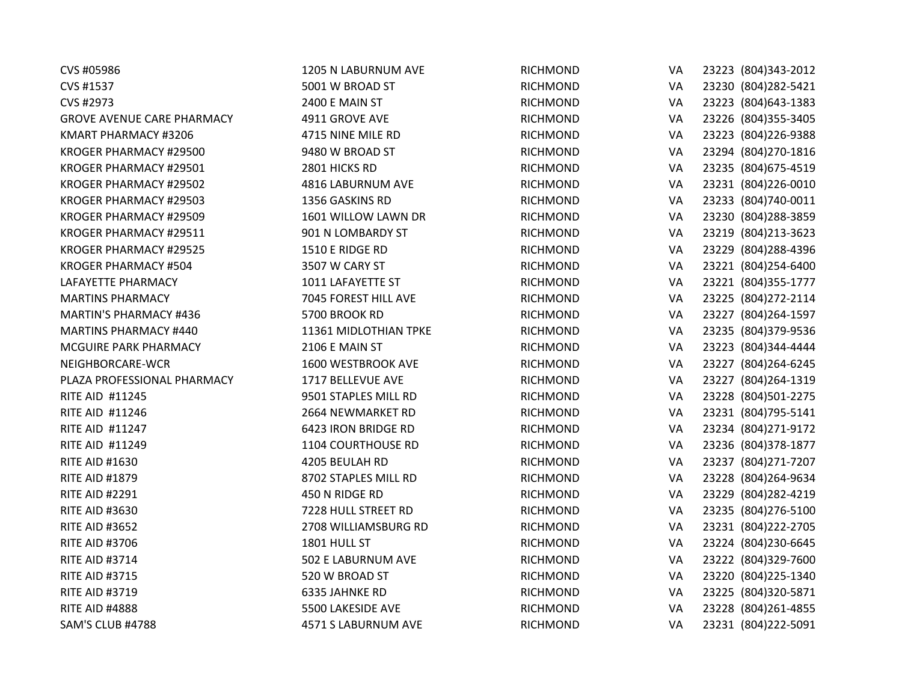| CVS #05986                        | 1205 N LABURNUM AVE   | <b>RICHMOND</b> | VA | 23223 (804)343-2012  |
|-----------------------------------|-----------------------|-----------------|----|----------------------|
| CVS #1537                         | 5001 W BROAD ST       | <b>RICHMOND</b> | VA | 23230 (804) 282-5421 |
| CVS #2973                         | 2400 E MAIN ST        | <b>RICHMOND</b> | VA | 23223 (804) 643-1383 |
| <b>GROVE AVENUE CARE PHARMACY</b> | 4911 GROVE AVE        | <b>RICHMOND</b> | VA | 23226 (804)355-3405  |
| KMART PHARMACY #3206              | 4715 NINE MILE RD     | <b>RICHMOND</b> | VA | 23223 (804) 226-9388 |
| KROGER PHARMACY #29500            | 9480 W BROAD ST       | <b>RICHMOND</b> | VA | 23294 (804)270-1816  |
| KROGER PHARMACY #29501            | 2801 HICKS RD         | <b>RICHMOND</b> | VA | 23235 (804) 675-4519 |
| KROGER PHARMACY #29502            | 4816 LABURNUM AVE     | <b>RICHMOND</b> | VA | 23231 (804)226-0010  |
| KROGER PHARMACY #29503            | 1356 GASKINS RD       | <b>RICHMOND</b> | VA | 23233 (804)740-0011  |
| KROGER PHARMACY #29509            | 1601 WILLOW LAWN DR   | <b>RICHMOND</b> | VA | 23230 (804) 288-3859 |
| KROGER PHARMACY #29511            | 901 N LOMBARDY ST     | <b>RICHMOND</b> | VA | 23219 (804) 213-3623 |
| KROGER PHARMACY #29525            | 1510 E RIDGE RD       | <b>RICHMOND</b> | VA | 23229 (804) 288-4396 |
| <b>KROGER PHARMACY #504</b>       | 3507 W CARY ST        | <b>RICHMOND</b> | VA | 23221 (804) 254-6400 |
| LAFAYETTE PHARMACY                | 1011 LAFAYETTE ST     | <b>RICHMOND</b> | VA | 23221 (804)355-1777  |
| <b>MARTINS PHARMACY</b>           | 7045 FOREST HILL AVE  | RICHMOND        | VA | 23225 (804) 272-2114 |
| <b>MARTIN'S PHARMACY #436</b>     | 5700 BROOK RD         | <b>RICHMOND</b> | VA | 23227 (804) 264-1597 |
| <b>MARTINS PHARMACY #440</b>      | 11361 MIDLOTHIAN TPKE | RICHMOND        | VA | 23235 (804)379-9536  |
| MCGUIRE PARK PHARMACY             | 2106 E MAIN ST        | RICHMOND        | VA | 23223 (804)344-4444  |
| NEIGHBORCARE-WCR                  | 1600 WESTBROOK AVE    | RICHMOND        | VA | 23227 (804) 264-6245 |
| PLAZA PROFESSIONAL PHARMACY       | 1717 BELLEVUE AVE     | <b>RICHMOND</b> | VA | 23227 (804) 264-1319 |
| RITE AID #11245                   | 9501 STAPLES MILL RD  | <b>RICHMOND</b> | VA | 23228 (804)501-2275  |
| RITE AID #11246                   | 2664 NEWMARKET RD     | <b>RICHMOND</b> | VA | 23231 (804) 795-5141 |
| RITE AID #11247                   | 6423 IRON BRIDGE RD   | <b>RICHMOND</b> | VA | 23234 (804) 271-9172 |
| RITE AID #11249                   | 1104 COURTHOUSE RD    | <b>RICHMOND</b> | VA | 23236 (804)378-1877  |
| <b>RITE AID #1630</b>             | 4205 BEULAH RD        | RICHMOND        | VA | 23237 (804) 271-7207 |
| <b>RITE AID #1879</b>             | 8702 STAPLES MILL RD  | RICHMOND        | VA | 23228 (804) 264-9634 |
| <b>RITE AID #2291</b>             | 450 N RIDGE RD        | RICHMOND        | VA | 23229 (804) 282-4219 |
| <b>RITE AID #3630</b>             | 7228 HULL STREET RD   | RICHMOND        | VA | 23235 (804)276-5100  |
| <b>RITE AID #3652</b>             | 2708 WILLIAMSBURG RD  | <b>RICHMOND</b> | VA | 23231 (804) 222-2705 |
| <b>RITE AID #3706</b>             | 1801 HULL ST          | <b>RICHMOND</b> | VA | 23224 (804)230-6645  |
| <b>RITE AID #3714</b>             | 502 E LABURNUM AVE    | <b>RICHMOND</b> | VA | 23222 (804)329-7600  |
| <b>RITE AID #3715</b>             | 520 W BROAD ST        | <b>RICHMOND</b> | VA | 23220 (804) 225-1340 |
| <b>RITE AID #3719</b>             | 6335 JAHNKE RD        | <b>RICHMOND</b> | VA | 23225 (804)320-5871  |
| <b>RITE AID #4888</b>             | 5500 LAKESIDE AVE     | <b>RICHMOND</b> | VA | 23228 (804) 261-4855 |
| SAM'S CLUB #4788                  | 4571 S LABURNUM AVE   | <b>RICHMOND</b> | VA | 23231 (804) 222-5091 |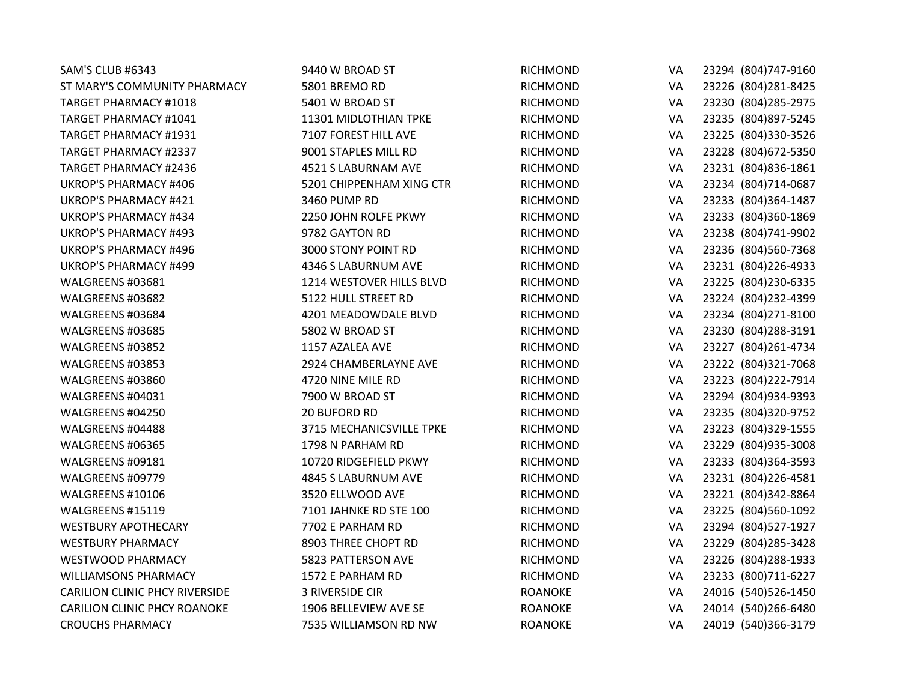| SAM'S CLUB #6343                      | 9440 W BROAD ST          | <b>RICHMOND</b> | VA | 23294 (804) 747-9160 |
|---------------------------------------|--------------------------|-----------------|----|----------------------|
| ST MARY'S COMMUNITY PHARMACY          | 5801 BREMO RD            | <b>RICHMOND</b> | VA | 23226 (804) 281-8425 |
| TARGET PHARMACY #1018                 | 5401 W BROAD ST          | <b>RICHMOND</b> | VA | 23230 (804) 285-2975 |
| TARGET PHARMACY #1041                 | 11301 MIDLOTHIAN TPKE    | <b>RICHMOND</b> | VA | 23235 (804)897-5245  |
| <b>TARGET PHARMACY #1931</b>          | 7107 FOREST HILL AVE     | <b>RICHMOND</b> | VA | 23225 (804)330-3526  |
| TARGET PHARMACY #2337                 | 9001 STAPLES MILL RD     | <b>RICHMOND</b> | VA | 23228 (804) 672-5350 |
| <b>TARGET PHARMACY #2436</b>          | 4521 S LABURNAM AVE      | RICHMOND        | VA | 23231 (804) 836-1861 |
| <b>UKROP'S PHARMACY #406</b>          | 5201 CHIPPENHAM XING CTR | <b>RICHMOND</b> | VA | 23234 (804)714-0687  |
| <b>UKROP'S PHARMACY #421</b>          | 3460 PUMP RD             | <b>RICHMOND</b> | VA | 23233 (804)364-1487  |
| <b>UKROP'S PHARMACY #434</b>          | 2250 JOHN ROLFE PKWY     | <b>RICHMOND</b> | VA | 23233 (804)360-1869  |
| <b>UKROP'S PHARMACY #493</b>          | 9782 GAYTON RD           | <b>RICHMOND</b> | VA | 23238 (804)741-9902  |
| <b>UKROP'S PHARMACY #496</b>          | 3000 STONY POINT RD      | <b>RICHMOND</b> | VA | 23236 (804)560-7368  |
| <b>UKROP'S PHARMACY #499</b>          | 4346 S LABURNUM AVE      | <b>RICHMOND</b> | VA | 23231 (804) 226-4933 |
| WALGREENS #03681                      | 1214 WESTOVER HILLS BLVD | <b>RICHMOND</b> | VA | 23225 (804) 230-6335 |
| WALGREENS #03682                      | 5122 HULL STREET RD      | <b>RICHMOND</b> | VA | 23224 (804)232-4399  |
| WALGREENS #03684                      | 4201 MEADOWDALE BLVD     | <b>RICHMOND</b> | VA | 23234 (804) 271-8100 |
| WALGREENS #03685                      | 5802 W BROAD ST          | <b>RICHMOND</b> | VA | 23230 (804) 288-3191 |
| WALGREENS #03852                      | 1157 AZALEA AVE          | <b>RICHMOND</b> | VA | 23227 (804) 261-4734 |
| WALGREENS #03853                      | 2924 CHAMBERLAYNE AVE    | <b>RICHMOND</b> | VA | 23222 (804)321-7068  |
| WALGREENS #03860                      | 4720 NINE MILE RD        | <b>RICHMOND</b> | VA | 23223 (804) 222-7914 |
| WALGREENS #04031                      | 7900 W BROAD ST          | <b>RICHMOND</b> | VA | 23294 (804)934-9393  |
| WALGREENS #04250                      | 20 BUFORD RD             | <b>RICHMOND</b> | VA | 23235 (804)320-9752  |
| WALGREENS #04488                      | 3715 MECHANICSVILLE TPKE | <b>RICHMOND</b> | VA | 23223 (804)329-1555  |
| WALGREENS #06365                      | 1798 N PARHAM RD         | <b>RICHMOND</b> | VA | 23229 (804) 935-3008 |
| WALGREENS #09181                      | 10720 RIDGEFIELD PKWY    | <b>RICHMOND</b> | VA | 23233 (804)364-3593  |
| WALGREENS #09779                      | 4845 S LABURNUM AVE      | <b>RICHMOND</b> | VA | 23231 (804) 226-4581 |
| WALGREENS #10106                      | 3520 ELLWOOD AVE         | <b>RICHMOND</b> | VA | 23221 (804)342-8864  |
| WALGREENS #15119                      | 7101 JAHNKE RD STE 100   | <b>RICHMOND</b> | VA | 23225 (804)560-1092  |
| <b>WESTBURY APOTHECARY</b>            | 7702 E PARHAM RD         | <b>RICHMOND</b> | VA | 23294 (804) 527-1927 |
| <b>WESTBURY PHARMACY</b>              | 8903 THREE CHOPT RD      | <b>RICHMOND</b> | VA | 23229 (804) 285-3428 |
| <b>WESTWOOD PHARMACY</b>              | 5823 PATTERSON AVE       | <b>RICHMOND</b> | VA | 23226 (804) 288-1933 |
| <b>WILLIAMSONS PHARMACY</b>           | 1572 E PARHAM RD         | RICHMOND        | VA | 23233 (800) 711-6227 |
| <b>CARILION CLINIC PHCY RIVERSIDE</b> | <b>3 RIVERSIDE CIR</b>   | <b>ROANOKE</b>  | VA | 24016 (540) 526-1450 |
| <b>CARILION CLINIC PHCY ROANOKE</b>   | 1906 BELLEVIEW AVE SE    | <b>ROANOKE</b>  | VA | 24014 (540)266-6480  |
| <b>CROUCHS PHARMACY</b>               | 7535 WILLIAMSON RD NW    | <b>ROANOKE</b>  | VA | 24019 (540)366-3179  |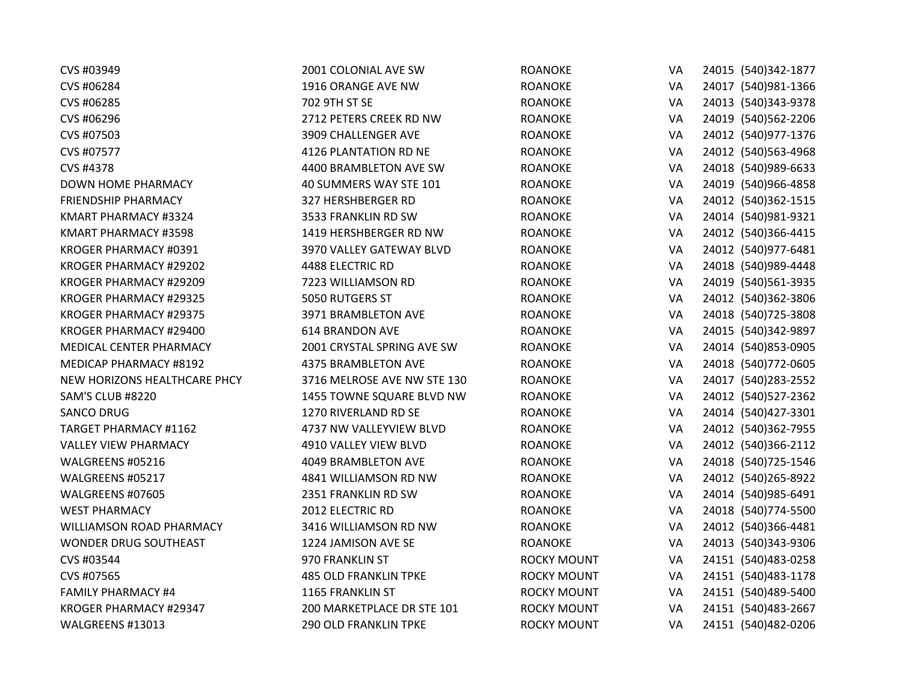| CVS #03949                   | 2001 COLONIAL AVE SW         | <b>ROANOKE</b>     | VA | 24015 (540)342-1877  |
|------------------------------|------------------------------|--------------------|----|----------------------|
| CVS #06284                   | 1916 ORANGE AVE NW           | <b>ROANOKE</b>     | VA | 24017 (540)981-1366  |
| CVS #06285                   | 702 9TH ST SE                | <b>ROANOKE</b>     | VA | 24013 (540)343-9378  |
| CVS #06296                   | 2712 PETERS CREEK RD NW      | <b>ROANOKE</b>     | VA | 24019 (540) 562-2206 |
| CVS #07503                   | 3909 CHALLENGER AVE          | <b>ROANOKE</b>     | VA | 24012 (540)977-1376  |
| CVS #07577                   | 4126 PLANTATION RD NE        | <b>ROANOKE</b>     | VA | 24012 (540) 563-4968 |
| CVS #4378                    | 4400 BRAMBLETON AVE SW       | <b>ROANOKE</b>     | VA | 24018 (540)989-6633  |
| DOWN HOME PHARMACY           | 40 SUMMERS WAY STE 101       | <b>ROANOKE</b>     | VA | 24019 (540)966-4858  |
| <b>FRIENDSHIP PHARMACY</b>   | 327 HERSHBERGER RD           | <b>ROANOKE</b>     | VA | 24012 (540)362-1515  |
| KMART PHARMACY #3324         | 3533 FRANKLIN RD SW          | <b>ROANOKE</b>     | VA | 24014 (540)981-9321  |
| KMART PHARMACY #3598         | 1419 HERSHBERGER RD NW       | <b>ROANOKE</b>     | VA | 24012 (540)366-4415  |
| KROGER PHARMACY #0391        | 3970 VALLEY GATEWAY BLVD     | <b>ROANOKE</b>     | VA | 24012 (540)977-6481  |
| KROGER PHARMACY #29202       | 4488 ELECTRIC RD             | <b>ROANOKE</b>     | VA | 24018 (540)989-4448  |
| KROGER PHARMACY #29209       | 7223 WILLIAMSON RD           | <b>ROANOKE</b>     | VA | 24019 (540) 561-3935 |
| KROGER PHARMACY #29325       | 5050 RUTGERS ST              | <b>ROANOKE</b>     | VA | 24012 (540)362-3806  |
| KROGER PHARMACY #29375       | 3971 BRAMBLETON AVE          | <b>ROANOKE</b>     | VA | 24018 (540) 725-3808 |
| KROGER PHARMACY #29400       | 614 BRANDON AVE              | <b>ROANOKE</b>     | VA | 24015 (540)342-9897  |
| MEDICAL CENTER PHARMACY      | 2001 CRYSTAL SPRING AVE SW   | <b>ROANOKE</b>     | VA | 24014 (540)853-0905  |
| MEDICAP PHARMACY #8192       | 4375 BRAMBLETON AVE          | <b>ROANOKE</b>     | VA | 24018 (540) 772-0605 |
| NEW HORIZONS HEALTHCARE PHCY | 3716 MELROSE AVE NW STE 130  | <b>ROANOKE</b>     | VA | 24017 (540) 283-2552 |
| SAM'S CLUB #8220             | 1455 TOWNE SQUARE BLVD NW    | <b>ROANOKE</b>     | VA | 24012 (540) 527-2362 |
| <b>SANCO DRUG</b>            | 1270 RIVERLAND RD SE         | <b>ROANOKE</b>     | VA | 24014 (540)427-3301  |
| <b>TARGET PHARMACY #1162</b> | 4737 NW VALLEYVIEW BLVD      | <b>ROANOKE</b>     | VA | 24012 (540)362-7955  |
| <b>VALLEY VIEW PHARMACY</b>  | 4910 VALLEY VIEW BLVD        | <b>ROANOKE</b>     | VA | 24012 (540)366-2112  |
| WALGREENS #05216             | 4049 BRAMBLETON AVE          | <b>ROANOKE</b>     | VA | 24018 (540) 725-1546 |
| WALGREENS #05217             | 4841 WILLIAMSON RD NW        | <b>ROANOKE</b>     | VA | 24012 (540)265-8922  |
| WALGREENS #07605             | 2351 FRANKLIN RD SW          | <b>ROANOKE</b>     | VA | 24014 (540)985-6491  |
| <b>WEST PHARMACY</b>         | 2012 ELECTRIC RD             | <b>ROANOKE</b>     | VA | 24018 (540) 774-5500 |
| WILLIAMSON ROAD PHARMACY     | 3416 WILLIAMSON RD NW        | <b>ROANOKE</b>     | VA | 24012 (540)366-4481  |
| WONDER DRUG SOUTHEAST        | 1224 JAMISON AVE SE          | <b>ROANOKE</b>     | VA | 24013 (540)343-9306  |
| CVS #03544                   | 970 FRANKLIN ST              | <b>ROCKY MOUNT</b> | VA | 24151 (540)483-0258  |
| CVS #07565                   | <b>485 OLD FRANKLIN TPKE</b> | <b>ROCKY MOUNT</b> | VA | 24151 (540)483-1178  |
| <b>FAMILY PHARMACY #4</b>    | 1165 FRANKLIN ST             | <b>ROCKY MOUNT</b> | VA | 24151 (540)489-5400  |
| KROGER PHARMACY #29347       | 200 MARKETPLACE DR STE 101   | <b>ROCKY MOUNT</b> | VA | 24151 (540)483-2667  |
| WALGREENS #13013             | <b>290 OLD FRANKLIN TPKE</b> | <b>ROCKY MOUNT</b> | VA | 24151 (540)482-0206  |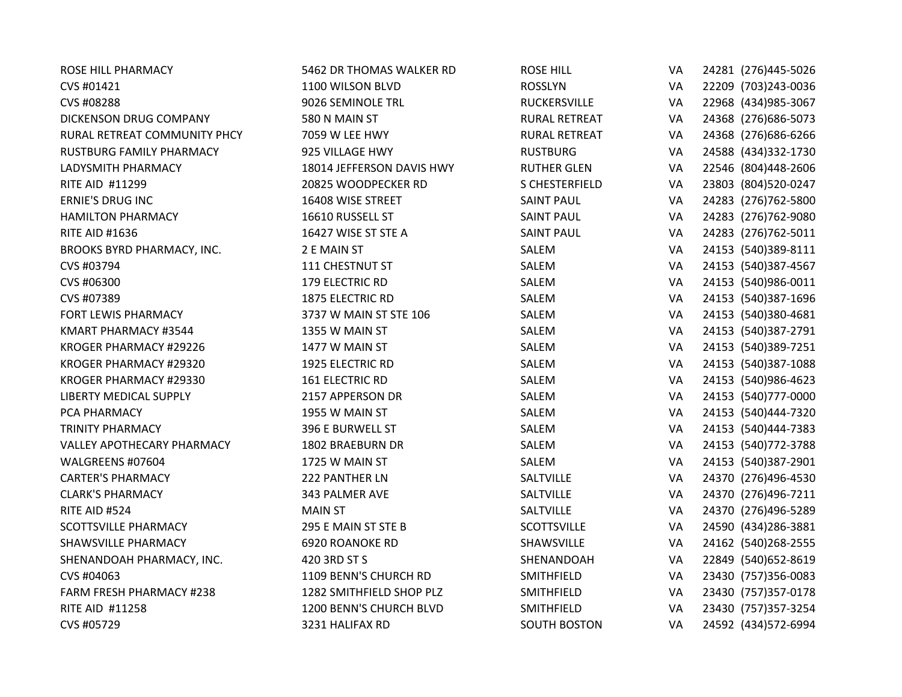| <b>ROSE HILL PHARMACY</b>       | 5462 DR THOMAS WALKER RD  | <b>ROSE HILL</b>     | VA | 24281 (276)445-5026  |
|---------------------------------|---------------------------|----------------------|----|----------------------|
| CVS #01421                      | 1100 WILSON BLVD          | <b>ROSSLYN</b>       | VA | 22209 (703)243-0036  |
| CVS #08288                      | 9026 SEMINOLE TRL         | RUCKERSVILLE         | VA | 22968 (434) 985-3067 |
| DICKENSON DRUG COMPANY          | 580 N MAIN ST             | <b>RURAL RETREAT</b> | VA | 24368 (276) 686-5073 |
| RURAL RETREAT COMMUNITY PHCY    | 7059 W LEE HWY            | <b>RURAL RETREAT</b> | VA | 24368 (276) 686-6266 |
| RUSTBURG FAMILY PHARMACY        | 925 VILLAGE HWY           | <b>RUSTBURG</b>      | VA | 24588 (434)332-1730  |
| LADYSMITH PHARMACY              | 18014 JEFFERSON DAVIS HWY | <b>RUTHER GLEN</b>   | VA | 22546 (804)448-2606  |
| RITE AID #11299                 | 20825 WOODPECKER RD       | S CHESTERFIELD       | VA | 23803 (804) 520-0247 |
| <b>ERNIE'S DRUG INC</b>         | 16408 WISE STREET         | <b>SAINT PAUL</b>    | VA | 24283 (276)762-5800  |
| <b>HAMILTON PHARMACY</b>        | 16610 RUSSELL ST          | <b>SAINT PAUL</b>    | VA | 24283 (276)762-9080  |
| <b>RITE AID #1636</b>           | 16427 WISE ST STE A       | <b>SAINT PAUL</b>    | VA | 24283 (276)762-5011  |
| BROOKS BYRD PHARMACY, INC.      | 2 E MAIN ST               | SALEM                | VA | 24153 (540)389-8111  |
| CVS #03794                      | 111 CHESTNUT ST           | SALEM                | VA | 24153 (540)387-4567  |
| CVS #06300                      | 179 ELECTRIC RD           | SALEM                | VA | 24153 (540)986-0011  |
| CVS #07389                      | <b>1875 ELECTRIC RD</b>   | SALEM                | VA | 24153 (540)387-1696  |
| FORT LEWIS PHARMACY             | 3737 W MAIN ST STE 106    | SALEM                | VA | 24153 (540)380-4681  |
| KMART PHARMACY #3544            | 1355 W MAIN ST            | SALEM                | VA | 24153 (540)387-2791  |
| KROGER PHARMACY #29226          | 1477 W MAIN ST            | SALEM                | VA | 24153 (540)389-7251  |
| KROGER PHARMACY #29320          | 1925 ELECTRIC RD          | SALEM                | VA | 24153 (540)387-1088  |
| KROGER PHARMACY #29330          | <b>161 ELECTRIC RD</b>    | SALEM                | VA | 24153 (540)986-4623  |
| <b>LIBERTY MEDICAL SUPPLY</b>   | 2157 APPERSON DR          | SALEM                | VA | 24153 (540) 777-0000 |
| PCA PHARMACY                    | 1955 W MAIN ST            | SALEM                | VA | 24153 (540)444-7320  |
| <b>TRINITY PHARMACY</b>         | 396 E BURWELL ST          | SALEM                | VA | 24153 (540)444-7383  |
| VALLEY APOTHECARY PHARMACY      | 1802 BRAEBURN DR          | SALEM                | VA | 24153 (540) 772-3788 |
| WALGREENS #07604                | 1725 W MAIN ST            | SALEM                | VA | 24153 (540)387-2901  |
| <b>CARTER'S PHARMACY</b>        | 222 PANTHER LN            | SALTVILLE            | VA | 24370 (276)496-4530  |
| <b>CLARK'S PHARMACY</b>         | 343 PALMER AVE            | SALTVILLE            | VA | 24370 (276)496-7211  |
| RITE AID #524                   | <b>MAIN ST</b>            | SALTVILLE            | VA | 24370 (276)496-5289  |
| <b>SCOTTSVILLE PHARMACY</b>     | 295 E MAIN ST STE B       | <b>SCOTTSVILLE</b>   | VA | 24590 (434) 286-3881 |
| <b>SHAWSVILLE PHARMACY</b>      | 6920 ROANOKE RD           | SHAWSVILLE           | VA | 24162 (540) 268-2555 |
| SHENANDOAH PHARMACY, INC.       | 420 3RD ST S              | SHENANDOAH           | VA | 22849 (540) 652-8619 |
| CVS #04063                      | 1109 BENN'S CHURCH RD     | SMITHFIELD           | VA | 23430 (757)356-0083  |
| <b>FARM FRESH PHARMACY #238</b> | 1282 SMITHFIELD SHOP PLZ  | SMITHFIELD           | VA | 23430 (757)357-0178  |
| <b>RITE AID #11258</b>          | 1200 BENN'S CHURCH BLVD   | SMITHFIELD           | VA | 23430 (757)357-3254  |
| CVS #05729                      | 3231 HALIFAX RD           | <b>SOUTH BOSTON</b>  | VA | 24592 (434) 572-6994 |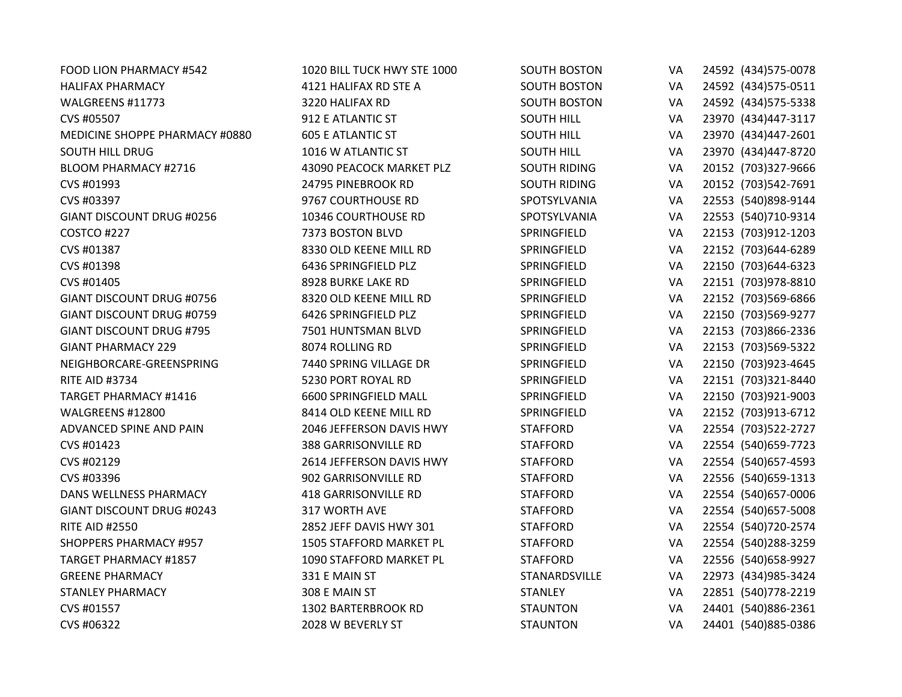| FOOD LION PHARMACY #542          | 1020 BILL TUCK HWY STE 1000 | <b>SOUTH BOSTON</b> | VA | 24592 (434) 575-0078 |
|----------------------------------|-----------------------------|---------------------|----|----------------------|
| <b>HALIFAX PHARMACY</b>          | 4121 HALIFAX RD STE A       | <b>SOUTH BOSTON</b> | VA | 24592 (434) 575-0511 |
| WALGREENS #11773                 | 3220 HALIFAX RD             | <b>SOUTH BOSTON</b> | VA | 24592 (434) 575-5338 |
| CVS #05507                       | 912 E ATLANTIC ST           | <b>SOUTH HILL</b>   | VA | 23970 (434)447-3117  |
| MEDICINE SHOPPE PHARMACY #0880   | <b>605 E ATLANTIC ST</b>    | <b>SOUTH HILL</b>   | VA | 23970 (434)447-2601  |
| <b>SOUTH HILL DRUG</b>           | 1016 W ATLANTIC ST          | <b>SOUTH HILL</b>   | VA | 23970 (434)447-8720  |
| <b>BLOOM PHARMACY #2716</b>      | 43090 PEACOCK MARKET PLZ    | <b>SOUTH RIDING</b> | VA | 20152 (703)327-9666  |
| CVS #01993                       | 24795 PINEBROOK RD          | <b>SOUTH RIDING</b> | VA | 20152 (703)542-7691  |
| CVS #03397                       | 9767 COURTHOUSE RD          | SPOTSYLVANIA        | VA | 22553 (540)898-9144  |
| GIANT DISCOUNT DRUG #0256        | 10346 COURTHOUSE RD         | SPOTSYLVANIA        | VA | 22553 (540)710-9314  |
| COSTCO #227                      | 7373 BOSTON BLVD            | SPRINGFIELD         | VA | 22153 (703)912-1203  |
| CVS #01387                       | 8330 OLD KEENE MILL RD      | SPRINGFIELD         | VA | 22152 (703)644-6289  |
| CVS #01398                       | 6436 SPRINGFIELD PLZ        | SPRINGFIELD         | VA | 22150 (703)644-6323  |
| CVS #01405                       | 8928 BURKE LAKE RD          | SPRINGFIELD         | VA | 22151 (703)978-8810  |
| <b>GIANT DISCOUNT DRUG #0756</b> | 8320 OLD KEENE MILL RD      | SPRINGFIELD         | VA | 22152 (703)569-6866  |
| GIANT DISCOUNT DRUG #0759        | 6426 SPRINGFIELD PLZ        | SPRINGFIELD         | VA | 22150 (703)569-9277  |
| <b>GIANT DISCOUNT DRUG #795</b>  | 7501 HUNTSMAN BLVD          | SPRINGFIELD         | VA | 22153 (703)866-2336  |
| <b>GIANT PHARMACY 229</b>        | 8074 ROLLING RD             | SPRINGFIELD         | VA | 22153 (703)569-5322  |
| NEIGHBORCARE-GREENSPRING         | 7440 SPRING VILLAGE DR      | SPRINGFIELD         | VA | 22150 (703)923-4645  |
| <b>RITE AID #3734</b>            | 5230 PORT ROYAL RD          | SPRINGFIELD         | VA | 22151 (703)321-8440  |
| <b>TARGET PHARMACY #1416</b>     | 6600 SPRINGFIELD MALL       | SPRINGFIELD         | VA | 22150 (703)921-9003  |
| WALGREENS #12800                 | 8414 OLD KEENE MILL RD      | SPRINGFIELD         | VA | 22152 (703)913-6712  |
| ADVANCED SPINE AND PAIN          | 2046 JEFFERSON DAVIS HWY    | <b>STAFFORD</b>     | VA | 22554 (703)522-2727  |
| CVS #01423                       | <b>388 GARRISONVILLE RD</b> | <b>STAFFORD</b>     | VA | 22554 (540) 659-7723 |
| CVS #02129                       | 2614 JEFFERSON DAVIS HWY    | <b>STAFFORD</b>     | VA | 22554 (540) 657-4593 |
| CVS #03396                       | 902 GARRISONVILLE RD        | <b>STAFFORD</b>     | VA | 22556 (540) 659-1313 |
| DANS WELLNESS PHARMACY           | 418 GARRISONVILLE RD        | <b>STAFFORD</b>     | VA | 22554 (540) 657-0006 |
| GIANT DISCOUNT DRUG #0243        | 317 WORTH AVE               | <b>STAFFORD</b>     | VA | 22554 (540) 657-5008 |
| <b>RITE AID #2550</b>            | 2852 JEFF DAVIS HWY 301     | <b>STAFFORD</b>     | VA | 22554 (540) 720-2574 |
| <b>SHOPPERS PHARMACY #957</b>    | 1505 STAFFORD MARKET PL     | <b>STAFFORD</b>     | VA | 22554 (540)288-3259  |
| <b>TARGET PHARMACY #1857</b>     | 1090 STAFFORD MARKET PL     | <b>STAFFORD</b>     | VA | 22556 (540) 658-9927 |
| <b>GREENE PHARMACY</b>           | 331 E MAIN ST               | STANARDSVILLE       | VA | 22973 (434) 985-3424 |
| <b>STANLEY PHARMACY</b>          | 308 E MAIN ST               | <b>STANLEY</b>      | VA | 22851 (540) 778-2219 |
| CVS #01557                       | 1302 BARTERBROOK RD         | <b>STAUNTON</b>     | VA | 24401 (540)886-2361  |
| CVS #06322                       | 2028 W BEVERLY ST           | <b>STAUNTON</b>     | VA | 24401 (540)885-0386  |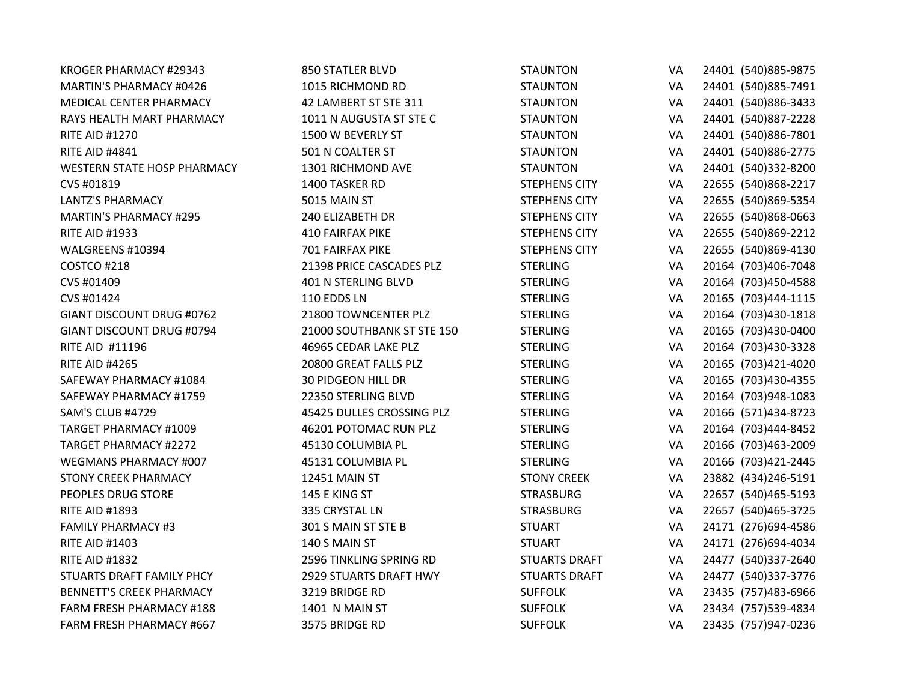| KROGER PHARMACY #29343             | <b>850 STATLER BLVD</b>    | <b>STAUNTON</b>      | VA | 24401 (540) 885-9875 |
|------------------------------------|----------------------------|----------------------|----|----------------------|
| MARTIN'S PHARMACY #0426            | 1015 RICHMOND RD           | <b>STAUNTON</b>      | VA | 24401 (540)885-7491  |
| MEDICAL CENTER PHARMACY            | 42 LAMBERT ST STE 311      | <b>STAUNTON</b>      | VA | 24401 (540)886-3433  |
| RAYS HEALTH MART PHARMACY          | 1011 N AUGUSTA ST STE C    | <b>STAUNTON</b>      | VA | 24401 (540)887-2228  |
| <b>RITE AID #1270</b>              | 1500 W BEVERLY ST          | <b>STAUNTON</b>      | VA | 24401 (540)886-7801  |
| <b>RITE AID #4841</b>              | 501 N COALTER ST           | <b>STAUNTON</b>      | VA | 24401 (540)886-2775  |
| <b>WESTERN STATE HOSP PHARMACY</b> | 1301 RICHMOND AVE          | <b>STAUNTON</b>      | VA | 24401 (540)332-8200  |
| CVS #01819                         | 1400 TASKER RD             | <b>STEPHENS CITY</b> | VA | 22655 (540)868-2217  |
| <b>LANTZ'S PHARMACY</b>            | 5015 MAIN ST               | <b>STEPHENS CITY</b> | VA | 22655 (540)869-5354  |
| <b>MARTIN'S PHARMACY #295</b>      | 240 ELIZABETH DR           | <b>STEPHENS CITY</b> | VA | 22655 (540)868-0663  |
| <b>RITE AID #1933</b>              | <b>410 FAIRFAX PIKE</b>    | <b>STEPHENS CITY</b> | VA | 22655 (540)869-2212  |
| WALGREENS #10394                   | 701 FAIRFAX PIKE           | <b>STEPHENS CITY</b> | VA | 22655 (540)869-4130  |
| COSTCO #218                        | 21398 PRICE CASCADES PLZ   | <b>STERLING</b>      | VA | 20164 (703)406-7048  |
| CVS #01409                         | 401 N STERLING BLVD        | <b>STERLING</b>      | VA | 20164 (703)450-4588  |
| CVS #01424                         | 110 EDDS LN                | <b>STERLING</b>      | VA | 20165 (703)444-1115  |
| GIANT DISCOUNT DRUG #0762          | 21800 TOWNCENTER PLZ       | <b>STERLING</b>      | VA | 20164 (703)430-1818  |
| GIANT DISCOUNT DRUG #0794          | 21000 SOUTHBANK ST STE 150 | <b>STERLING</b>      | VA | 20165 (703)430-0400  |
| <b>RITE AID #11196</b>             | 46965 CEDAR LAKE PLZ       | <b>STERLING</b>      | VA | 20164 (703)430-3328  |
| <b>RITE AID #4265</b>              | 20800 GREAT FALLS PLZ      | <b>STERLING</b>      | VA | 20165 (703)421-4020  |
| SAFEWAY PHARMACY #1084             | <b>30 PIDGEON HILL DR</b>  | <b>STERLING</b>      | VA | 20165 (703)430-4355  |
| SAFEWAY PHARMACY #1759             | 22350 STERLING BLVD        | <b>STERLING</b>      | VA | 20164 (703)948-1083  |
| <b>SAM'S CLUB #4729</b>            | 45425 DULLES CROSSING PLZ  | <b>STERLING</b>      | VA | 20166 (571)434-8723  |
| <b>TARGET PHARMACY #1009</b>       | 46201 POTOMAC RUN PLZ      | <b>STERLING</b>      | VA | 20164 (703)444-8452  |
| <b>TARGET PHARMACY #2272</b>       | 45130 COLUMBIA PL          | <b>STERLING</b>      | VA | 20166 (703)463-2009  |
| WEGMANS PHARMACY #007              | 45131 COLUMBIA PL          | <b>STERLING</b>      | VA | 20166 (703)421-2445  |
| <b>STONY CREEK PHARMACY</b>        | <b>12451 MAIN ST</b>       | <b>STONY CREEK</b>   | VA | 23882 (434) 246-5191 |
| PEOPLES DRUG STORE                 | 145 E KING ST              | <b>STRASBURG</b>     | VA | 22657 (540) 465-5193 |
| <b>RITE AID #1893</b>              | 335 CRYSTAL LN             | <b>STRASBURG</b>     | VA | 22657 (540)465-3725  |
| <b>FAMILY PHARMACY #3</b>          | 301 S MAIN ST STE B        | <b>STUART</b>        | VA | 24171 (276)694-4586  |
| <b>RITE AID #1403</b>              | 140 S MAIN ST              | <b>STUART</b>        | VA | 24171 (276)694-4034  |
| <b>RITE AID #1832</b>              | 2596 TINKLING SPRING RD    | <b>STUARTS DRAFT</b> | VA | 24477 (540)337-2640  |
| STUARTS DRAFT FAMILY PHCY          | 2929 STUARTS DRAFT HWY     | <b>STUARTS DRAFT</b> | VA | 24477 (540)337-3776  |
| <b>BENNETT'S CREEK PHARMACY</b>    | 3219 BRIDGE RD             | <b>SUFFOLK</b>       | VA | 23435 (757)483-6966  |
| <b>FARM FRESH PHARMACY #188</b>    | 1401 N MAIN ST             | <b>SUFFOLK</b>       | VA | 23434 (757)539-4834  |
| FARM FRESH PHARMACY #667           | 3575 BRIDGE RD             | <b>SUFFOLK</b>       | VA | 23435 (757)947-0236  |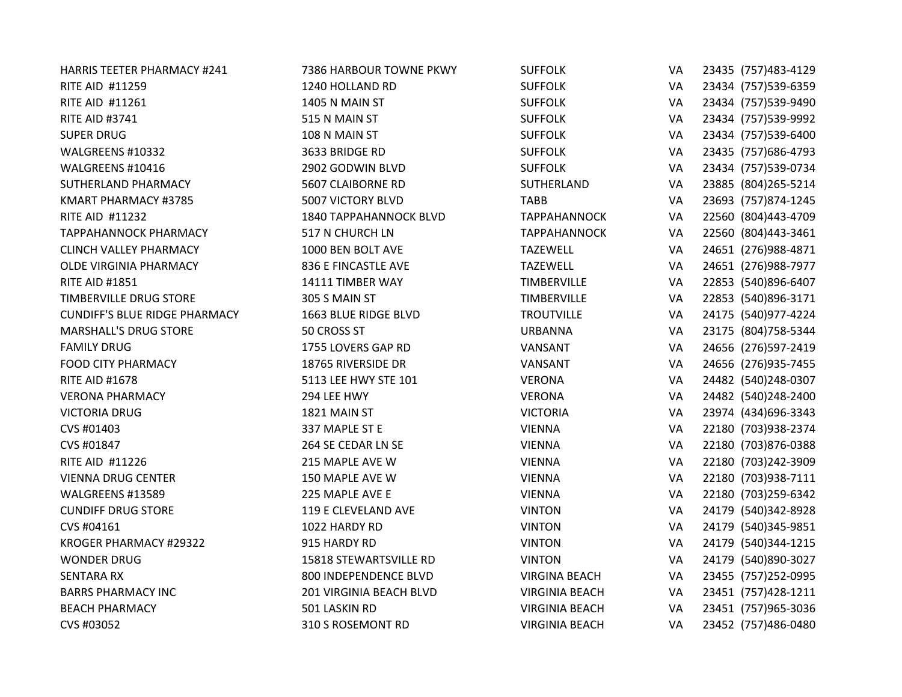| <b>HARRIS TEETER PHARMACY #241</b>   | 7386 HARBOUR TOWNE PKWY | <b>SUFFOLK</b>        | VA | 23435 (757) 483-4129 |
|--------------------------------------|-------------------------|-----------------------|----|----------------------|
| RITE AID #11259                      | 1240 HOLLAND RD         | <b>SUFFOLK</b>        | VA | 23434 (757)539-6359  |
| RITE AID #11261                      | 1405 N MAIN ST          | <b>SUFFOLK</b>        | VA | 23434 (757)539-9490  |
| <b>RITE AID #3741</b>                | 515 N MAIN ST           | <b>SUFFOLK</b>        | VA | 23434 (757)539-9992  |
| <b>SUPER DRUG</b>                    | 108 N MAIN ST           | <b>SUFFOLK</b>        | VA | 23434 (757)539-6400  |
| WALGREENS #10332                     | 3633 BRIDGE RD          | <b>SUFFOLK</b>        | VA | 23435 (757) 686-4793 |
| WALGREENS #10416                     | 2902 GODWIN BLVD        | <b>SUFFOLK</b>        | VA | 23434 (757)539-0734  |
| SUTHERLAND PHARMACY                  | 5607 CLAIBORNE RD       | SUTHERLAND            | VA | 23885 (804) 265-5214 |
| KMART PHARMACY #3785                 | 5007 VICTORY BLVD       | <b>TABB</b>           | VA | 23693 (757)874-1245  |
| <b>RITE AID #11232</b>               | 1840 TAPPAHANNOCK BLVD  | <b>TAPPAHANNOCK</b>   | VA | 22560 (804)443-4709  |
| <b>TAPPAHANNOCK PHARMACY</b>         | 517 N CHURCH LN         | <b>TAPPAHANNOCK</b>   | VA | 22560 (804)443-3461  |
| <b>CLINCH VALLEY PHARMACY</b>        | 1000 BEN BOLT AVE       | <b>TAZEWELL</b>       | VA | 24651 (276)988-4871  |
| OLDE VIRGINIA PHARMACY               | 836 E FINCASTLE AVE     | <b>TAZEWELL</b>       | VA | 24651 (276)988-7977  |
| <b>RITE AID #1851</b>                | 14111 TIMBER WAY        | <b>TIMBERVILLE</b>    | VA | 22853 (540)896-6407  |
| TIMBERVILLE DRUG STORE               | 305 S MAIN ST           | <b>TIMBERVILLE</b>    | VA | 22853 (540)896-3171  |
| <b>CUNDIFF'S BLUE RIDGE PHARMACY</b> | 1663 BLUE RIDGE BLVD    | <b>TROUTVILLE</b>     | VA | 24175 (540) 977-4224 |
| <b>MARSHALL'S DRUG STORE</b>         | 50 CROSS ST             | <b>URBANNA</b>        | VA | 23175 (804) 758-5344 |
| <b>FAMILY DRUG</b>                   | 1755 LOVERS GAP RD      | VANSANT               | VA | 24656 (276)597-2419  |
| <b>FOOD CITY PHARMACY</b>            | 18765 RIVERSIDE DR      | VANSANT               | VA | 24656 (276)935-7455  |
| <b>RITE AID #1678</b>                | 5113 LEE HWY STE 101    | <b>VERONA</b>         | VA | 24482 (540)248-0307  |
| <b>VERONA PHARMACY</b>               | 294 LEE HWY             | <b>VERONA</b>         | VA | 24482 (540)248-2400  |
| <b>VICTORIA DRUG</b>                 | 1821 MAIN ST            | <b>VICTORIA</b>       | VA | 23974 (434) 696-3343 |
| CVS #01403                           | 337 MAPLE ST E          | <b>VIENNA</b>         | VA | 22180 (703)938-2374  |
| CVS #01847                           | 264 SE CEDAR LN SE      | <b>VIENNA</b>         | VA | 22180 (703)876-0388  |
| <b>RITE AID #11226</b>               | 215 MAPLE AVE W         | <b>VIENNA</b>         | VA | 22180 (703)242-3909  |
| <b>VIENNA DRUG CENTER</b>            | 150 MAPLE AVE W         | <b>VIENNA</b>         | VA | 22180 (703)938-7111  |
| WALGREENS #13589                     | 225 MAPLE AVE E         | <b>VIENNA</b>         | VA | 22180 (703)259-6342  |
| <b>CUNDIFF DRUG STORE</b>            | 119 E CLEVELAND AVE     | <b>VINTON</b>         | VA | 24179 (540)342-8928  |
| CVS #04161                           | 1022 HARDY RD           | <b>VINTON</b>         | VA | 24179 (540)345-9851  |
| KROGER PHARMACY #29322               | 915 HARDY RD            | <b>VINTON</b>         | VA | 24179 (540)344-1215  |
| <b>WONDER DRUG</b>                   | 15818 STEWARTSVILLE RD  | <b>VINTON</b>         | VA | 24179 (540)890-3027  |
| <b>SENTARA RX</b>                    | 800 INDEPENDENCE BLVD   | <b>VIRGINA BEACH</b>  | VA | 23455 (757)252-0995  |
| <b>BARRS PHARMACY INC</b>            | 201 VIRGINIA BEACH BLVD | <b>VIRGINIA BEACH</b> | VA | 23451 (757) 428-1211 |
| <b>BEACH PHARMACY</b>                | 501 LASKIN RD           | <b>VIRGINIA BEACH</b> | VA | 23451 (757)965-3036  |
| CVS #03052                           | 310 S ROSEMONT RD       | <b>VIRGINIA BEACH</b> | VA | 23452 (757)486-0480  |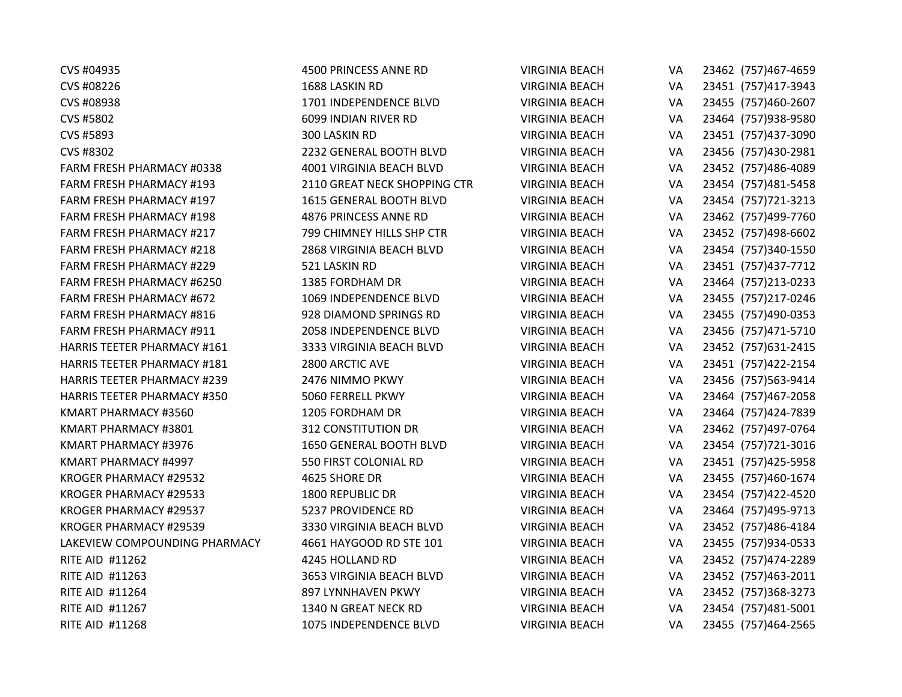| CVS #04935                         | 4500 PRINCESS ANNE RD        | <b>VIRGINIA BEACH</b> | VA | 23462 (757)467-4659  |
|------------------------------------|------------------------------|-----------------------|----|----------------------|
| CVS #08226                         | 1688 LASKIN RD               | <b>VIRGINIA BEACH</b> | VA | 23451 (757)417-3943  |
| CVS #08938                         | 1701 INDEPENDENCE BLVD       | <b>VIRGINIA BEACH</b> | VA | 23455 (757)460-2607  |
| CVS #5802                          | 6099 INDIAN RIVER RD         | <b>VIRGINIA BEACH</b> | VA | 23464 (757)938-9580  |
| CVS #5893                          | 300 LASKIN RD                | <b>VIRGINIA BEACH</b> | VA | 23451 (757)437-3090  |
| CVS #8302                          | 2232 GENERAL BOOTH BLVD      | <b>VIRGINIA BEACH</b> | VA | 23456 (757)430-2981  |
| FARM FRESH PHARMACY #0338          | 4001 VIRGINIA BEACH BLVD     | <b>VIRGINIA BEACH</b> | VA | 23452 (757)486-4089  |
| FARM FRESH PHARMACY #193           | 2110 GREAT NECK SHOPPING CTR | <b>VIRGINIA BEACH</b> | VA | 23454 (757) 481-5458 |
| FARM FRESH PHARMACY #197           | 1615 GENERAL BOOTH BLVD      | <b>VIRGINIA BEACH</b> | VA | 23454 (757) 721-3213 |
| <b>FARM FRESH PHARMACY #198</b>    | 4876 PRINCESS ANNE RD        | <b>VIRGINIA BEACH</b> | VA | 23462 (757)499-7760  |
| FARM FRESH PHARMACY #217           | 799 CHIMNEY HILLS SHP CTR    | <b>VIRGINIA BEACH</b> | VA | 23452 (757)498-6602  |
| FARM FRESH PHARMACY #218           | 2868 VIRGINIA BEACH BLVD     | <b>VIRGINIA BEACH</b> | VA | 23454 (757)340-1550  |
| FARM FRESH PHARMACY #229           | 521 LASKIN RD                | <b>VIRGINIA BEACH</b> | VA | 23451 (757)437-7712  |
| FARM FRESH PHARMACY #6250          | 1385 FORDHAM DR              | <b>VIRGINIA BEACH</b> | VA | 23464 (757)213-0233  |
| FARM FRESH PHARMACY #672           | 1069 INDEPENDENCE BLVD       | <b>VIRGINIA BEACH</b> | VA | 23455 (757)217-0246  |
| FARM FRESH PHARMACY #816           | 928 DIAMOND SPRINGS RD       | <b>VIRGINIA BEACH</b> | VA | 23455 (757)490-0353  |
| <b>FARM FRESH PHARMACY #911</b>    | 2058 INDEPENDENCE BLVD       | <b>VIRGINIA BEACH</b> | VA | 23456 (757)471-5710  |
| <b>HARRIS TEETER PHARMACY #161</b> | 3333 VIRGINIA BEACH BLVD     | <b>VIRGINIA BEACH</b> | VA | 23452 (757) 631-2415 |
| <b>HARRIS TEETER PHARMACY #181</b> | 2800 ARCTIC AVE              | <b>VIRGINIA BEACH</b> | VA | 23451 (757) 422-2154 |
| <b>HARRIS TEETER PHARMACY #239</b> | 2476 NIMMO PKWY              | <b>VIRGINIA BEACH</b> | VA | 23456 (757)563-9414  |
| <b>HARRIS TEETER PHARMACY #350</b> | 5060 FERRELL PKWY            | <b>VIRGINIA BEACH</b> | VA | 23464 (757)467-2058  |
| KMART PHARMACY #3560               | 1205 FORDHAM DR              | <b>VIRGINIA BEACH</b> | VA | 23464 (757) 424-7839 |
| KMART PHARMACY #3801               | <b>312 CONSTITUTION DR</b>   | <b>VIRGINIA BEACH</b> | VA | 23462 (757)497-0764  |
| KMART PHARMACY #3976               | 1650 GENERAL BOOTH BLVD      | <b>VIRGINIA BEACH</b> | VA | 23454 (757) 721-3016 |
| KMART PHARMACY #4997               | 550 FIRST COLONIAL RD        | <b>VIRGINIA BEACH</b> | VA | 23451 (757)425-5958  |
| KROGER PHARMACY #29532             | 4625 SHORE DR                | <b>VIRGINIA BEACH</b> | VA | 23455 (757)460-1674  |
| KROGER PHARMACY #29533             | 1800 REPUBLIC DR             | <b>VIRGINIA BEACH</b> | VA | 23454 (757)422-4520  |
| KROGER PHARMACY #29537             | 5237 PROVIDENCE RD           | <b>VIRGINIA BEACH</b> | VA | 23464 (757)495-9713  |
| KROGER PHARMACY #29539             | 3330 VIRGINIA BEACH BLVD     | <b>VIRGINIA BEACH</b> | VA | 23452 (757)486-4184  |
| LAKEVIEW COMPOUNDING PHARMACY      | 4661 HAYGOOD RD STE 101      | <b>VIRGINIA BEACH</b> | VA | 23455 (757)934-0533  |
| <b>RITE AID #11262</b>             | 4245 HOLLAND RD              | <b>VIRGINIA BEACH</b> | VA | 23452 (757)474-2289  |
| RITE AID #11263                    | 3653 VIRGINIA BEACH BLVD     | <b>VIRGINIA BEACH</b> | VA | 23452 (757)463-2011  |
| RITE AID #11264                    | 897 LYNNHAVEN PKWY           | <b>VIRGINIA BEACH</b> | VA | 23452 (757)368-3273  |
| RITE AID #11267                    | 1340 N GREAT NECK RD         | <b>VIRGINIA BEACH</b> | VA | 23454 (757) 481-5001 |
| RITE AID #11268                    | 1075 INDEPENDENCE BLVD       | <b>VIRGINIA BEACH</b> | VA | 23455 (757)464-2565  |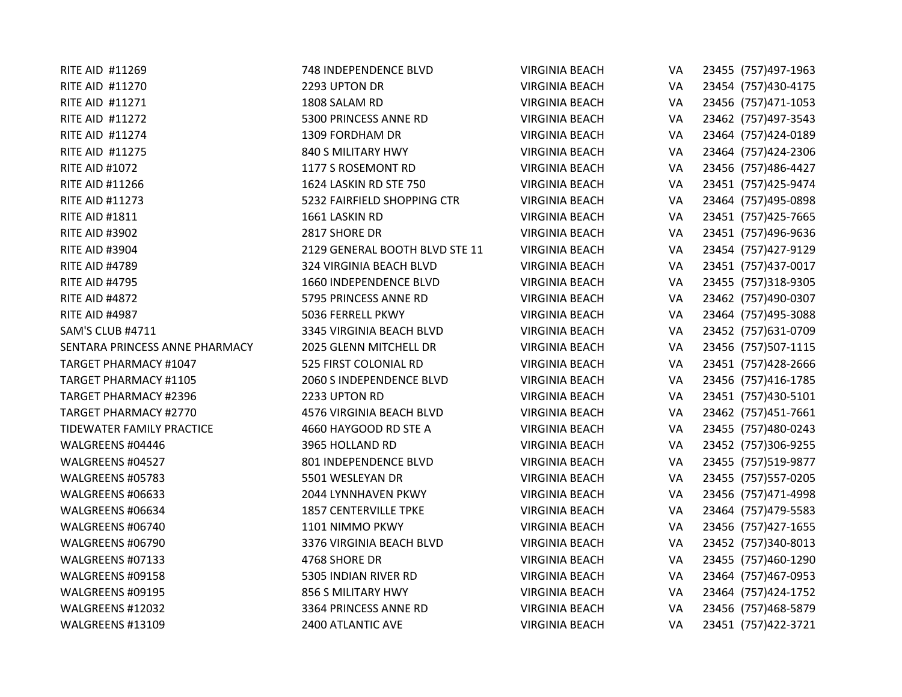| RITE AID #11269                | 748 INDEPENDENCE BLVD          | <b>VIRGINIA BEACH</b> | VA | 23455 (757)497-1963  |
|--------------------------------|--------------------------------|-----------------------|----|----------------------|
| <b>RITE AID #11270</b>         | 2293 UPTON DR                  | <b>VIRGINIA BEACH</b> | VA | 23454 (757)430-4175  |
| RITE AID #11271                | 1808 SALAM RD                  | <b>VIRGINIA BEACH</b> | VA | 23456 (757)471-1053  |
| <b>RITE AID #11272</b>         | 5300 PRINCESS ANNE RD          | <b>VIRGINIA BEACH</b> | VA | 23462 (757)497-3543  |
| <b>RITE AID #11274</b>         | 1309 FORDHAM DR                | <b>VIRGINIA BEACH</b> | VA | 23464 (757)424-0189  |
| <b>RITE AID #11275</b>         | 840 S MILITARY HWY             | <b>VIRGINIA BEACH</b> | VA | 23464 (757)424-2306  |
| <b>RITE AID #1072</b>          | 1177 S ROSEMONT RD             | <b>VIRGINIA BEACH</b> | VA | 23456 (757)486-4427  |
| <b>RITE AID #11266</b>         | 1624 LASKIN RD STE 750         | <b>VIRGINIA BEACH</b> | VA | 23451 (757)425-9474  |
| <b>RITE AID #11273</b>         | 5232 FAIRFIELD SHOPPING CTR    | <b>VIRGINIA BEACH</b> | VA | 23464 (757)495-0898  |
| <b>RITE AID #1811</b>          | 1661 LASKIN RD                 | <b>VIRGINIA BEACH</b> | VA | 23451 (757) 425-7665 |
| <b>RITE AID #3902</b>          | 2817 SHORE DR                  | <b>VIRGINIA BEACH</b> | VA | 23451 (757)496-9636  |
| <b>RITE AID #3904</b>          | 2129 GENERAL BOOTH BLVD STE 11 | <b>VIRGINIA BEACH</b> | VA | 23454 (757)427-9129  |
| <b>RITE AID #4789</b>          | 324 VIRGINIA BEACH BLVD        | <b>VIRGINIA BEACH</b> | VA | 23451 (757)437-0017  |
| <b>RITE AID #4795</b>          | 1660 INDEPENDENCE BLVD         | <b>VIRGINIA BEACH</b> | VA | 23455 (757)318-9305  |
| <b>RITE AID #4872</b>          | 5795 PRINCESS ANNE RD          | <b>VIRGINIA BEACH</b> | VA | 23462 (757)490-0307  |
| <b>RITE AID #4987</b>          | 5036 FERRELL PKWY              | <b>VIRGINIA BEACH</b> | VA | 23464 (757)495-3088  |
| SAM'S CLUB #4711               | 3345 VIRGINIA BEACH BLVD       | <b>VIRGINIA BEACH</b> | VA | 23452 (757) 631-0709 |
| SENTARA PRINCESS ANNE PHARMACY | 2025 GLENN MITCHELL DR         | <b>VIRGINIA BEACH</b> | VA | 23456 (757)507-1115  |
| TARGET PHARMACY #1047          | 525 FIRST COLONIAL RD          | <b>VIRGINIA BEACH</b> | VA | 23451 (757)428-2666  |
| TARGET PHARMACY #1105          | 2060 S INDEPENDENCE BLVD       | <b>VIRGINIA BEACH</b> | VA | 23456 (757)416-1785  |
| <b>TARGET PHARMACY #2396</b>   | 2233 UPTON RD                  | <b>VIRGINIA BEACH</b> | VA | 23451 (757)430-5101  |
| <b>TARGET PHARMACY #2770</b>   | 4576 VIRGINIA BEACH BLVD       | <b>VIRGINIA BEACH</b> | VA | 23462 (757)451-7661  |
| TIDEWATER FAMILY PRACTICE      | 4660 HAYGOOD RD STE A          | <b>VIRGINIA BEACH</b> | VA | 23455 (757)480-0243  |
| WALGREENS #04446               | 3965 HOLLAND RD                | <b>VIRGINIA BEACH</b> | VA | 23452 (757)306-9255  |
| WALGREENS #04527               | 801 INDEPENDENCE BLVD          | <b>VIRGINIA BEACH</b> | VA | 23455 (757)519-9877  |
| WALGREENS #05783               | 5501 WESLEYAN DR               | <b>VIRGINIA BEACH</b> | VA | 23455 (757)557-0205  |
| WALGREENS #06633               | 2044 LYNNHAVEN PKWY            | <b>VIRGINIA BEACH</b> | VA | 23456 (757)471-4998  |
| WALGREENS #06634               | <b>1857 CENTERVILLE TPKE</b>   | <b>VIRGINIA BEACH</b> | VA | 23464 (757)479-5583  |
| WALGREENS #06740               | 1101 NIMMO PKWY                | <b>VIRGINIA BEACH</b> | VA | 23456 (757)427-1655  |
| WALGREENS #06790               | 3376 VIRGINIA BEACH BLVD       | <b>VIRGINIA BEACH</b> | VA | 23452 (757)340-8013  |
| WALGREENS #07133               | 4768 SHORE DR                  | <b>VIRGINIA BEACH</b> | VA | 23455 (757)460-1290  |
| WALGREENS #09158               | 5305 INDIAN RIVER RD           | <b>VIRGINIA BEACH</b> | VA | 23464 (757)467-0953  |
| WALGREENS #09195               | 856 S MILITARY HWY             | <b>VIRGINIA BEACH</b> | VA | 23464 (757)424-1752  |
| WALGREENS #12032               | 3364 PRINCESS ANNE RD          | <b>VIRGINIA BEACH</b> | VA | 23456 (757)468-5879  |
| WALGREENS #13109               | 2400 ATLANTIC AVE              | <b>VIRGINIA BEACH</b> | VA | 23451 (757) 422-3721 |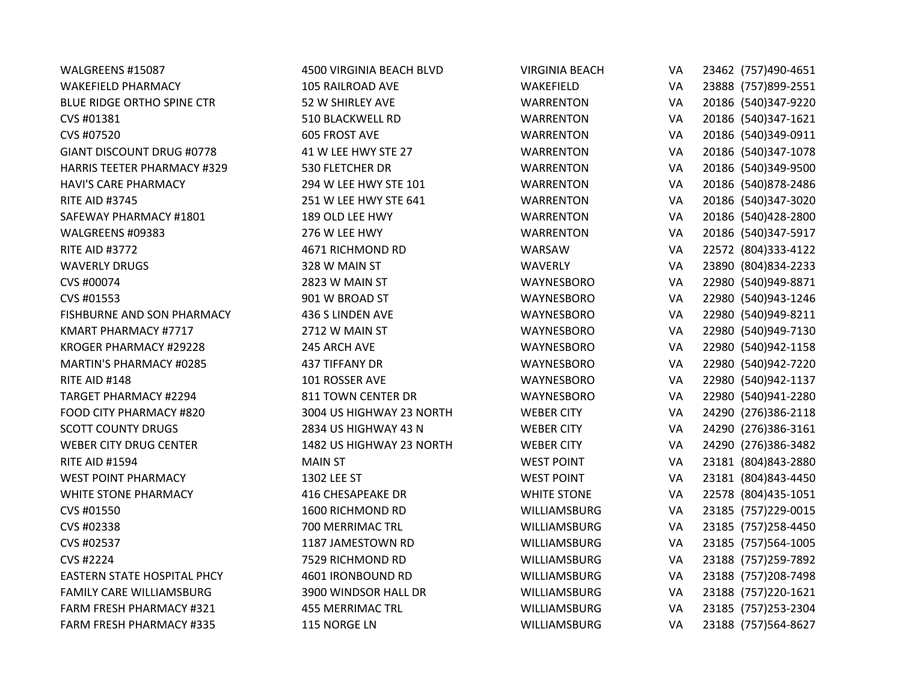| WALGREENS #15087                   | 4500 VIRGINIA BEACH BLVD | <b>VIRGINIA BEACH</b> | VA | 23462 (757)490-4651  |
|------------------------------------|--------------------------|-----------------------|----|----------------------|
| <b>WAKEFIELD PHARMACY</b>          | 105 RAILROAD AVE         | WAKEFIELD             | VA | 23888 (757)899-2551  |
| BLUE RIDGE ORTHO SPINE CTR         | 52 W SHIRLEY AVE         | <b>WARRENTON</b>      | VA | 20186 (540)347-9220  |
| CVS #01381                         | 510 BLACKWELL RD         | <b>WARRENTON</b>      | VA | 20186 (540)347-1621  |
| CVS #07520                         | <b>605 FROST AVE</b>     | <b>WARRENTON</b>      | VA | 20186 (540)349-0911  |
| GIANT DISCOUNT DRUG #0778          | 41 W LEE HWY STE 27      | <b>WARRENTON</b>      | VA | 20186 (540)347-1078  |
| <b>HARRIS TEETER PHARMACY #329</b> | 530 FLETCHER DR          | <b>WARRENTON</b>      | VA | 20186 (540)349-9500  |
| <b>HAVI'S CARE PHARMACY</b>        | 294 W LEE HWY STE 101    | <b>WARRENTON</b>      | VA | 20186 (540)878-2486  |
| <b>RITE AID #3745</b>              | 251 W LEE HWY STE 641    | <b>WARRENTON</b>      | VA | 20186 (540)347-3020  |
| SAFEWAY PHARMACY #1801             | 189 OLD LEE HWY          | <b>WARRENTON</b>      | VA | 20186 (540)428-2800  |
| WALGREENS #09383                   | 276 W LEE HWY            | <b>WARRENTON</b>      | VA | 20186 (540)347-5917  |
| <b>RITE AID #3772</b>              | 4671 RICHMOND RD         | WARSAW                | VA | 22572 (804)333-4122  |
| <b>WAVERLY DRUGS</b>               | 328 W MAIN ST            | <b>WAVERLY</b>        | VA | 23890 (804) 834-2233 |
| CVS #00074                         | 2823 W MAIN ST           | WAYNESBORO            | VA | 22980 (540)949-8871  |
| CVS #01553                         | 901 W BROAD ST           | WAYNESBORO            | VA | 22980 (540)943-1246  |
| FISHBURNE AND SON PHARMACY         | 436 S LINDEN AVE         | WAYNESBORO            | VA | 22980 (540)949-8211  |
| KMART PHARMACY #7717               | 2712 W MAIN ST           | WAYNESBORO            | VA | 22980 (540)949-7130  |
| KROGER PHARMACY #29228             | 245 ARCH AVE             | WAYNESBORO            | VA | 22980 (540)942-1158  |
| MARTIN'S PHARMACY #0285            | 437 TIFFANY DR           | WAYNESBORO            | VA | 22980 (540)942-7220  |
| RITE AID #148                      | 101 ROSSER AVE           | WAYNESBORO            | VA | 22980 (540)942-1137  |
| <b>TARGET PHARMACY #2294</b>       | 811 TOWN CENTER DR       | WAYNESBORO            | VA | 22980 (540)941-2280  |
| FOOD CITY PHARMACY #820            | 3004 US HIGHWAY 23 NORTH | <b>WEBER CITY</b>     | VA | 24290 (276)386-2118  |
| <b>SCOTT COUNTY DRUGS</b>          | 2834 US HIGHWAY 43 N     | <b>WEBER CITY</b>     | VA | 24290 (276)386-3161  |
| <b>WEBER CITY DRUG CENTER</b>      | 1482 US HIGHWAY 23 NORTH | <b>WEBER CITY</b>     | VA | 24290 (276)386-3482  |
| <b>RITE AID #1594</b>              | <b>MAIN ST</b>           | <b>WEST POINT</b>     | VA | 23181 (804)843-2880  |
| <b>WEST POINT PHARMACY</b>         | 1302 LEE ST              | <b>WEST POINT</b>     | VA | 23181 (804)843-4450  |
| <b>WHITE STONE PHARMACY</b>        | <b>416 CHESAPEAKE DR</b> | <b>WHITE STONE</b>    | VA | 22578 (804) 435-1051 |
| CVS #01550                         | 1600 RICHMOND RD         | WILLIAMSBURG          | VA | 23185 (757)229-0015  |
| CVS #02338                         | 700 MERRIMAC TRL         | WILLIAMSBURG          | VA | 23185 (757) 258-4450 |
| CVS #02537                         | 1187 JAMESTOWN RD        | <b>WILLIAMSBURG</b>   | VA | 23185 (757)564-1005  |
| CVS #2224                          | 7529 RICHMOND RD         | <b>WILLIAMSBURG</b>   | VA | 23188 (757) 259-7892 |
| <b>EASTERN STATE HOSPITAL PHCY</b> | 4601 IRONBOUND RD        | WILLIAMSBURG          | VA | 23188 (757) 208-7498 |
| <b>FAMILY CARE WILLIAMSBURG</b>    | 3900 WINDSOR HALL DR     | WILLIAMSBURG          | VA | 23188 (757)220-1621  |
| FARM FRESH PHARMACY #321           | <b>455 MERRIMAC TRL</b>  | <b>WILLIAMSBURG</b>   | VA | 23185 (757) 253-2304 |
| <b>FARM FRESH PHARMACY #335</b>    | 115 NORGE LN             | WILLIAMSBURG          | VA | 23188 (757) 564-8627 |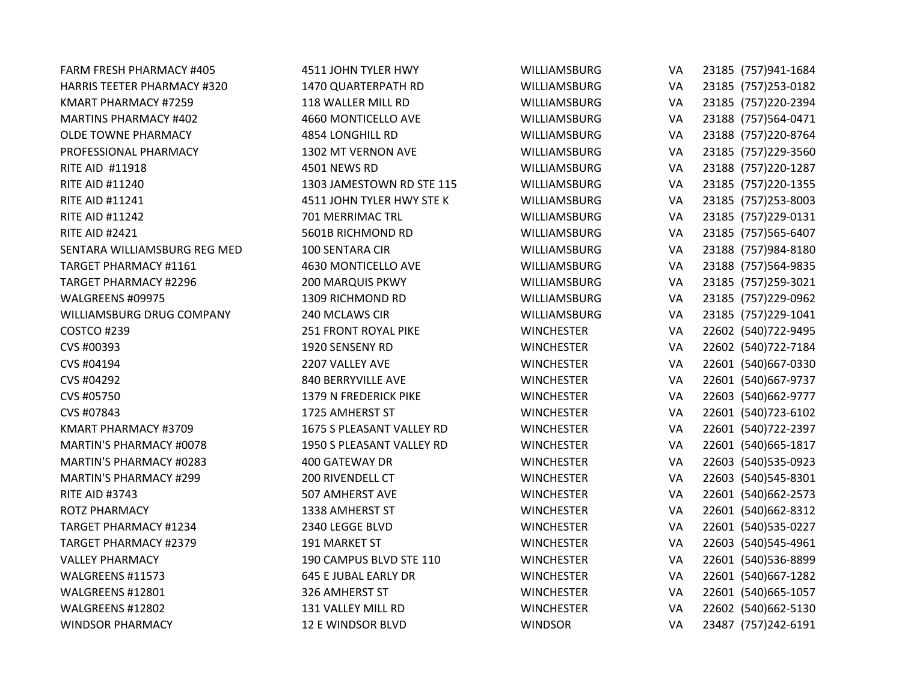| FARM FRESH PHARMACY #405           | 4511 JOHN TYLER HWY         | <b>WILLIAMSBURG</b> | VA | 23185 (757)941-1684  |
|------------------------------------|-----------------------------|---------------------|----|----------------------|
| <b>HARRIS TEETER PHARMACY #320</b> | 1470 QUARTERPATH RD         | <b>WILLIAMSBURG</b> | VA | 23185 (757) 253-0182 |
| KMART PHARMACY #7259               | 118 WALLER MILL RD          | WILLIAMSBURG        | VA | 23185 (757)220-2394  |
| <b>MARTINS PHARMACY #402</b>       | 4660 MONTICELLO AVE         | WILLIAMSBURG        | VA | 23188 (757)564-0471  |
| <b>OLDE TOWNE PHARMACY</b>         | 4854 LONGHILL RD            | WILLIAMSBURG        | VA | 23188 (757)220-8764  |
| PROFESSIONAL PHARMACY              | 1302 MT VERNON AVE          | <b>WILLIAMSBURG</b> | VA | 23185 (757)229-3560  |
| RITE AID #11918                    | 4501 NEWS RD                | WILLIAMSBURG        | VA | 23188 (757)220-1287  |
| <b>RITE AID #11240</b>             | 1303 JAMESTOWN RD STE 115   | WILLIAMSBURG        | VA | 23185 (757)220-1355  |
| <b>RITE AID #11241</b>             | 4511 JOHN TYLER HWY STE K   | WILLIAMSBURG        | VA | 23185 (757) 253-8003 |
| <b>RITE AID #11242</b>             | 701 MERRIMAC TRL            | WILLIAMSBURG        | VA | 23185 (757)229-0131  |
| <b>RITE AID #2421</b>              | 5601B RICHMOND RD           | WILLIAMSBURG        | VA | 23185 (757)565-6407  |
| SENTARA WILLIAMSBURG REG MED       | 100 SENTARA CIR             | WILLIAMSBURG        | VA | 23188 (757)984-8180  |
| TARGET PHARMACY #1161              | 4630 MONTICELLO AVE         | WILLIAMSBURG        | VA | 23188 (757)564-9835  |
| <b>TARGET PHARMACY #2296</b>       | <b>200 MARQUIS PKWY</b>     | WILLIAMSBURG        | VA | 23185 (757)259-3021  |
| WALGREENS #09975                   | 1309 RICHMOND RD            | WILLIAMSBURG        | VA | 23185 (757)229-0962  |
| WILLIAMSBURG DRUG COMPANY          | 240 MCLAWS CIR              | WILLIAMSBURG        | VA | 23185 (757)229-1041  |
| COSTCO #239                        | <b>251 FRONT ROYAL PIKE</b> | <b>WINCHESTER</b>   | VA | 22602 (540) 722-9495 |
| CVS #00393                         | 1920 SENSENY RD             | <b>WINCHESTER</b>   | VA | 22602 (540) 722-7184 |
| CVS #04194                         | 2207 VALLEY AVE             | <b>WINCHESTER</b>   | VA | 22601 (540)667-0330  |
| CVS #04292                         | 840 BERRYVILLE AVE          | <b>WINCHESTER</b>   | VA | 22601 (540) 667-9737 |
| CVS #05750                         | 1379 N FREDERICK PIKE       | <b>WINCHESTER</b>   | VA | 22603 (540) 662-9777 |
| CVS #07843                         | 1725 AMHERST ST             | <b>WINCHESTER</b>   | VA | 22601 (540) 723-6102 |
| KMART PHARMACY #3709               | 1675 S PLEASANT VALLEY RD   | <b>WINCHESTER</b>   | VA | 22601 (540) 722-2397 |
| MARTIN'S PHARMACY #0078            | 1950 S PLEASANT VALLEY RD   | <b>WINCHESTER</b>   | VA | 22601 (540) 665-1817 |
| MARTIN'S PHARMACY #0283            | 400 GATEWAY DR              | <b>WINCHESTER</b>   | VA | 22603 (540) 535-0923 |
| <b>MARTIN'S PHARMACY #299</b>      | 200 RIVENDELL CT            | <b>WINCHESTER</b>   | VA | 22603 (540) 545-8301 |
| <b>RITE AID #3743</b>              | 507 AMHERST AVE             | <b>WINCHESTER</b>   | VA | 22601 (540) 662-2573 |
| <b>ROTZ PHARMACY</b>               | 1338 AMHERST ST             | <b>WINCHESTER</b>   | VA | 22601 (540)662-8312  |
| <b>TARGET PHARMACY #1234</b>       | 2340 LEGGE BLVD             | <b>WINCHESTER</b>   | VA | 22601 (540) 535-0227 |
| <b>TARGET PHARMACY #2379</b>       | 191 MARKET ST               | <b>WINCHESTER</b>   | VA | 22603 (540) 545-4961 |
| <b>VALLEY PHARMACY</b>             | 190 CAMPUS BLVD STE 110     | <b>WINCHESTER</b>   | VA | 22601 (540) 536-8899 |
| WALGREENS #11573                   | <b>645 E JUBAL EARLY DR</b> | <b>WINCHESTER</b>   | VA | 22601 (540) 667-1282 |
| WALGREENS #12801                   | 326 AMHERST ST              | <b>WINCHESTER</b>   | VA | 22601 (540) 665-1057 |
| WALGREENS #12802                   | 131 VALLEY MILL RD          | <b>WINCHESTER</b>   | VA | 22602 (540)662-5130  |
| <b>WINDSOR PHARMACY</b>            | 12 E WINDSOR BLVD           | <b>WINDSOR</b>      | VA | 23487 (757)242-6191  |